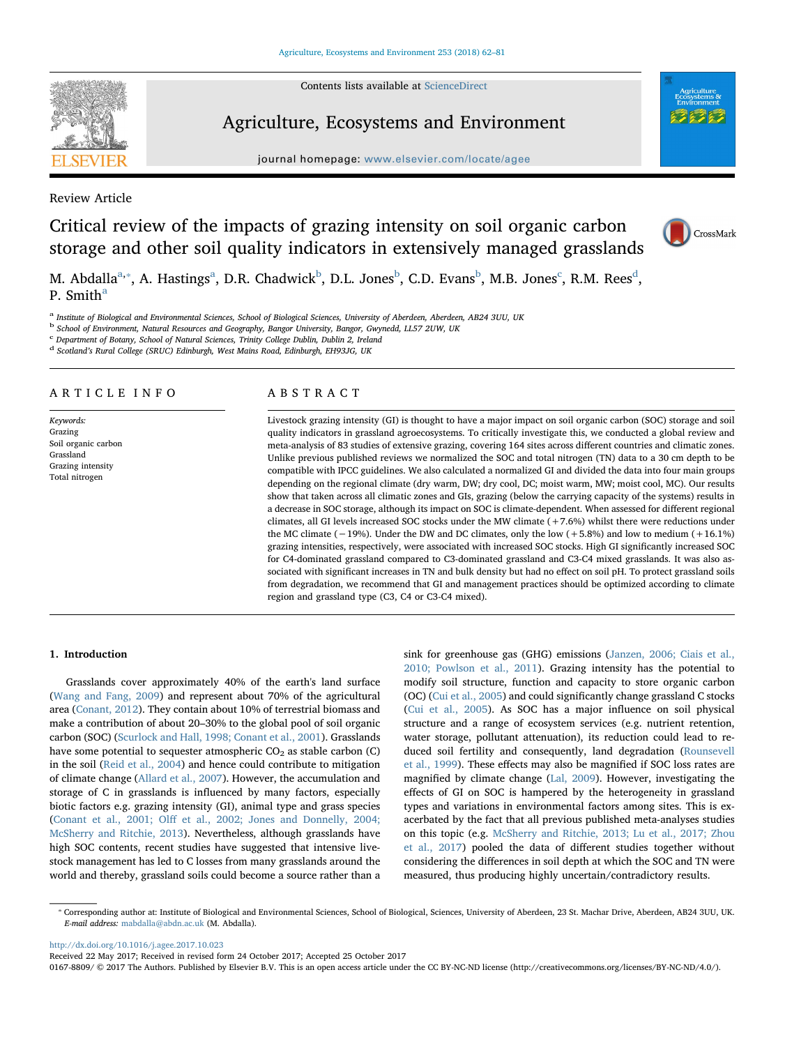Contents lists available at [ScienceDirect](http://www.sciencedirect.com/science/journal/01678809)



# Agriculture, Ecosystems and Environment

journal homepage: [www.elsevier.com/locate/agee](https://www.elsevier.com/locate/agee)

Review Article

Critical review of the impacts of grazing intensity on soil organic carbon storage and other soil quality indicators in extensively managed grasslands



M. Abd[a](#page-0-0)lla<sup>a,</sup>\*, A. Hastings<sup>a</sup>, D.R. Chadwick<sup>[b](#page-0-2)</sup>, D.L. Jones<sup>b</sup>, C.D. Evans<sup>b</sup>, M.B. Jones<sup>[c](#page-0-3)</sup>, R.M. Rees<sup>[d](#page-0-4)</sup>, P. Smith<sup>[a](#page-0-0)</sup>

<span id="page-0-0"></span><sup>a</sup> Institute of Biological and Environmental Sciences, School of Biological Sciences, University of Aberdeen, Aberdeen, AB24 3UU, UK

<span id="page-0-2"></span><sup>b</sup> School of Environment, Natural Resources and Geography, Bangor University, Bangor, Gwynedd, LL57 2UW, UK

<span id="page-0-3"></span><sup>c</sup> Department of Botany, School of Natural Sciences, Trinity College Dublin, Dublin 2, Ireland

<span id="page-0-4"></span><sup>d</sup> Scotland's Rural College (SRUC) Edinburgh, West Mains Road, Edinburgh, EH93JG, UK

## ARTICLE INFO

Keywords: Grazing Soil organic carbon Grassland Grazing intensity Total nitrogen

## ABSTRACT

Livestock grazing intensity (GI) is thought to have a major impact on soil organic carbon (SOC) storage and soil quality indicators in grassland agroecosystems. To critically investigate this, we conducted a global review and meta-analysis of 83 studies of extensive grazing, covering 164 sites across different countries and climatic zones. Unlike previous published reviews we normalized the SOC and total nitrogen (TN) data to a 30 cm depth to be compatible with IPCC guidelines. We also calculated a normalized GI and divided the data into four main groups depending on the regional climate (dry warm, DW; dry cool, DC; moist warm, MW; moist cool, MC). Our results show that taken across all climatic zones and GIs, grazing (below the carrying capacity of the systems) results in a decrease in SOC storage, although its impact on SOC is climate-dependent. When assessed for different regional climates, all GI levels increased SOC stocks under the MW climate (+7.6%) whilst there were reductions under the MC climate (−19%). Under the DW and DC climates, only the low (+5.8%) and low to medium (+16.1%) grazing intensities, respectively, were associated with increased SOC stocks. High GI significantly increased SOC for C4-dominated grassland compared to C3-dominated grassland and C3-C4 mixed grasslands. It was also associated with significant increases in TN and bulk density but had no effect on soil pH. To protect grassland soils from degradation, we recommend that GI and management practices should be optimized according to climate region and grassland type (C3, C4 or C3-C4 mixed).

## 1. Introduction

Grasslands cover approximately 40% of the earth's land surface ([Wang and Fang, 2009](#page-19-0)) and represent about 70% of the agricultural area ([Conant, 2012\)](#page-17-0). They contain about 10% of terrestrial biomass and make a contribution of about 20–30% to the global pool of soil organic carbon (SOC) ([Scurlock and Hall, 1998; Conant et al., 2001\)](#page-18-0). Grasslands have some potential to sequester atmospheric  $CO<sub>2</sub>$  as stable carbon (C) in the soil ([Reid et al., 2004\)](#page-18-1) and hence could contribute to mitigation of climate change ([Allard et al., 2007\)](#page-16-0). However, the accumulation and storage of C in grasslands is influenced by many factors, especially biotic factors e.g. grazing intensity (GI), animal type and grass species (Conant et al., 2001; Olff [et al., 2002; Jones and Donnelly, 2004;](#page-17-1) [McSherry and Ritchie, 2013](#page-17-1)). Nevertheless, although grasslands have high SOC contents, recent studies have suggested that intensive livestock management has led to C losses from many grasslands around the world and thereby, grassland soils could become a source rather than a sink for greenhouse gas (GHG) emissions ([Janzen, 2006; Ciais et al.,](#page-17-2) [2010; Powlson et al., 2011](#page-17-2)). Grazing intensity has the potential to modify soil structure, function and capacity to store organic carbon (OC) [\(Cui et al., 2005](#page-17-3)) and could significantly change grassland C stocks ([Cui et al., 2005](#page-17-3)). As SOC has a major influence on soil physical structure and a range of ecosystem services (e.g. nutrient retention, water storage, pollutant attenuation), its reduction could lead to reduced soil fertility and consequently, land degradation [\(Rounsevell](#page-18-2) [et al., 1999](#page-18-2)). These effects may also be magnified if SOC loss rates are magnified by climate change ([Lal, 2009\)](#page-18-3). However, investigating the effects of GI on SOC is hampered by the heterogeneity in grassland types and variations in environmental factors among sites. This is exacerbated by the fact that all previous published meta-analyses studies on this topic (e.g. [McSherry and Ritchie, 2013; Lu et al., 2017; Zhou](#page-18-4) [et al., 2017\)](#page-18-4) pooled the data of different studies together without considering the differences in soil depth at which the SOC and TN were measured, thus producing highly uncertain/contradictory results.

<http://dx.doi.org/10.1016/j.agee.2017.10.023>

Received 22 May 2017; Received in revised form 24 October 2017; Accepted 25 October 2017

0167-8809/ © 2017 The Authors. Published by Elsevier B.V. This is an open access article under the CC BY-NC-ND license (http://creativecommons.org/licenses/BY-NC-ND/4.0/).

<span id="page-0-1"></span><sup>⁎</sup> Corresponding author at: Institute of Biological and Environmental Sciences, School of Biological, Sciences, University of Aberdeen, 23 St. Machar Drive, Aberdeen, AB24 3UU, UK. E-mail address: [mabdalla@abdn.ac.uk](mailto:mabdalla@abdn.ac.uk) (M. Abdalla).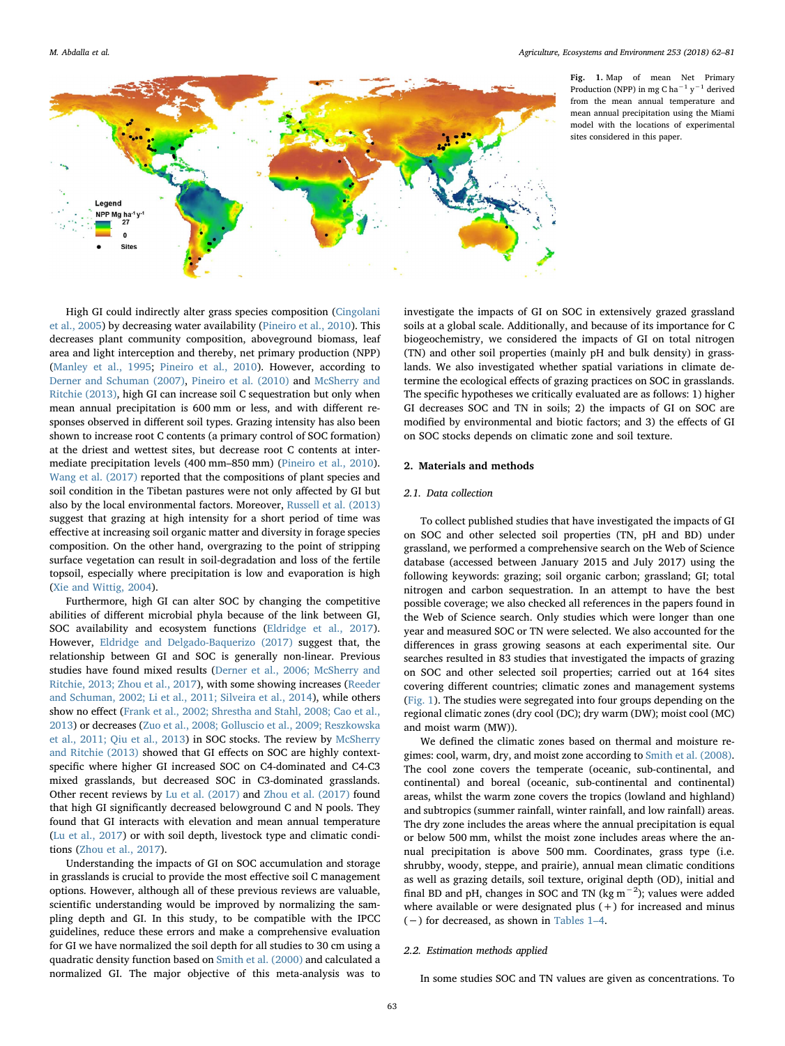<span id="page-1-0"></span>

Fig. 1. Map of mean Net Primary Production (NPP) in mg C ha $^{-1}$  y $^{-1}$  derived from the mean annual temperature and mean annual precipitation using the Miami model with the locations of experimental sites considered in this paper.

High GI could indirectly alter grass species composition ([Cingolani](#page-17-4) [et al., 2005](#page-17-4)) by decreasing water availability [\(Pineiro et al., 2010](#page-18-5)). This decreases plant community composition, aboveground biomass, leaf area and light interception and thereby, net primary production (NPP) ([Manley et al., 1995;](#page-18-6) [Pineiro et al., 2010](#page-18-5)). However, according to [Derner and Schuman \(2007\)](#page-17-5), [Pineiro et al. \(2010\)](#page-18-5) and [McSherry and](#page-18-4) [Ritchie \(2013\),](#page-18-4) high GI can increase soil C sequestration but only when mean annual precipitation is 600 mm or less, and with different responses observed in different soil types. Grazing intensity has also been shown to increase root C contents (a primary control of SOC formation) at the driest and wettest sites, but decrease root C contents at intermediate precipitation levels (400 mm–850 mm) ([Pineiro et al., 2010](#page-18-5)). [Wang et al. \(2017\)](#page-19-1) reported that the compositions of plant species and soil condition in the Tibetan pastures were not only affected by GI but also by the local environmental factors. Moreover, [Russell et al. \(2013\)](#page-18-7) suggest that grazing at high intensity for a short period of time was effective at increasing soil organic matter and diversity in forage species composition. On the other hand, overgrazing to the point of stripping surface vegetation can result in soil-degradation and loss of the fertile topsoil, especially where precipitation is low and evaporation is high ([Xie and Wittig, 2004](#page-19-2)).

Furthermore, high GI can alter SOC by changing the competitive abilities of different microbial phyla because of the link between GI, SOC availability and ecosystem functions ([Eldridge et al., 2017](#page-17-6)). However, [Eldridge and Delgado-Baquerizo \(2017\)](#page-17-7) suggest that, the relationship between GI and SOC is generally non-linear. Previous studies have found mixed results [\(Derner et al., 2006; McSherry and](#page-17-8) [Ritchie, 2013; Zhou et al., 2017](#page-17-8)), with some showing increases [\(Reeder](#page-18-8) [and Schuman, 2002; Li et al., 2011; Silveira et al., 2014](#page-18-8)), while others show no effect ([Frank et al., 2002; Shrestha and Stahl, 2008; Cao et al.,](#page-17-9) [2013\)](#page-17-9) or decreases ([Zuo et al., 2008; Golluscio et al., 2009; Reszkowska](#page-19-3) [et al., 2011; Qiu et al., 2013\)](#page-19-3) in SOC stocks. The review by [McSherry](#page-18-4) [and Ritchie \(2013\)](#page-18-4) showed that GI effects on SOC are highly contextspecific where higher GI increased SOC on C4-dominated and C4-C3 mixed grasslands, but decreased SOC in C3-dominated grasslands. Other recent reviews by [Lu et al. \(2017\)](#page-18-9) and [Zhou et al. \(2017\)](#page-19-4) found that high GI significantly decreased belowground C and N pools. They found that GI interacts with elevation and mean annual temperature ([Lu et al., 2017](#page-18-9)) or with soil depth, livestock type and climatic conditions [\(Zhou et al., 2017\)](#page-19-4).

Understanding the impacts of GI on SOC accumulation and storage in grasslands is crucial to provide the most effective soil C management options. However, although all of these previous reviews are valuable, scientific understanding would be improved by normalizing the sampling depth and GI. In this study, to be compatible with the IPCC guidelines, reduce these errors and make a comprehensive evaluation for GI we have normalized the soil depth for all studies to 30 cm using a quadratic density function based on [Smith et al. \(2000\)](#page-18-10) and calculated a normalized GI. The major objective of this meta-analysis was to

investigate the impacts of GI on SOC in extensively grazed grassland soils at a global scale. Additionally, and because of its importance for C biogeochemistry, we considered the impacts of GI on total nitrogen (TN) and other soil properties (mainly pH and bulk density) in grasslands. We also investigated whether spatial variations in climate determine the ecological effects of grazing practices on SOC in grasslands. The specific hypotheses we critically evaluated are as follows: 1) higher GI decreases SOC and TN in soils; 2) the impacts of GI on SOC are modified by environmental and biotic factors; and 3) the effects of GI on SOC stocks depends on climatic zone and soil texture.

## 2. Materials and methods

## 2.1. Data collection

To collect published studies that have investigated the impacts of GI on SOC and other selected soil properties (TN, pH and BD) under grassland, we performed a comprehensive search on the Web of Science database (accessed between January 2015 and July 2017) using the following keywords: grazing; soil organic carbon; grassland; GI; total nitrogen and carbon sequestration. In an attempt to have the best possible coverage; we also checked all references in the papers found in the Web of Science search. Only studies which were longer than one year and measured SOC or TN were selected. We also accounted for the differences in grass growing seasons at each experimental site. Our searches resulted in 83 studies that investigated the impacts of grazing on SOC and other selected soil properties; carried out at 164 sites covering different countries; climatic zones and management systems ([Fig. 1](#page-1-0)). The studies were segregated into four groups depending on the regional climatic zones (dry cool (DC); dry warm (DW); moist cool (MC) and moist warm (MW)).

We defined the climatic zones based on thermal and moisture regimes: cool, warm, dry, and moist zone according to [Smith et al. \(2008\)](#page-18-11). The cool zone covers the temperate (oceanic, sub-continental, and continental) and boreal (oceanic, sub-continental and continental) areas, whilst the warm zone covers the tropics (lowland and highland) and subtropics (summer rainfall, winter rainfall, and low rainfall) areas. The dry zone includes the areas where the annual precipitation is equal or below 500 mm, whilst the moist zone includes areas where the annual precipitation is above 500 mm. Coordinates, grass type (i.e. shrubby, woody, steppe, and prairie), annual mean climatic conditions as well as grazing details, soil texture, original depth (OD), initial and final BD and pH, changes in SOC and TN (kg  $m^{-2}$ ); values were added where available or were designated plus  $(+)$  for increased and minus (−) for decreased, as shown in [Tables 1](#page-2-0)–4.

### 2.2. Estimation methods applied

In some studies SOC and TN values are given as concentrations. To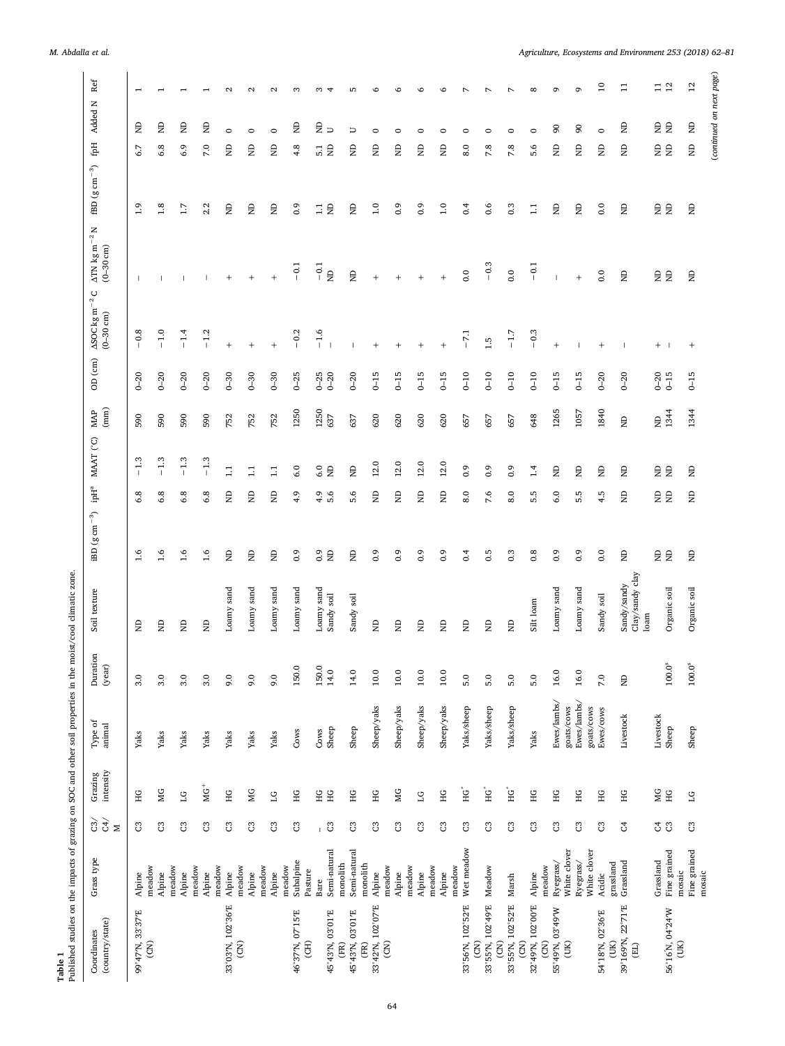<span id="page-2-0"></span>

| Published studies on the impacts of grazing on SOC and other soil properties in the moist/cool climatic zone.<br>Table 1 |                                     |                |                      |                                         |                    |                                        |                       |                                   |                         |             |                      |                                                |                                                                            |                                       |                                |                          |                   |
|--------------------------------------------------------------------------------------------------------------------------|-------------------------------------|----------------|----------------------|-----------------------------------------|--------------------|----------------------------------------|-----------------------|-----------------------------------|-------------------------|-------------|----------------------|------------------------------------------------|----------------------------------------------------------------------------|---------------------------------------|--------------------------------|--------------------------|-------------------|
| (country/state)<br>Coordinates                                                                                           | Grass type                          | े रे<br>$\geq$ | Grazing<br>intensity | ${\bf Type~ of}$ animal                 | Duration<br>(year) | texture<br>Soil                        | $\rm iBD~(g~cm^{-3})$ | $\mbox{ipH}^{\mbox{\tiny\rm fl}}$ | MAAT (°C)               | (mm)<br>MAP | $OD$ $(cm)$          | $\Delta$ SOC kg m <sup>-2</sup> (<br>(0-30 cm) | $\mathsf{z}$<br>$\Delta \text{TN}$ kg m $^{-2}$<br>$(-30 \text{ cm})$<br>C | $\textrm{fBD}$ (g $\textrm{cm}^{-3})$ | Ęф                             | Added N                  | Ref               |
| 99°47'N, 33°37'E<br>$\widetilde{\mathsf{S}}$                                                                             | meadow<br>Alpine                    | ප              | ΗG                   | Yaks                                    | 3.0                | $\Xi$                                  | 1.6                   | $\infty$<br>Ö                     | ω.<br>루                 | 590         | $0 - 20$             | œ<br>$\overline{\phantom{0}}$                  |                                                                            | 1.9                                   | 67                             | g                        | $\overline{ }$    |
|                                                                                                                          | Alpine                              | පි             | МG                   | Yaks                                    | 3.0                | Ê                                      | 1.6                   | 6.8                               | $-1.3$                  | 590         | $0 - 20$             | $-1.0$                                         |                                                                            | 1.8                                   | 6.8                            | g                        |                   |
|                                                                                                                          | meadow<br>Alpine                    | පී             | 51                   | Yaks                                    | 3.0                | Ê                                      | 1.6                   | 6.8                               | $-1.3$                  | 590         | $0 - 20$             | $-1.4$                                         |                                                                            | 1.7                                   | 6.9                            | g                        |                   |
|                                                                                                                          | meadow<br>Alpine                    | ප              | $\overline{M}$       | Yaks                                    | 3.0                | Ê                                      | 1.6                   | 6.8                               | $-1.3$                  | 590         | $0 - 20$             | $-1.2$                                         |                                                                            | 2.2                                   | 7.0                            | Ê                        |                   |
| 33°03'N, 102°36'E                                                                                                        | meadow<br>Alpine                    | ප              | HG                   | Yaks                                    | $0.6\,$            | Loamy sand                             | Ê                     | Ê                                 | $\mathbb{I}$            | 752         | $0 - 30$             | $\ddot{}$                                      | $^{+}$                                                                     | Ê                                     | Ê                              | $\circ$                  | $\mathbf{\Omega}$ |
| (CN)                                                                                                                     | meadow<br>Alpine                    | ප              | МG                   | Yaks                                    | 9.0                | Loany sand                             | $\mathsf{g}% _{T}$    | g                                 | $\Xi$                   | 752         | $0 - 30$             | $\overline{+}$                                 |                                                                            | $\mathsf{g}% _{T}$                    | Ê                              | $\circ$                  | $\sim$            |
|                                                                                                                          | meadow<br>Alpine                    | $\mathbb{C}^3$ | $\overline{\Xi}$     | Yaks                                    | 0.6                | Loamy sand                             | $\mathsf{g}% _{T}$    | g                                 | $\Xi$                   | 752         | $0 - 30$             |                                                |                                                                            | $\Xi$                                 | Ê                              | $\circ$                  | $\sim$            |
| 46°37'N, 07°15'E<br>ECH <sub>3</sub>                                                                                     | Subalpine<br>meadow<br>Pasture      | C3             | НG                   | Cows                                    | 150.0              | Loamy sand                             | $\overline{0}$ .      | 4.9                               | 6.0                     | 1250        | $0 - 25$             | 0.2                                            | $-0.1$                                                                     | 0.9                                   | 4.8                            | g                        | m                 |
|                                                                                                                          | Bare                                | $\overline{c}$ | НG<br>ΗG             | Cows                                    | 150.0              | Loamy sand<br>Sandy soil               | 0.9<br>$\epsilon$     | 5.6<br>4.9                        | 6.0<br>$\Xi$            | 1250        | $0 - 25$<br>$0 - 20$ | $-1.6$                                         | $-0.1$                                                                     | $\Xi$                                 | 5. E                           | £ ∋                      | S                 |
| 45°43'N, 03°01'E<br>(FR)                                                                                                 | Semi-natural<br>monolith            |                |                      | Sheep                                   | 14.0               |                                        |                       |                                   |                         | 637         |                      |                                                | $\Xi$                                                                      | $\epsilon$                            |                                |                          |                   |
| 45°43'N, 03°01'E<br>(FR)                                                                                                 | Semi-natural<br>monolith            | පී             | НG                   | Sheep                                   | 14.0               | Sandy soil                             | Ê                     | 5.6                               | $\Xi$                   | 637         | $0 - 20$             |                                                | $\Xi$                                                                      | Ê                                     | Ê                              | $\overline{\phantom{0}}$ | LO                |
| 33°42'N, 102°07'E                                                                                                        | Alpine                              | ප              | НG                   | Sheep/yaks                              | $10.0$             | $\Xi$                                  | $\overline{0}$ .      | Ê                                 | $12.0$                  | 620         | $0 - 15$             |                                                | $^{+}$                                                                     | 1.0                                   | Ê                              | $\circ$                  | ڡ                 |
| $\rm (CN)$                                                                                                               | meadow<br>Alpine                    | $\mathbb{S}$   | МG                   | Sheep/yaks                              | $10.0$             | $\mathsf{g}% _{T}$                     | 0.9                   | g                                 | $12.0$                  | 620         | $0 - 15$             | $+$                                            | $+$                                                                        | 0.9                                   | Ê                              | $\circ$                  | LO                |
|                                                                                                                          | meadow<br>Alpine                    | $\mathbb{C}^3$ | $\overline{\Xi}$     | Sheep/yaks                              | $10.0\,$           | Ê                                      | $\overline{0}$ .      | g                                 | 12.0                    | 620         | $0 - 15$             | $\ddot{}$                                      |                                                                            | $_{0.9}$                              | Ê                              | $\circ$                  | O                 |
|                                                                                                                          | meadow<br>Alpine                    | ප              | HG                   | Sheep/yaks                              | $10.0$             | $\Xi$                                  | 0.9                   | Ê                                 | $12.0$                  | 620         | $0 - 15$             |                                                | $\qquad \qquad +$                                                          | 1.0                                   | Ê                              | $\circ$                  | ڡ                 |
| 33°56'N, 102°52'E                                                                                                        | Wet meadow<br>meadow                | ප              | Ê                    | Yaks/sheep                              | 5.0                | Ê                                      | 0.4                   | 8.0                               | 0.9                     | 657         | $0 - 10$             | $-7.1$                                         | 0.0                                                                        | 0.4                                   | 8.0                            | $\circ$                  |                   |
| 33°55'N, 102°49'E<br>$\widetilde{E}$                                                                                     | Meadow                              | <b>U</b>       | ΉG <sup>*</sup>      | Yaks/sheep                              | 5.0                | g                                      | 0.5                   | 7.6                               | 0.9                     | 657         | $0 - 10$             | 1.5                                            | $-0.3$                                                                     | 0.6                                   | 7.8                            | $\circ$                  |                   |
| 33°55'N, 102°52'E<br>$\widetilde{E}$                                                                                     | Marsh                               | ප              | ŤС.                  | Yaks/sheep                              | 5.0                | Ê                                      | 0.3                   | 8.0                               | 0.9                     | 657         | $0 - 10$             | $-1.7$                                         | 0.0                                                                        | $0.\overline{3}$                      | 7.8                            | $\circ$                  |                   |
| 32°49'N, 102°00'E<br>$\rm \overline{S}$                                                                                  | Alpine                              | ප              | HG                   | Yaks                                    | 5.0                | Silt loam                              | 0.8                   | 5.5                               | $\frac{4}{1}$           | 648         | $0 - 10$             | $-0.3$                                         | $-0.1$                                                                     | $\Xi$                                 | 5.6                            | $\circ$                  | $\infty$          |
| 55°49'N, 03°49'W<br>(III)                                                                                                | White clover<br>Ryegrass/<br>meadow | $\mathbb{S}$   | HG                   | Ewes/lambs/                             | 16.0               | Loamy sand                             | 0.9                   | $6.0\,$                           | $\Xi$                   | 1265        | $0 - 15$             | $^{+}$                                         | $\overline{\phantom{a}}$                                                   | Ê                                     | Ê                              | န                        | G                 |
|                                                                                                                          | White clover<br>Ryegrass/           | $\mathbb{C}^3$ | HG                   | Ewes/lambs/<br>goats/cows<br>goats/cows | 16.0               | Loany sand                             | $\frac{6}{2}$         | rù<br>ιń                          | Ê                       | 1057        | $0 - 15$             |                                                | $^{+}$                                                                     | Ê                                     | Ê                              | 90                       | $\sigma$          |
| 54°18'N, 02°36'E<br>(XU)                                                                                                 | grassland<br>Acidic                 | ප              | НG                   | Ewes/cows                               | 7.0                | Sandy soil                             | $\rm ^{0.0}$          | 4.5                               | $\overline{\mathbf{z}}$ | 1840        | $0 - 20$             | $^{+}$                                         | 0.0                                                                        | 0.0                                   | Ê                              | $\circ$                  | $\Xi$             |
| 39°169'N, 22°71'E<br>$\bigoplus$                                                                                         | Grassland                           | J,             | НG                   | Livestock                               | g                  | Clay/sandy clay<br>Sandy/sandy<br>loam | Ê                     | Ê                                 | Ê                       | $\Xi$       | $0 - 20$             |                                                | $\overline{\mathbf{z}}$                                                    | Ê                                     | Ê                              | g                        | $\Xi$             |
| 56°16'N, 04°24'W                                                                                                         | Fine grained<br>Grassland           | 35             | NG<br>HG             | Livestock<br>Sheep                      | $100.0^\mathrm{s}$ | Organic soil                           | 日                     | 自                                 | e e                     | 田<br>1344   | $0 - 20$<br>$0 - 15$ | $+$                                            | E E                                                                        | e e                                   | e e                            | 日                        | $\frac{11}{12}$   |
| $($ UK $)$                                                                                                               | Fine grained<br>mosaic<br>mosaic    | $\mathbbm{S}$  | $\overline{\Xi}$     | Sheep                                   | $100.0^s$          | Organic soil                           | $\mathrel{\boxplus}$  | $\mathrel{\boxplus}$              | $\Xi$                   | 1344        | $0 - 15$             | $\ddot{}$                                      | $\overline{\mathbf{z}}$                                                    | $\mathrel{\boxplus}$                  | $\mathrel{\mathop{\boxtimes}}$ | $\mathrel{\boxplus}$     | $12\,$            |
|                                                                                                                          |                                     |                |                      |                                         |                    |                                        |                       |                                   |                         |             |                      |                                                |                                                                            |                                       |                                | (continued on            | next page)        |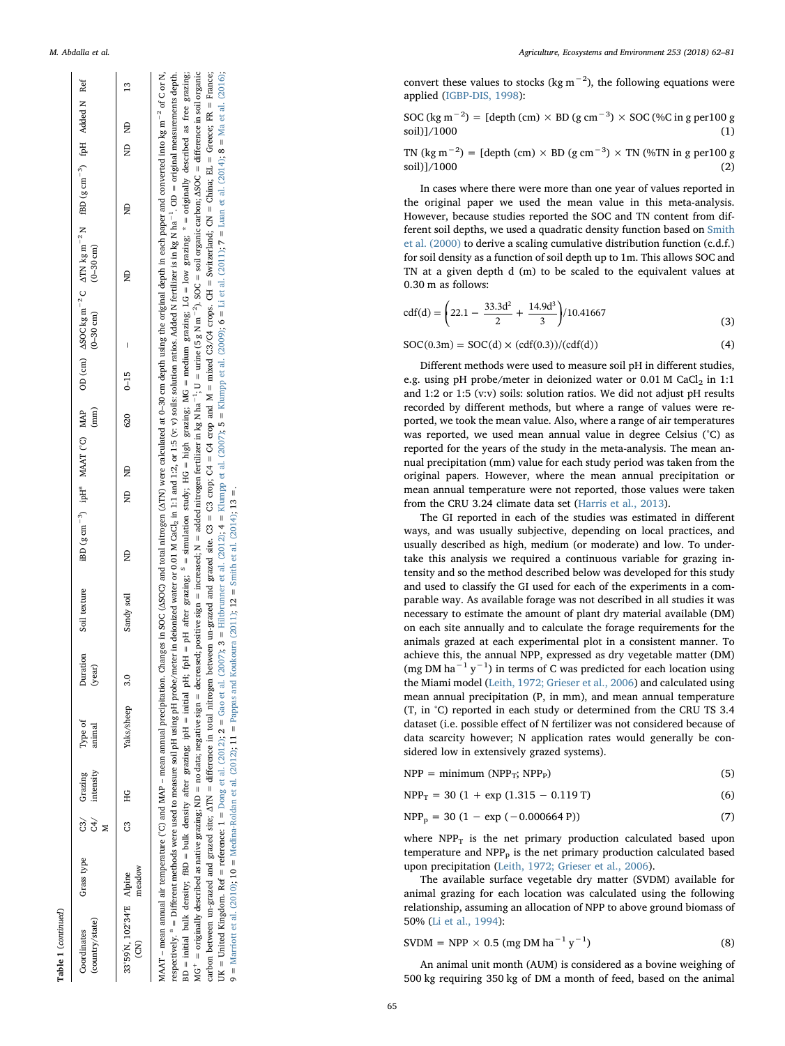| ountry/state<br><b>bordinates</b> | Grass type       | È | Grazing<br>intensity | Type of<br>animal | Juration<br>year) | Soil texture | iBD $(g cm^{-3})$ ipH <sup>ª</sup> MAAT (°C) MAP | (mm |          | $(-30 \text{ cm})$ | OD (cm) $\triangle$ SOC kg m <sup>-2</sup> C $\triangle$ TN kg m <sup>-2</sup> N fBD (g cm <sup>-3</sup> ) fpH Added N Ref<br>$(0-30$ cm) |   |       |               |
|-----------------------------------|------------------|---|----------------------|-------------------|-------------------|--------------|--------------------------------------------------|-----|----------|--------------------|-------------------------------------------------------------------------------------------------------------------------------------------|---|-------|---------------|
| 3°59N, 102°34'E<br>දි             | Alpine<br>neadow | ű | <b>DH</b>            | aks/sheep         | $\overline{3.0}$  | Sandy soil   | ND<br>ND<br>e<br>E                               | 620 | $0 - 15$ | I                  | $\frac{D}{Z}$                                                                                                                             | â | ND ND | $\frac{3}{2}$ |

 $FR = France;$ MAAT - mean annual air temperature (°C) and MAP - mean annual precipitation. Changes in SOC (ASOC) and total nitrogen (ATN) were calculated at 0-30 cm depth using the original depth in each paper and converted into kg m<sup>-2</sup> MAAT - mean annual air temperature (°C) and MAP - mean annual precipitation. Changes in SOC (ASOC) and total nitrogen (ATN) were calculated at 0-30 cm depth using the original depth in each paper and converted into kg m<sup>-2</sup> respectively. <sup>a</sup> = Different methods were used to measure soil pH using pH probe/meter in deionized water or 0.01 M GaCl<sub>2</sub> in 1:1 and 1:2, or 1:5 (v: v) solis: solution ratios. Added N fertilizer is in kg N ha<sup>-1</sup>. OD = respectively. <sup>a</sup> = Different methods were used to measure soil pH using pH probe/meter in deionized water or 0.01 M GaCl<sub>2</sub> in 1:1 and 1:2, or 1:5 (v: v) solis: solution ratios. Added N fertilizer is in kg N ha<sup>-1</sup>. OD = BD = initial bulk density; fBD = bulk density after grazing; ipH = initial pH; fpH = pH after grazing; <sup>8</sup> = simulation study; HG = high grazing; MG = medium grazing; 1G = low grazing; \* = originally described as free graz BD = initial bulk density; fBD = bulk density after grazing; ipH = initial pH; fpH = pH after grazing;  $S$  = simulation study; HG = high grazing; MG = medium grazing; LG = low grazing; \* = originally described as free gra MG<sup>+</sup> = originally described as native grazing; ND = no data; negative sign = decreased; positive sign = increased; N = added nitrogen fertilizer in kg N ha<sup>-1</sup>; U = urine (5 g N m<sup>-2</sup>). SOC = soil organic carbon; ASOC = d = urine (5 g N m<sup>-2</sup>). SOC = soil organic carbon;  $\triangle$ SOC = difference in soil organic carbon between un-grazed and grazed site; ΔTN = difference in total nitrogen between un-grazed and grazed site. C3 = C3 crop; C4 = C4 crop and M = mixed C3/C4 crops. CH = Switzerland; CN = China; EL = Greece; FR = France; et al. (2016); UK = United Kingdom. Ref = reference: 1 = Dong et al. [\(2012\)](#page-17-12), 2 = Gao et al. [\(2007\)](#page-17-13), 3 = [Hiltbrunner](#page-17-14) et al. (2012); 4 = [Klumpp](#page-18-14) et al. (2007); 5 = Klumpp et al. (2009); 6 = Li et al. [\(2011\);](#page-18-15) 7 = Luan et al. [\(2014\)](#page-18-16); 8 = Ma C3/C4 crops. CH = Switzerland; CN = China; EL = Greece; et al. (2012);  $4 =$  Klumpp et al. (2007);  $5 =$  Klumpp et al. (2009);  $6 =$  Li et al. (2011);  $7 =$  Luan et al. (2014);  $8 =$  Ma carbon between un-grazed and grazed site;  $\triangle TN =$  difference in total nitrogen between un-grazed and grazed site. C3 = C3 crop; C4 = C4 crop and M = mixed = increased; N = added nitrogen fertilizer in kg N ha<sup>-1</sup>; U 9 = [Marriott](#page-18-18) et al. (2010); 10 = [Medina-Roldan](#page-18-19) et al. (2012); 11 = Pappas and [Koukoura](#page-18-20) (2011); 12 = Smith et al. [\(2014\)](#page-18-21); 13 =.  $9 =$  Marriott et al. (2010): 10 = Medina-Roldan et al. (2012): 11 = Pappas and Koukoura (2011): 12 = Smith et al. (2014): 13  $(2007);$  3 = Hiltbrunner decreased; positive sign UK = United Kingdom. Ref = reference:  $1 =$  Dong et al. (2012);  $2 =$  Gao et al.  $=$  no data; negative sign  $=$ = originally described as native grazing; ND  $MG^+$ :

convert these values to stocks (kg  $m^{-2}$ ), the following equations were applied [\(IGBP-DIS, 1998\)](#page-17-10):

$$
SOC (kg m-2) = [depth (cm) × BD (g cm-3) × SOC (%) (c in g per 100 gsoil)]/1000
$$
 (1)

TN (kg m<sup>-2</sup>) = [depth (cm) × BD (g cm<sup>-3</sup>) × TN (%TN in g per100 g soil)]/1000

In cases where there were more than one year of values reported in the original paper we used the mean value in this meta-analysis. However, because studies reported the SOC and TN content from different soil depths, we used a quadratic density function based on [Smith](#page-18-10) [et al. \(2000\)](#page-18-10) to derive a scaling cumulative distribution function (c.d.f.) for soil density as a function of soil depth up to 1m. This allows SOC and TN at a given depth d (m) to be scaled to the equivalent values at 0.30 m as follows:

$$
cdf(d) = \left(22.1 - \frac{33.3d^2}{2} + \frac{14.9d^3}{3}\right) / 10.41667
$$
\n(3)

$$
SOC(0.3m) = SOC(d) \times (cdf(0.3)) / (cdf(d))
$$
\n(4)

Di fferent methods were used to measure soil pH in di fferent studies, e.g. using pH probe/meter in deionized water or 0.01 M CaCl<sub>2</sub> in 1:1 and 1:2 or 1:5 (v:v) soils: solution ratios. We did not adjust pH results recorded by di fferent methods, but where a range of values were reported, we took the mean value. Also, where a range of air temperatures was reported, we used mean annual value in degree Celsius (°C) as reported for the years of the study in the meta-analysis. The mean annual precipitation (mm) value for each study period was taken from the original papers. However, where the mean annual precipitation or mean annual temperature were not reported, those values were taken from the CRU 3.24 climate data set ([Harris et al., 2013\)](#page-17-11).

The GI reported in each of the studies was estimated in di fferent ways, and was usually subjective, depending on local practices, and usually described as high, medium (or moderate) and low. To undertake this analysis we required a continuous variable for grazing intensity and so the method described below was developed for this study and used to classify the GI used for each of the experiments in a comparable way. As available forage was not described in all studies it was necessary to estimate the amount of plant dry material available (DM) on each site annually and to calculate the forage requirements for the animals grazed at each experimental plot in a consistent manner. To achieve this, the annual NPP, expressed as dry vegetable matter (DM) (mg DM ha<sup>-1</sup> y<sup>-1</sup>) in terms of C was predicted for each location using the Miami model ([Leith, 1972; Grieser et al., 2006](#page-18-12)) and calculated using mean annual precipitation (P, in mm), and mean annual temperature (T, in °C) reported in each study or determined from the CRU TS 3.4 dataset (i.e. possible e ffect of N fertilizer was not considered because of data scarcity however; N application rates would generally be considered low in extensively grazed systems).

$$
NPP = minimum (NPPT; NPPP)
$$
\n(5)

| $NPP_T = 30 (1 + exp (1.315 - 0.119 T))$ | (6) |
|------------------------------------------|-----|
|                                          |     |

$$
NPPp = 30 (1 - exp (-0.000664 P))
$$
 (7)

where  $NPP_T$  is the net primary production calculated based upon temperature and  $NPP<sub>p</sub>$  is the net primary production calculated based upon precipitation ([Leith, 1972; Grieser et al., 2006](#page-18-12)).

The available surface vegetable dry matter (SVDM) available for animal grazing for each location was calculated using the following relationship, assuming an allocation of NPP to above ground biomass of 50% [\(Li et al., 1994](#page-18-13)):

$$
SVDM = NPP \times 0.5 (mg DM ha^{-1} y^{-1})
$$
 (8)

An animal unit month (AUM) is considered as a bovine weighing of 500 kg requiring 350 kg of DM a month of feed, based on the animal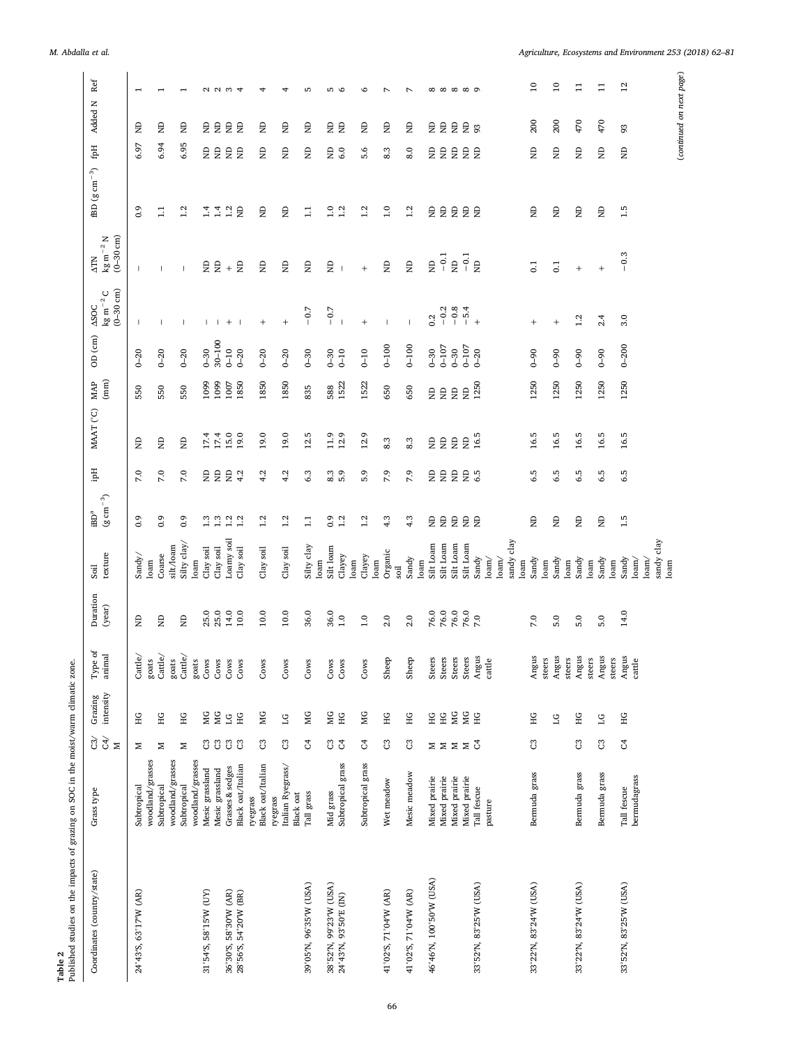| Published studies on the impacts of grazing on SOC in the moist/warm climatic zone.<br>Table 2                                                                                        |                                       |                               |                          |                                            |                    |                          |                                                        |                                       |                               |                               |                             |                                                                      |                                                                     |                      |                                    |            |                          |
|---------------------------------------------------------------------------------------------------------------------------------------------------------------------------------------|---------------------------------------|-------------------------------|--------------------------|--------------------------------------------|--------------------|--------------------------|--------------------------------------------------------|---------------------------------------|-------------------------------|-------------------------------|-----------------------------|----------------------------------------------------------------------|---------------------------------------------------------------------|----------------------|------------------------------------|------------|--------------------------|
| Coordinates (country/state)                                                                                                                                                           | Grass type                            | े रे<br>Σ                     | Grazing<br>intensity     | ${\rm Type\ of}$<br>animal                 | Duration<br>(year) | texture<br>Soil          | $(\mathrm{g\,cm^{-3}})$<br>$\mathrm{IBD}^{\mathrm{a}}$ | Hqi                                   | MAAT (°C)                     | (mm)<br>MAP                   | $\binom{cm}{c}$<br>$\Theta$ | $(0 - 30$ cm)<br>$\text{kg}\,\text{m}^{-2}\,\text{C}$<br><b>ASOC</b> | $(0 - 30$ cm)<br>$\text{kg}\,\text{m}^{-2}\,\text{N}$<br><b>ATN</b> | $-\infty$<br>BD(gcm) | Ëф                                 | Added N    | Ref                      |
| 24°43'S, 63°17'W (AR)                                                                                                                                                                 | woodland/grasses<br>Subtropical       | z                             | ЭH                       | Cattle/<br>goats                           | Ê                  | Sandy/<br>loam           | 0.9                                                    | 7.0                                   | Ê                             | 550                           | $0 - 20$                    |                                                                      | $\mathbf{I}$                                                        | 0.9                  | 6.97                               | g          | $\overline{ }$           |
|                                                                                                                                                                                       | Subtropical                           | Z                             | НG                       | $\mbox{Cattle}/% \mathbb{Z} _{2}$          | Ê                  | Coarse                   | $\overline{0}$ .                                       | 7.0                                   | Ê                             | 550                           | $0 - 20$                    |                                                                      |                                                                     | $\Xi$                | 6.94                               | Ê          | $\overline{\phantom{0}}$ |
|                                                                                                                                                                                       | woodland/grasses<br>Subtropical       | z                             | $\rm{H}$                 | $\mbox{Cattle}/% \mathbb{Z} _{2}$<br>goats | Ê                  | Silty clay/<br>silt/loam | 0.9                                                    | 7.0                                   | $\epsilon$                    | 550                           | $0 - 20$                    |                                                                      | $\overline{\phantom{a}}$                                            | 1.2                  | 6.95                               | Ê          | $\overline{ }$           |
|                                                                                                                                                                                       | woodland/grasses                      |                               |                          | goats                                      |                    | loam                     |                                                        |                                       |                               |                               |                             |                                                                      |                                                                     |                      |                                    |            |                          |
| 31°54'S, 58°15'W (UY)                                                                                                                                                                 | Mesic grassland                       | ප                             | ЙG                       | Cows                                       | 25.0               | Clay soil                | $\begin{array}{c} 1.3 \\ 1.3 \end{array}$              | 日                                     | 17.4                          | 1099                          | $0 - 30$                    | $\mathbf{I}$                                                         | $\mathsf{S}$                                                        | 1.4                  | $\mathsf{g}% _{T}=\mathsf{g}_{T}$  | 日          |                          |
|                                                                                                                                                                                       | Mesic grassland                       | ප                             | Σ                        | Cows                                       | 25.0               | Clay soil                |                                                        |                                       | 17.4                          | 1099                          | $30 - 100$                  | -1                                                                   | $\epsilon$                                                          | 1.4                  | $\epsilon$                         |            |                          |
| 36°30'S, 58°30'W (AR)<br>28°56'S, 54°20'W (BR)                                                                                                                                        | Black oat/Italian<br>Grasses & sedges | 33                            | S E                      | Cows<br>Cows                               | 14.0<br>10.0       | Loamy soil<br>Clay soil  | $1.2$<br>$1.2$                                         | $\mathrel{\mathop{\boxtimes}}$<br>4.2 | 15.0<br>19.0                  | 1007<br>1850                  | $0 - 10$<br>$0 - 20$        | $^{+}$                                                               | $\epsilon$<br>$\boldsymbol{+}$                                      | 1.2<br>$\Xi$         | $\mathrel{\boxplus}$<br>$\epsilon$ | 自          | 2234                     |
|                                                                                                                                                                                       | Black oat/Italian<br>ryegrass         | පී                            | ЙG                       | Cows                                       | 10.0               | Clay soil                | 1.2                                                    | 4.2                                   | 19.0                          | 1850                          | $0 - 20$                    | $^{+}$                                                               | Ê                                                                   | $\Xi$                | ę                                  | ę          | 4                        |
|                                                                                                                                                                                       | Italian Ryegrass/<br>ryegrass         | $\mathbb{C}^3$                | $\overline{\mathcal{L}}$ | Cows                                       | $10.0$             | Clay soil                | 1.2                                                    | 4.2                                   | 19.0                          | 1850                          | $0 - 20$                    | $+$                                                                  | $\epsilon$                                                          | $\Xi$                | $\epsilon$                         | $\epsilon$ | 4                        |
| 39°05'N, 96°35'W (USA)                                                                                                                                                                | <b>Black oat</b>                      |                               |                          |                                            | 36.0               |                          |                                                        | 6.3                                   | 12.                           |                               | $0 - 30$                    | $-0.7$                                                               |                                                                     | $\Xi$                |                                    |            | Б                        |
|                                                                                                                                                                                       | Tall grass                            | S,                            | МG                       | Cows                                       |                    | Silty clay<br>loam       | $\Box$                                                 |                                       | r.                            | 835                           |                             |                                                                      | Ê                                                                   |                      | Ê                                  | Ê          |                          |
|                                                                                                                                                                                       | Mid grass                             |                               |                          | Cows                                       | 36.0               | Silt loam                | $^{0.9}$                                               |                                       | 11.9                          |                               | $0 - 30$                    | $-0.7$                                                               | Ê                                                                   | 1.0                  | ŝ                                  |            |                          |
| $\begin{array}{c} 38^{ \circ} 52' \mathrm{N}, \, 99^{\circ} 23' \mathrm{W} \,\, \text{(USA)} \\ 24^{\circ} 43' \mathrm{N}, \, 93^{\circ} 50' \mathrm{E} \,\, \text{(IN)} \end{array}$ | Subtropical grass                     | 35                            | <b>DIE</b><br>HE         | Cows                                       | 1.0                | Clayey<br>loam           | 1.2                                                    | 8.3                                   | 12.9                          | 588<br>1522                   | $0-10$                      |                                                                      | $\overline{\phantom{a}}$                                            | 1.2                  | 6.0                                | 自          | n o                      |
|                                                                                                                                                                                       | Subtropical grass                     | 5                             | МG                       | Cows                                       | 1.0                | Clayey                   | 1.2                                                    | 5.9                                   | 12.9                          | 1522                          | $0-10$                      | $+$                                                                  | $^{+}$                                                              | 1.2                  | 5.6                                | ę          | $\circ$                  |
|                                                                                                                                                                                       |                                       |                               |                          |                                            |                    | loam                     |                                                        |                                       |                               |                               |                             |                                                                      |                                                                     |                      |                                    |            |                          |
| 41°02'S, 71°04'W (AR)                                                                                                                                                                 | Wet meadow                            | $\mathbb{C}^2$                | $\rm{H}$                 | Sheep                                      | 2.0                | Organic<br>Soil          | 4.3                                                    | 7.9                                   | 8.3                           | 650                           | $0 - 100$                   | $\mathbf{I}$                                                         | $\Xi$                                                               | 1.0                  | 8.3                                | Ê          | $\overline{\phantom{a}}$ |
| 41°02'S, 71°04'W (AR)                                                                                                                                                                 | Mesic meadow                          | ප                             | HG                       | Sheep                                      | 2.0                | Sandy                    | 4.3                                                    | 7.9                                   | 8.3                           | 650                           | $0 - 100$                   |                                                                      | Ê                                                                   | 1.2                  | 8.0                                | g          | $\overline{ }$           |
| 46°46'N, 100°50'W (USA)                                                                                                                                                               | Mixed prairie                         |                               | НG                       | Steers                                     | 76.0               | Silt Loam<br>loam        |                                                        |                                       |                               |                               | $0 - 30$                    | 0.2                                                                  | Ê                                                                   | $\Xi$                |                                    |            |                          |
|                                                                                                                                                                                       | Mixed prairie                         |                               | ЭH                       | Steers                                     | 76.0               | Silt Loam                | 日                                                      | 日目                                    | 日                             | 日                             | $0-107$                     | $-0.2$                                                               | $-0.1$                                                              | $\Xi$                | 自                                  |            |                          |
|                                                                                                                                                                                       | Mixed prairie                         | $\Sigma \Sigma \Sigma \Sigma$ | ЙG                       | Steers                                     | 76.0               | Silt Loam                | $\mathrel{\boxdot}$                                    | $\mathsf{g}% _{T}=\mathsf{g}_{T}$     | $\mathrel{\mathop{\boxplus}}$ | $\mathrel{\mathop{\boxplus}}$ | $0 - 30$                    | $-0.8$                                                               | g                                                                   | $\Xi$                | $\mathsf{g}% _{T}=\mathsf{g}_{T}$  | 自自自        | <b>888889</b>            |
|                                                                                                                                                                                       | Mixed prairie                         |                               | <b>SE</b>                | Steers                                     | 76.0               | Silt Loam                | 2                                                      | $E_{6.5}$                             | $\infty$                      | $\mathsf{B}$                  | $0 - 107$                   | $-5.4$                                                               | $-0.1$                                                              | E                    | 皇皇                                 | $E_{93}$   |                          |
| 33°52'N, 83°25'W (USA)                                                                                                                                                                | Tall fescue                           |                               |                          | Angus                                      |                    | Sandy                    |                                                        |                                       | 16.5                          | 1250                          | $0 - 20$                    | $+$                                                                  | $\epsilon$                                                          |                      |                                    |            |                          |
|                                                                                                                                                                                       | pasture                               |                               |                          | cattle                                     |                    | $\text{loam}/$           |                                                        |                                       |                               |                               |                             |                                                                      |                                                                     |                      |                                    |            |                          |
|                                                                                                                                                                                       |                                       |                               |                          |                                            |                    | sandy clay<br>$\lambda$  |                                                        |                                       |                               |                               |                             |                                                                      |                                                                     |                      |                                    |            |                          |
|                                                                                                                                                                                       |                                       |                               |                          |                                            |                    | loam                     |                                                        |                                       |                               |                               |                             |                                                                      |                                                                     |                      |                                    |            |                          |
| 33°22'N, 83°24'W (USA)                                                                                                                                                                | Bermuda grass                         | $\mathbb{C}^3$                | ЭH                       | Angus                                      | 7.0                | Sandy                    | Ê                                                      | 6.5                                   | 16.5                          | 1250                          | $06-0$                      | $\qquad \qquad +$                                                    | $\overline{0}$                                                      | $\Xi$                | Ê                                  | 200        | $\overline{10}$          |
|                                                                                                                                                                                       |                                       |                               |                          | steers                                     |                    | loam                     |                                                        |                                       |                               |                               |                             |                                                                      |                                                                     |                      |                                    |            |                          |
|                                                                                                                                                                                       |                                       |                               | $_{1G}$                  | Angus<br>steers                            | 5.0                | Sandy<br>loam            | Ê                                                      | 6.5                                   | 16.5                          | 1250                          | $0 - 90$                    | $+$                                                                  | C <sub>1</sub>                                                      | $\Xi$                | Ê                                  | 200        | $\overline{10}$          |
| 33°22'N, 83°24'W (USA)                                                                                                                                                                | Bermuda grass                         | ප                             | $\rm{H}$                 | Angus                                      | 5.0                | Sandy                    | $\epsilon$                                             | 6.5                                   | 16.5                          | 1250                          | $6 - 9$                     | 1.2                                                                  | $\begin{array}{c} + \end{array}$                                    | $\Xi$                | Ê                                  | 470        | $\Xi$                    |
|                                                                                                                                                                                       |                                       |                               |                          | steers                                     |                    | loam                     |                                                        |                                       |                               |                               |                             |                                                                      |                                                                     |                      |                                    |            |                          |
|                                                                                                                                                                                       | Bermuda grass                         | $\mathbb{C}^2$                | $\overline{\mathbb{C}}$  | Angus                                      | 5.0                | Sandy                    | $\mathrel{\boxdot}$                                    | 6.5                                   | 16.5                          | 1250                          | $6 - 90$                    | 2.4                                                                  | $\ddag$                                                             | $\Xi$                | $\mathsf{g}% _{T}$                 | 470        | $\Xi$                    |
| 33°52'N, 83°25'W (USA)                                                                                                                                                                | Tall fescue                           | $\rm G$                       | Ξ                        | steers                                     | 14.0               | Sandy<br>loam            | 1.5                                                    | 6.5                                   | r<br>$\overline{16}$          | 1250                          | $0 - 200$                   | 3.0                                                                  | $-0.3$                                                              | 1.5                  | Ê                                  | 93         | 12                       |
|                                                                                                                                                                                       | bermudagrass                          |                               |                          | Angus<br>cattle                            |                    | $\frac{1}{2}$            |                                                        |                                       |                               |                               |                             |                                                                      |                                                                     |                      |                                    |            |                          |
|                                                                                                                                                                                       |                                       |                               |                          |                                            |                    | $\lambda$                |                                                        |                                       |                               |                               |                             |                                                                      |                                                                     |                      |                                    |            |                          |
|                                                                                                                                                                                       |                                       |                               |                          |                                            |                    | sandy clay               |                                                        |                                       |                               |                               |                             |                                                                      |                                                                     |                      |                                    |            |                          |
|                                                                                                                                                                                       |                                       |                               |                          |                                            |                    | loam                     |                                                        |                                       |                               |                               |                             |                                                                      |                                                                     |                      |                                    |            | (continued on next page) |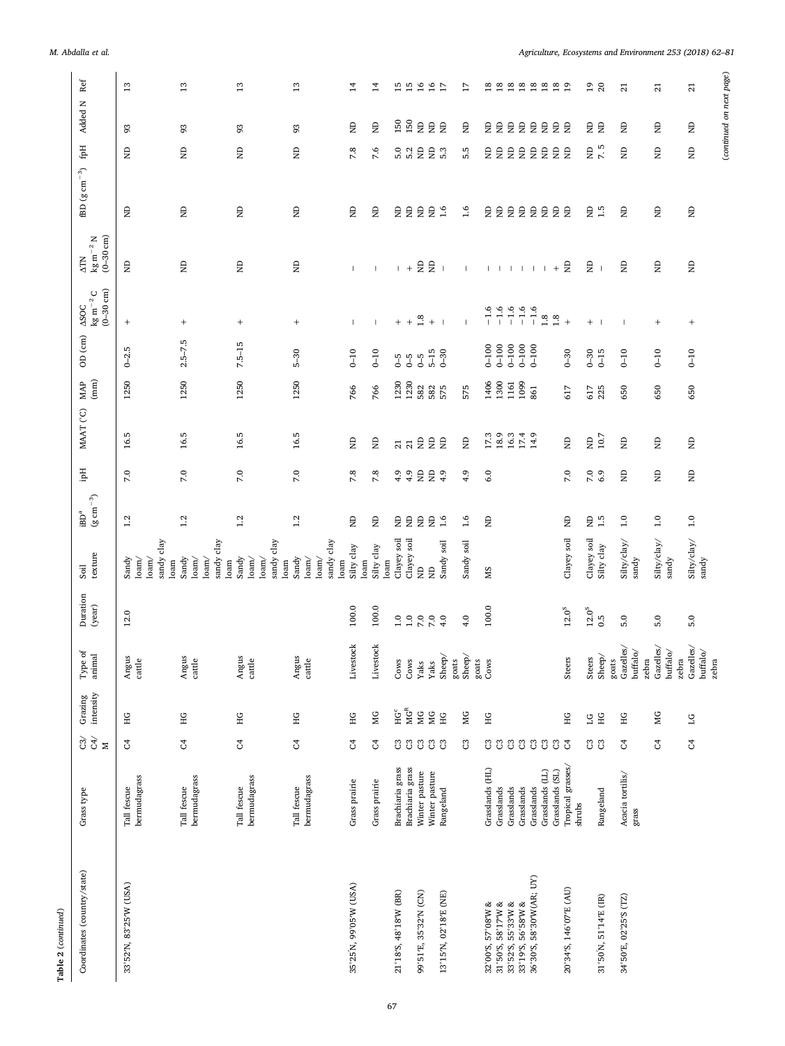| ۰<br>c |
|--------|
| f      |

| $\operatorname{Ref}$<br>Added N<br>Ëф<br>$\textrm{fBD}$ (g $\textrm{cm}^{-3})$ | M. Abdalla et al.                           | $13$<br>93<br>Ê<br>$\Xi$                                                               | $13\,$<br>93<br>Ê<br>$\Xi$                                                  |                                                                                                         | $\frac{3}{2}$<br>93<br>Ê<br>$\Xi$ | 13<br>93<br>Ê<br>$\Xi$         | $\overline{1}$<br>Ê<br>7.8<br>$\overline{\mathbf{z}}$ | $\overline{1}$<br>Ê<br>7.6<br>Ê | 5.0<br>$\Xi$               | 15<br>$\begin{array}{c} 120 \\ 150 \end{array}$<br>5.2<br>$\Xi$ | $16$<br>$\mathrel{\mathop{\boxtimes}}$<br>$\Xi$<br>$\Xi$ | $\mathrel{\mathop{\boxtimes}}$<br>$\Xi$ | $16$ $17$<br><b>会会</b><br>5.3<br>1.6 | 17<br>Ê<br>5.5<br>1.6    | $\Xi$                          | $\begin{array}{c} 2 \ 3 \ 1 \end{array}$<br>自<br>$\Xi$ | 自自自<br>$\epsilon$<br>$\Xi$ | $\epsilon$<br>$\Xi$                             | Ê                        | E E<br>$\Xi$                | $\mathrel{\boxplus}$<br>$\epsilon$<br>$\Xi$ | 888889<br><b>会会</b><br>$\mathsf{g}% _{T}=\mathsf{g}_{T}$<br>g<br>$\Xi$<br>$\overline{a}$ |        | Ê           | $\frac{19}{20}$<br>自<br>S<br>$\mathbf{r}$<br>e e | $\overline{a}$<br>Ê<br>Ê<br>$\Xi$ |                                | $\overline{z}$<br>$\mathrel{\mathop{\boxtimes}}$<br>Ê<br>$\Xi$ |          | Agriculture, Ecosystems and Environment 253 (2018) 62-81<br>$\overline{z}$<br>Ê<br>Ê<br>$\Xi$ |
|--------------------------------------------------------------------------------|---------------------------------------------|----------------------------------------------------------------------------------------|-----------------------------------------------------------------------------|---------------------------------------------------------------------------------------------------------|-----------------------------------|--------------------------------|-------------------------------------------------------|---------------------------------|----------------------------|-----------------------------------------------------------------|----------------------------------------------------------|-----------------------------------------|--------------------------------------|--------------------------|--------------------------------|--------------------------------------------------------|----------------------------|-------------------------------------------------|--------------------------|-----------------------------|---------------------------------------------|------------------------------------------------------------------------------------------|--------|-------------|--------------------------------------------------|-----------------------------------|--------------------------------|----------------------------------------------------------------|----------|-----------------------------------------------------------------------------------------------|
| $\Delta \text{TN}$                                                             | $\text{kg m}^{-2}\text{N}$ (0–30 cm)        | $\epsilon$                                                                             | $\mathrel{\mathop{\boxtimes}}$                                              | Ê                                                                                                       | Ê                                 |                                | T                                                     |                                 | $\mathbf{L}$               | $+$                                                             |                                                          | 日                                       | $\overline{1}$                       | $\mathbf{I}$             |                                |                                                        |                            | $\mathbf{I}=\mathbf{I}=\mathbf{I}=\mathbf{I}$ . | $\overline{\phantom{a}}$ |                             |                                             | $\Xi$<br>$+$                                                                             |        | g           | $\overline{\phantom{a}}$                         | g                                 |                                | $\mathrel{\mathop{\boxtimes}}$                                 |          | Ê                                                                                             |
| <b>ASOC</b>                                                                    | $\mathrm{kg\,m}^{-2}\,\mathrm{C}$ (0–30 cm) | $\! + \!\!\!\!$                                                                        | $^{+}$                                                                      | $+$                                                                                                     | $^{+}$                            |                                | $\mathbf{I}$                                          | ı.                              | $+$                        | $+$                                                             | $1.8\,$                                                  | $\, +$                                  | $\overline{\phantom{0}}$             | $\overline{\phantom{a}}$ | $-1.6$                         | $-1.6$                                                 | $-1.6$                     | $-1.6$                                          | $-1.6$                   |                             | $1.8\,$                                     | $1.8$<br>$\ddot{}$                                                                       |        | $+$         | $\overline{\phantom{a}}$                         |                                   |                                | $^{+}$                                                         |          | $^{+}$                                                                                        |
| OD (cm)                                                                        |                                             | r<br>$0 - 2$                                                                           | $2.5 - 7.5$                                                                 | $7.5 - 15$                                                                                              | $5-30$                            |                                | $0-10$                                                | $0-10$                          | 5                          | $6 - 5$                                                         | $6 - 5$                                                  | $5-15$                                  | $0 - 30$                             |                          | $001-0$                        | $0 - 100$                                              | $0 - 100$                  | $0 - 100$                                       | $0 - 100$                |                             |                                             | $0 - 30$                                                                                 |        | $0 - 30$    | $6-15$                                           | $0-10$                            |                                | $0-10$                                                         |          | $0 - 10$                                                                                      |
| <b>MAP</b>                                                                     | $\left( \min \right)$                       | 1250                                                                                   | 1250                                                                        | 1250                                                                                                    | 1250                              |                                | 766                                                   | 766                             | 1230                       | 1230                                                            | 582                                                      | 582                                     | 575                                  | 575                      | 1406                           | 1300                                                   | 1161                       | 1099                                            | 861                      |                             |                                             | 617                                                                                      |        | 617         | 225                                              | 650                               |                                | 650                                                            |          | 650                                                                                           |
| MAAT (°C)                                                                      |                                             | 16.5                                                                                   | 16.5                                                                        | 16.5                                                                                                    | 16.5                              |                                | $\Xi$                                                 | Ê                               |                            | $\frac{1}{2}$                                                   | $\mathrel{\mathop{\boxtimes}}$                           |                                         | <b>会会</b>                            | $\mathsf{g}% _{T}$       | 17.3                           | 18.9                                                   | 16.3                       |                                                 |                          | 17.4<br>14.9                |                                             | Ê                                                                                        |        |             | $E_{10.7}$                                       | $\epsilon$                        |                                | $\mathrel{\mathop{\boxtimes}}$                                 |          | $\mathrel{\mathop{\boxplus}}$                                                                 |
| Hqi                                                                            |                                             | 7.0                                                                                    | 7.0                                                                         | 7.0                                                                                                     | 7.0                               |                                | 7.8                                                   | 7.8                             | 4.9                        | 4.9                                                             | $\mathrel{\mathop{\boxtimes}}$                           | $\mathsf{B}$                            | 4.9                                  | 4.9                      | 6.0                            |                                                        |                            |                                                 |                          |                             |                                             | 7.0                                                                                      |        |             | $7.0$<br>6.9                                     | Ê                                 |                                | $\mathrel{\mathop{\boxtimes}}$                                 |          | Ê                                                                                             |
| $\mathrm{iBD}^{\mathrm{a}}$                                                    | $\rm (g\ cm^{-3})$                          | 1.2                                                                                    | $1.2\,$                                                                     | 1.2                                                                                                     | 1.2                               |                                | Ê                                                     | Ê                               | Ê                          | $\Xi$                                                           | $\mathrel{\mathop{\boxtimes}}$                           | $\mathrel{\mathop{\boxplus}}$           | 1.6                                  | 1.6                      | $\mathrel{\mathop{\boxtimes}}$ |                                                        |                            |                                                 |                          |                             |                                             | $\Xi$                                                                                    |        | $\Xi$       | 1.5                                              | 1.0                               |                                | 1.0                                                            |          | 1.0                                                                                           |
| $S$ oil                                                                        | texture                                     | sandy clay<br>Sandy<br>1<br>oam/<br>$\frac{1}{\text{oam}}$<br>$\mathop{\mathrm{loam}}$ | sandy clay<br>Sandy<br>$\mathsf{loam}/$<br>$\text{loam}/$<br>$\mathsf{lam}$ | $% \left\langle \phi _{1}^{\mathrm{N}}\right\rangle _{0}=0$ sandy clay<br>Sandy<br>$\gamma$<br>$lo$ am/ | Sandy<br>$\text{loam}/$           | sandy clay<br>$\mathsf{loam}/$ | Silty clay<br>loam<br>$\mathsf{loam}$                 | Silty clay                      | Clayey soil<br>$\lim$      | Clayey soil                                                     | $\overline{z}$                                           | g                                       | Sandy soil                           | Sandy soil               | SM                             |                                                        |                            |                                                 |                          |                             |                                             | Clayey soil                                                                              |        | Clayey soil | Silty clay                                       |                                   | $\rm{Si}$ lty/clay/ $\rm{s}$   | Silty/clay/                                                    | sandy    | $\mathrm{Si} \mathrm{I} \mathrm{y}/\mathrm{cl} \mathrm{a} \mathrm{y}/$<br>sandy               |
| Duration                                                                       | (year)                                      | 12.0                                                                                   |                                                                             |                                                                                                         |                                   |                                | 100.0                                                 | 100.0                           | $\overline{1.0}$           | 1.0                                                             | $7.0$                                                    | 7.0                                     | 4.0                                  | 4.0                      | 100.0                          |                                                        |                            |                                                 |                          |                             |                                             | $12.0^{\rm s}$                                                                           |        | $12.0^{5}$  | 0.5                                              | 5.0                               |                                | 5.0                                                            |          | 5.0                                                                                           |
| Type of                                                                        | animal                                      | Angus<br>cattle                                                                        | Angus<br>cattle                                                             | Angus<br>cattle                                                                                         | Angus<br>cattle                   |                                | Livestock                                             | Livestock                       | Cows                       | Cows                                                            | Yaks                                                     | Yaks                                    | Sheep/<br>goats                      | Sheep/                   | goats<br>Cows                  |                                                        |                            |                                                 |                          |                             |                                             | Steers                                                                                   |        | Steers      | Sheep/ $\,$                                      | Gazelles/<br>goats                | $\rm{buffalo}/$                | Gazelles/<br>zebra                                             | buffalo/ | Gazelles/<br>$\rm{buffalo}/$<br>zebra                                                         |
|                                                                                | intensity<br>Grazing                        | ЭH                                                                                     | HG                                                                          | НG                                                                                                      | НG                                |                                | НG                                                    | МG                              | $\mathrm{HC}^{\mathrm{c}}$ | $\mathbf{M}\mathbf{G}^\mathbf{R}$                               | ЖG                                                       | ЙG                                      | НG                                   | МG                       | НG                             |                                                        |                            |                                                 |                          |                             |                                             | HG                                                                                       |        |             | S FC                                             | ЭH                                |                                | МG                                                             |          | $\overline{C}$                                                                                |
| $\widetilde{\mathrm{g}}$                                                       | C4/<br>$\geq$                               | ै                                                                                      | S,                                                                          | S,                                                                                                      | S,                                |                                | $\mathfrak{S}$                                        | ै                               |                            | 33                                                              |                                                          |                                         | $333$                                | ප                        |                                | $\mathbbm{C}$ $\mathbbm{C}$                            | C3                         |                                                 |                          | $\mathbbm{C}$ $\mathbbm{C}$ |                                             | $333$                                                                                    |        |             | មី មី                                            | उ                                 |                                | $\mathfrak{S}$                                                 |          | $\mathfrak{S}$                                                                                |
| Grass type                                                                     |                                             | bermudagrass<br>Tall fescue                                                            | bermudagrass<br>Tall fescue                                                 | bermudagrass<br>Tall fescue                                                                             | Tall fescue                       | bermudagrass                   | Grass prairie                                         | Grass prairie                   | Brachiaria grass           | Brachiaria grass                                                | Winter pasture                                           | Winter pasture                          | Rangeland                            |                          | Grasslands (HL)                | Grasslands                                             | Grasslands                 | Grasslands                                      |                          | Grasslands                  | Grasslands (LL)                             | Tropical grasses/<br>Grasslands (SL)                                                     | shrubs |             | Rangeland                                        |                                   | Acacia tortilis/ $\,$<br>grass |                                                                |          |                                                                                               |
|                                                                                | Coordinates (country/state)                 | 33°52'N, 83°25'W (USA)                                                                 |                                                                             |                                                                                                         |                                   |                                | 35°25'N, 99°05'W (USA)                                |                                 | 21°18'S, 48°18'W (BR)      |                                                                 | 99°51'E, 35°32'N (CN)                                    |                                         | 13°15'N, 02°18'E (NE)                |                          | 32°00'S, 57°08'W &             | 31°50'S, 58°17'W &                                     | 33°52'S, 55°33'W &         | 33°19'S, 56°58'W &                              |                          | 36°30'S, 58°30'W(AR; UY)    |                                             | 20°34'S, 146°07'E (AU)                                                                   |        |             | 31°50'N, 51°14'E (IR)                            | 34°50'E, 02°25'S (TZ)             |                                |                                                                |          |                                                                                               |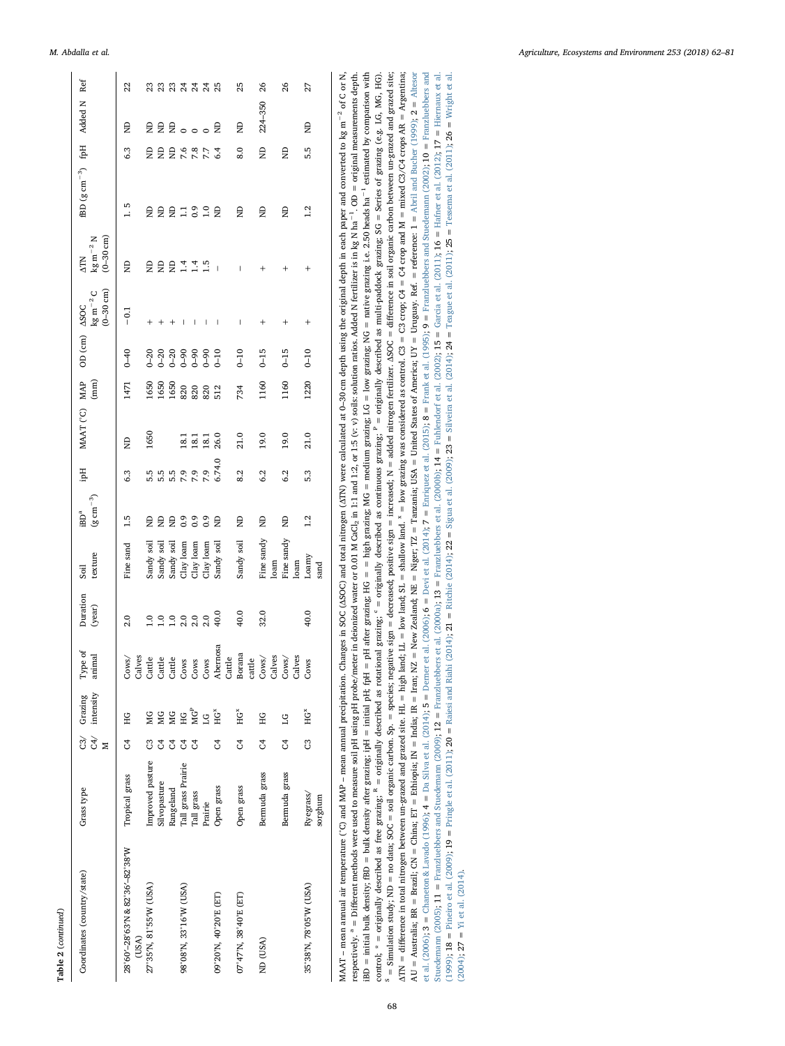| c |
|---|
|   |

|                                                | 22                                       | ន្ត្រូង មាន<br>ស្តុង ស្គុង                                                       |              |                        |                  |                  |                                |        | 25                    | 26              |        | 26            |        | 27                     |         |                                                                                                                                                                                                     |
|------------------------------------------------|------------------------------------------|----------------------------------------------------------------------------------|--------------|------------------------|------------------|------------------|--------------------------------|--------|-----------------------|-----------------|--------|---------------|--------|------------------------|---------|-----------------------------------------------------------------------------------------------------------------------------------------------------------------------------------------------------|
|                                                | Ê                                        | 县皇皇。。。皇                                                                          |              |                        |                  |                  |                                |        | Ê                     | 224-350         |        |               |        | Ê                      |         |                                                                                                                                                                                                     |
|                                                | 6.3                                      | <b>日日にいいこと</b>                                                                   |              |                        |                  |                  |                                |        | 8.0                   | â               |        | Ê             |        | 5.5                    |         |                                                                                                                                                                                                     |
| fBD $(g \text{ cm}^{-3})$ fpH Added N Ref      | 1.5                                      | <b>SSSSS</b>                                                                     |              |                        |                  |                  | $\overline{a}$                 |        | $\overline{a}$        | $\Xi$           |        | $\Xi$         |        | 1.2                    |         |                                                                                                                                                                                                     |
| $(0-30$ cm)<br>$\rm kg\,m^{-2}N$<br><b>ATN</b> | Ê                                        | 自自自言言品                                                                           |              |                        |                  |                  | $\begin{array}{c} \end{array}$ |        | I                     | $^{+}$          |        | $^{+}$        |        | $^{+}$                 |         |                                                                                                                                                                                                     |
| $(0 - 30$ cm)<br>$\rm kg\,m^{-2}\,C$           | $-0.1$                                   | $^{+}$<br>$\,+\,$                                                                | $\,{}^{+}\,$ | I                      | I                | I                | $\overline{\phantom{a}}$       |        | I                     | $\ddag$         |        | $\ddag$       |        | $^{+}$                 |         |                                                                                                                                                                                                     |
| OD (cm) ASOC                                   | $0-40$                                   |                                                                                  |              |                        |                  |                  |                                |        | $0-10$                | $0 - 15$        |        | $0 - 15$      |        | $0 - 10$               |         |                                                                                                                                                                                                     |
| $\left( \min \right)$                          | 1471                                     | 1650<br>1650<br>1650                                                             |              |                        | <b>22222</b>     |                  |                                |        | 734                   | 1160            |        | 1160          |        | 1220                   |         |                                                                                                                                                                                                     |
| MAAT (°C) MAP                                  | Ê                                        | 1650                                                                             |              |                        | 18.1<br>18.1     | 18.1             | 26.0                           |        | 21.0                  | 19.0            |        | 19.0          |        | 21.0                   |         |                                                                                                                                                                                                     |
| Hqi                                            | 6.3                                      | 5.5                                                                              | 5.5          | 7.9                    | 7.9              | 7.9              | 6.74.0                         |        | 8.2                   | 6.2             |        | 6.2           |        | 5.3                    |         |                                                                                                                                                                                                     |
| $(g\ cm^{-3})$<br>iBD <sup>a</sup>             | 1.5                                      | $\Xi$<br>Ê                                                                       | $\epsilon$   | 0.9                    |                  | $\overline{0}$ . | Ê                              |        | Ê                     | Ê               |        | Ê             |        | 1.2                    |         |                                                                                                                                                                                                     |
| texture<br>Soil                                | Fine sand                                | Sandy soil<br>Sandy soil<br>Sandy soil                                           |              | Clay loam              | Clay loam        | Clay loam        | Sandy soil                     |        | Sandy soil            | Fine sandy      | loam   | Fine sandy    | loam   | Loamy                  | sand    |                                                                                                                                                                                                     |
| Duration<br>(year)                             | 2.0                                      | $\begin{array}{c} 0.00000 \\ - 1.10000 \\ - 1.00000 \\ - 1.00000 \\ \end{array}$ |              |                        |                  |                  | 40.0                           |        | 40.0                  | 32.0            |        |               |        | 40.0                   |         |                                                                                                                                                                                                     |
| Type of<br>animal                              | Calves<br>Cows/                          | Cattle<br>Cattle                                                                 | Cattle       | Cows                   | Cows             | Cows             | Abernosa                       | Cattle | Borana                | cattle<br>Cows/ | Calves | Cows/         | Calves | Cows                   |         |                                                                                                                                                                                                     |
| C4/ intensity<br>C3/ Grazing                   | Ξ                                        | ЙG<br>ЙG                                                                         | МG           | 엎                      | $\sum_{i=1}^{n}$ | Š                | Ě                              |        | Ě                     | ΗG              |        | $\mathbf{S}$  |        | Ě                      |         |                                                                                                                                                                                                     |
| ⊠                                              | J                                        | J<br>U                                                                           | S4           | S,                     | 5                |                  | 3                              |        | 3                     | უ               |        | 3             |        | ප                      |         |                                                                                                                                                                                                     |
| Grass type                                     | Tropical grass                           | Improved pasture<br>Silvopasture                                                 | Rangeland    | Tall grass Prairie     | Tall grass       | Prairie          | Open grass                     |        | Open grass            | Bermuda grass   |        | Bermuda grass |        | Ryegrass/              | sorghum |                                                                                                                                                                                                     |
| Coordinates (country/state)                    | 28°60'-28°63'N & 82°36'-82°38'W<br>(USA) | 27°35'N, 81°55'W (USA)                                                           |              | 98°08'N, 33°16'W (USA) |                  |                  | 09°20'N, 40°20'E (ET)          |        | 07°47'N, 38°40'E (ET) | ND (USA)        |        |               |        | 35°38'N, 78°05'W (USA) |         | MAT more numeral of CO and IMAD move numbered movement classes the COC (ACC) and the COC (ACC) and internal development classes in some and contract in the contract of C and II and the Cock C and |

MAA1 – mean amual air temperature (∪) and MAP – mean amual precipitation. Changes n SOC (ASOC) and total nurogen (AIN) were calculated at 0–30 cm depth using the original depth meach paper and converted to kg m – ot C or N iBD = initial bulk density; BD = bulk density after grazing; ipH = initial pH; fpH = pH after grazing; HG = = high grazing; MG = medium grazing; LG = low grazing; NG = native grazing i.e. 2.50 heads ha<sup>-1</sup> estimated by com control; \* = originally described as free grazing;  ${}^R$  = originally described as rotational grazing;  ${}^c$  = originally described as continuous grazing;  ${}^p$  = originally described as multi-paddock grazing; SG = Series <sup>5</sup> = Simulation study; ND = no data; SOC = soil organic carbon. Sp. = species; negative sign = decreased; positive sign = increased; N = added nitrogen fertilizer. ASOC = difference in soil organic carbon between un-graze  $\Delta TM =$  difference in total nitrogen between un-grazed and grazed and grazed site. H1 = high land;  $SL =$  low land;  $SL =$  low land;  $N =$  low grazing was considered as control.  $C3 = C3$  crop;  $G4 = C4$  crop and  $M =$  mixed  $C3/G4$  AU = Australia; BR = Brazil; CN = China; ET = Ethiopia; IN = India; IR = Iran; NZ = New Zealand; NE = Niger; TZ = Tarrzania; USA = United States of America; UY = Uruguay. Ref. = reference: 1 = Abril and Bucher (1999); 2 = Suedemann (2005); 11 = Franzluebbers and Stuedemann (2009); 12 = Franzluebers et al. (2000b); 13 = Philendorf et al. (2003); 13 = Garcia et al. (2011); 15 = Hafner et al. (2012); 17 = Hiernaux et al.<br>(1999); 18 = Pineiro e MAAT - mean annual air temperature (°C) and MAP - mean annual precipitation. Changes in SOC (ASOC) and total nitrogen (ATN) were calculated at 0-30 cm depth using the original depth in each paper and converted to kg m<sup>-2</sup> respectively. <sup>a</sup> = Different methods were used to measure soil pH using pH probe/meter in deionized water or 0.01 M GaCl<sub>2</sub> in 1:1 and 1:2, or 1:5 (v: v) solis: solution ratios. Added N fertilizer is in kg N ha<sup>-1</sup>. OD = IBD = initial bulk density, fBD = bulk density after grazing; ipH = initial pH; fpH = pH after grazing, HG = = high grazing, MG = medium grazing; LG = low grazing; NG = native grazing i.e. 2.50 heads ha<sup>-1</sup> estimated by co control; \* = originally described as free grazing;  ${}^h$  = originally described as rotational grazing;  ${}^c$  = originally described as continuous grazing;  ${}^p$  = originally described as multi-paddock grazing; SG = Series ° = Simulation study; ND = no data; SOC = soil organic carbon. Sp. = species; negative sign = decreased; positive sign = increased; N = added nitrogen fertilizer. ASOC = difference in soil organic carbon between un-grazed  $\Delta TM =$  difference in total nitrogen between un-grazed and grazed and grazed site. H1 = high land; IL = low land; S1 = shallow land; S1 = low grazing was considered as control. C3 = C3 crop; C4 = C4 crop and M = mixed C3/C AU = Australia; BR = Brazil; CN = China; ET = Ethiopia; N = India; IR = Iran; NZ = New Zealand; NE = Niger; TZ = Tanzania; USA = United States of America; UY = Uruguay. Ref. = reference: 1 = Abril and Bucher [\(1999\)](#page-16-1); 2 = Al et al. (2006); 3 = Chaneton & Lavado (1996); 4 = DaSliva et al. (2014); 5 = Derner et al. (2014); 7 = Enriquez et al. (2015); 8 = Frank et al. (1995); 9 = Frankluebbers and Stuedemann (2002); 10 = Franzluebbers and et al. [\(2006\);](#page-16-2) 3 = [Chaneton](#page-17-16) & Lavado (1996); 4 = DaSilva et al. [\(2014\);](#page-17-17) 5 = Deni et al. [\(2014\)](#page-17-18); 7 = [Enriquez](#page-17-19) et al. (2015); 8 = Frank et al. [\(1995\)](#page-17-20); 9 = Frankluebbers and Stuedemann (2002); 10 = [Franzluebbers](#page-17-22) and Stuedemann (2005); 11 = Franzluebbers and Stuedemann (2009); 12 = Franzluebbers et al. (2000a); 13 = Franzluebbers et al. (2000b); 14 = Fuhlendorf et al. (2002); 15 = Garcia et al. (2011); 16 = Hafner et al. (2012); 17 = [Stuedemann](#page-17-22) (2005); 11 = [Franzluebbers](#page-17-25) and Stuedemann (2009); 12 = Franzluebbers et al. (20000); 13 = Franzluebbers et al. (2003); 14 = [Fuhlendorf](#page-17-26) et al. (2002); 15 = Garcia et al. [\(2011\)](#page-17-27); 16 = Hafiner et al. [\(2012\);](#page-17-28) 17 = [\(1999\)](#page-17-29), 18 = Pineiro et al. (2011), 20 = Raiesi and Riabi [\(2014\)](#page-18-27), 21 = Ritchie (2014), 22 = Sigua et al. [\(2009\)](#page-18-26), 23 = Silveira et al. (2014), 24 = [Teague](#page-19-5) et al. [\(2011\)](#page-19-6), 25 = Tessena et al. (2011), 26 = [Wright](#page-19-7) et al.  $(2004)$ ;  $27 =$  Yi et al.  $(2014)$ . MAAT.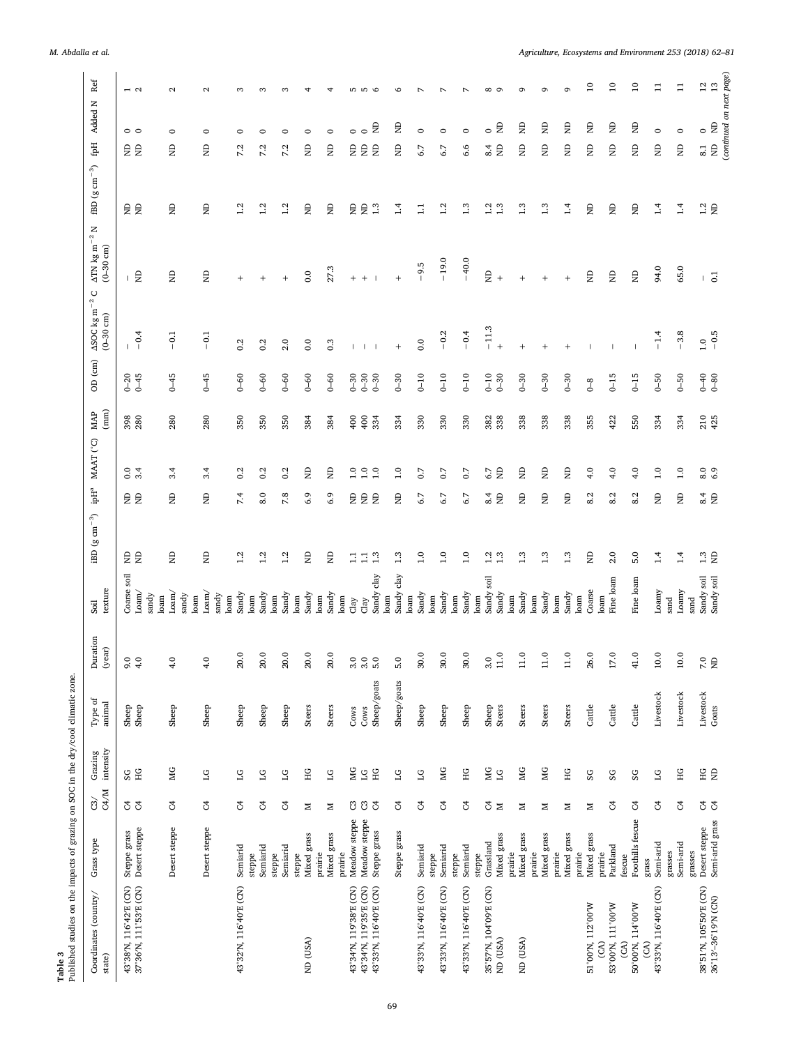| Published studies on the impacts of grazing on SOC in the dry/cool climatic zone.<br>Table 3 |                                             |                                             |                          |                     |                        |                                          |                                                 |                               |                                                                       |                      |                                               |                                                             |                                           |                                                 |                                               |     |
|----------------------------------------------------------------------------------------------|---------------------------------------------|---------------------------------------------|--------------------------|---------------------|------------------------|------------------------------------------|-------------------------------------------------|-------------------------------|-----------------------------------------------------------------------|----------------------|-----------------------------------------------|-------------------------------------------------------------|-------------------------------------------|-------------------------------------------------|-----------------------------------------------|-----|
| Coordinates (country/<br>state)                                                              | Grass type                                  | $\frac{3}{3}$                               | Grazing<br>intensity     | Type of<br>animal   | Duration<br>(year)     | texture<br>Soil                          | $\mathrm{iBD}$ (g cm $^{-3})$                   | $\mbox{ipH}^{\mbox{\tiny a}}$ | $\begin{array}{c} \text{MAP} \\ \text{(mm)} \end{array}$<br>MAAT (°C) | OD (cm)              | $\Delta\mathrm{SOC}$ kg m $^{-2}$ C (0–30 cm) | z<br>$\Delta \text{TN}$ kg m $^{-2}$<br>$(0-30 \text{ cm})$ | $\mathrm{fBD}$ (g $\mathrm{cm}^{-3})$     | $\mathbf{f}$                                    | Added N                                       | Ref |
| 43°38′N, 116°42′E (CN)<br>37°36′N, 111°53′E (CN)                                             | Desert steppe<br>Steppe grass               | ೮ ೮                                         | SG<br>SG                 | Sheep<br>Sheep      | 60<br>$\ddot{ }$       | Coarse soil<br>L <sub>oam</sub><br>sandy | e<br>E<br>e<br>E                                | $\rm ^{0.0}$<br>3.4           | 398<br>280                                                            | $0 - 45$             | $-0.4$                                        | ⊢ £                                                         | 自                                         | 。。<br>日                                         | $\overline{2}$                                |     |
|                                                                                              | Desert steppe                               | ै                                           | МG                       | Sheep               | $\frac{0}{4}$          | Loam/<br>sandy<br>loam                   | $\Xi$<br>$\Xi$                                  | 3.4                           | 280                                                                   | $6 - 45$             | $\overline{c}$<br>$\overline{\phantom{a}}$    | Ê                                                           | Ê                                         | $\circ$<br>Ê                                    | $\mathbf{a}$                                  |     |
|                                                                                              | Desert steppe                               | S,                                          | 51                       | Sheep               | $\frac{0}{4}$          | L <sub>o</sub> am/<br>sandy<br>loam      | $\Xi$<br>$\Xi$                                  | 3.4                           | 280                                                                   | $6 - 45$             | $\overline{5}$<br>$\mathbf{I}$                | g                                                           | Ê                                         | $\circ$<br>$\mathsf{g}% _{T}=\mathsf{g}_{T}$    | $\sim$                                        |     |
| 43°32'N, 116°40'E (CN)                                                                       | Semiarid<br>steppe                          | S,                                          | $\overline{51}$          | Sheep               | Q<br>$\overline{20}$   | Sandy<br>loam<br>loam                    | 7.4<br>1.2                                      | 0.2                           | 350                                                                   | $0 - 60$             | 0.2                                           | $^{+}$                                                      | 1.2                                       | $\circ$<br>7.2                                  | S                                             |     |
|                                                                                              | Semiarid<br>steppe                          | $\mathfrak{S}$                              | $\overline{\mathbb{C}}$  | Sheep               | Q<br>20.               | Sandy<br>loam                            | 8.0<br>1.2                                      | 0.2                           | 350                                                                   | $0-60$               | 0.2                                           | $^{+}$                                                      | 1.2                                       | $\circ$<br>7.2                                  | 3                                             |     |
|                                                                                              | Semiarid<br>steppe                          | F                                           | $\overline{\mathcal{L}}$ | Sheep               | Q<br>20.               | Sandy<br>loam                            | 7.8<br>1.2                                      | 0.2                           | 350                                                                   | $0-60$               | 2.0                                           | $\qquad \qquad +$                                           | 1.2                                       | $\circ$<br>7.2                                  | S                                             |     |
| ND (USA)                                                                                     | Mixed grass<br>prairie                      | Σ                                           | HG                       | Steers              | Q<br>$\overline{20}$   | Sandy<br>loam                            | 6.9<br>$\Xi$                                    | Ê                             | 384                                                                   | $0-60$               | 0.0                                           | 0.0                                                         | Ê                                         | $\circ$<br>$\mathrel{\mathop{\boxplus}}$        |                                               |     |
|                                                                                              | Mixed grass<br>prairie                      | Σ                                           | $\overline{\mathbf{C}}$  | Steers              | 20.0                   | Sandy<br>loam                            | 6.9<br>$\Xi$                                    | Ê                             | 384                                                                   | $0 - 60$             | 0.3                                           | 27.3                                                        | Ê                                         | $\circ$<br>$\Xi$                                | 4                                             |     |
| 43°34'N, 119°38'E (CN)                                                                       | Meadow steppe                               |                                             | МG                       | Cows                |                        | Clay                                     | e<br>E<br>$\Xi$                                 | 0.1                           | 400                                                                   | $0 - 30$             | $\mathbf{I}$                                  | $+$                                                         | ę,                                        | $\circ$<br>e e                                  | 5                                             |     |
| 43°33'N, 116°40'E (CN)<br>43°34'N, 119°35'E (CN)                                             | Meadow steppe<br>Steppe grass               | $332$                                       | ЭH<br>$\overline{C}$     | Sheep/goats<br>Cows |                        | Sandy clay<br>Clay                       | $\Xi$<br>1.3<br>$\Xi$                           | 1.0                           | 334<br>O,                                                             | $0 - 30$<br>$0 - 30$ | $\mathbf{I}$                                  | $+$                                                         | $\Xi$<br>1.3                              | $\circ$<br>$\epsilon$                           | LO<br>$\circ$<br>Ê                            |     |
|                                                                                              | Steppe grass                                | S                                           | $_{1G}$                  | Sheep/goats         | 5.0                    | Sandy clay<br>loam                       | $\Xi$<br>1.3                                    | 1.0                           | 334                                                                   | $0 - 30$             | $\ddot{}$                                     | $^{+}$                                                      | 1.4                                       | Ê                                               | O<br>Ê                                        |     |
| 43°33'N, 116°40'E (CN)                                                                       | Semiarid                                    | F                                           | $_{\text{LG}}$           | Sheep               | Q<br>$\overline{30}$ . | Sandy<br>loam                            | 6.7<br>$^{0.1}$                                 | 0.7                           | 330                                                                   | $0 - 10$             | 0.0                                           | $-9.5$                                                      | $\Xi$                                     | $\circ$<br>6.7                                  |                                               |     |
| 43°33'N, 116°40'E (CN)                                                                       | Semiarid<br>steppe                          | S,                                          | МG                       | Sheep               | Q<br>$\overline{30}$ . | Sandy<br>loam                            | 6.7<br>1.0                                      | 0.7                           | 330                                                                   | $0-10$               | $-0.2$                                        | $-19.0$                                                     | 1.2                                       | $\circ$<br>6.7                                  |                                               |     |
| 43°33'N, 116°40'E (CN)                                                                       | steppe<br>Semiarid                          | ु                                           | HG                       | Sheep               | 30.0                   | Sandy<br>loam                            | 6.7<br>1.0                                      | 0.7                           | 330                                                                   | $0 - 10$             | $-0.4$                                        | $-40.0$                                                     | 1.3                                       | $\circ$<br>6.6                                  |                                               |     |
| 35°57'N, 104°09'E (CN)                                                                       | Grassland<br>steppe                         | $\mathbb{Z}$ $\mathbb{Z}$                   | МG                       | Sheep               | 3.0                    | Sandy soil<br>loam                       | $rac{4}{N}$<br>$\frac{1}{1}$ $\frac{3}{1}$      | 6.7                           | 382<br>338                                                            | $0 - 10$             | $-11.3$                                       | Ê                                                           | $\begin{array}{c} 1.3 \\ 1.3 \end{array}$ | $\circ$<br>$\frac{4}{2}$                        | $\infty$                                      |     |
| ND (USA)                                                                                     | Mixed grass<br>prairie                      |                                             | $\Xi$                    | Steers              | Ó<br>$\Xi$             | Sandy<br>loam                            |                                                 | $\Xi$                         |                                                                       | $0 - 30$             | $^{+}$                                        | $^{+}$                                                      |                                           |                                                 | $\epsilon$                                    |     |
| ND (USA)                                                                                     | Mixed grass<br>prairie                      | z                                           | МG                       | Steers              | Q<br>$\Xi$             | Sandy<br>loam                            | $\frac{D}{N}$<br>1.3                            | Ê                             | 338                                                                   | $0 - 30$             | $^{+}$                                        | $\qquad \qquad +$                                           | 1.3                                       | Ê                                               | c<br>Ê                                        |     |
|                                                                                              | Mixed grass                                 | z                                           | МG                       | Steers              | 0<br>Ę                 | Sandy                                    | $\overline{a}$<br>1.3                           | Ê                             | 338                                                                   | $0 - 30$             |                                               | $^{+}$                                                      | 1.3                                       | Ê                                               | ç<br>Ê                                        |     |
|                                                                                              | Mixed grass<br>prairie                      | z                                           | HG                       | Steers              | c<br>$\Xi$             | Sandy<br>loam                            | $\Xi$<br>1.3                                    | Ê                             | 338                                                                   | $0 - 30$             | $^{+}$                                        | $^{+}$                                                      | 1.4                                       | Ê                                               | G<br>Ê                                        |     |
| 51°00'N, 112°00'W                                                                            | Mixed grass<br>prairie                      | z                                           | SG                       | Cattle              | c<br>26.               | Coarse<br>loam                           | 8.2<br>$\Xi$                                    | 4.0                           | 355                                                                   | $\sigma$             |                                               | $\mathsf{g}% _{T}$                                          | Ê                                         | Ê                                               | $\overline{10}$<br>Ê                          |     |
| 53°00'N, 111°00'W<br>$\mathcal{E}$                                                           | Parkland<br>prairie                         | ु                                           | $_{\rm{SG}}$             | Cattle              | c<br>17.               | Fine loam<br>$\mathop{\mathrm{loam}}$    | ∞<br>2.0                                        | 4.0<br>N                      | 422                                                                   | $6-15$               |                                               | Ê                                                           | g                                         | Ê                                               | $\overline{10}$<br>Ê                          |     |
| 50°00'N, 114°00'W<br>$\mathfrak{S}$                                                          | Foothills fescue<br>fescue                  | F                                           | SG                       | Cattle              | Q<br>$\overline{4}$ .  | Fine loam                                | 8.2<br>5.0                                      | 4.0                           | 550                                                                   | $0-15$               |                                               | $\mathrel{\mathop{\boxtimes}}$                              | Ê                                         | $\epsilon$                                      | $\overline{10}$<br>Ê                          |     |
| 43°33'N, 116°40'E (CN)<br>$\widetilde{S}$                                                    | Semi-arid<br>grass                          | $\mathfrak{S}% _{A}^{\ast}(\mathbb{R}^{2})$ | $\overline{\mathbb{C}}$  | Livestock           | Q<br>$\overline{5}$    | Loamy                                    | $\Xi$<br>1.4                                    | 1.0                           | 334                                                                   | $0-50$               | $-1.4$                                        | 94.0                                                        | 1.4                                       | $\circ$<br>Ê                                    | $\Xi$                                         |     |
|                                                                                              | Semi-arid<br>grasses                        | J                                           | НG                       | Livestock           | $10.0\,$               | Loamy<br>sand                            | $\Xi$<br>1.4                                    | 1.0                           | 334                                                                   | $0-50$               | $-3.8$                                        | 65.0                                                        | 1.4                                       | $\circ$<br>$\Xi$                                | $\Xi$                                         |     |
| 38°51'N, 105°50'E (CN)<br>36°13'-36°19'N (CN)                                                | Semi-arid grass<br>Desert steppe<br>grasses | $\mathfrak{L}$ $\mathfrak{L}$               | $_{\rm H G}$<br>$\Xi$    | Livestock<br>Goats  | $\frac{1}{2}$          | Sandy soil<br>Sandy soil<br>sand         | $\frac{4}{8}$ $\frac{4}{8}$<br>$\Xi$<br>$1.3\,$ | $_{\rm 8.0}$<br>6.9           | 210<br>425                                                            | $0 - 80$             | $1.0 - 0.5$                                   | $\overline{0}$<br>$\mathbf{I}$                              | $1.2 \text{ }$                            | $\circ$<br>$\mathrel{\mathop{\boxplus}}$<br>8.1 | (continued on next page)<br>13<br>12<br>$\Xi$ |     |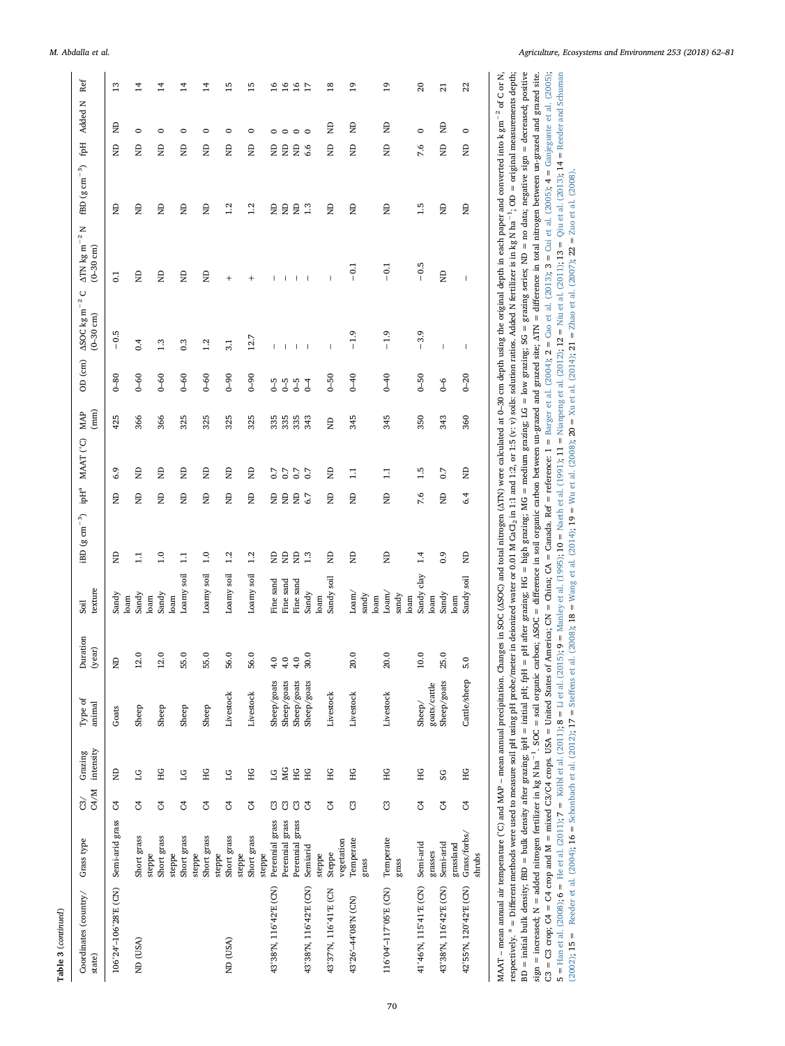|                    | Juration<br>year)             |
|--------------------|-------------------------------|
|                    | Type of<br>unimal             |
|                    | Grazing<br>intensit,          |
|                    | C4/M<br>යි/                   |
|                    | Grass type                    |
| Table 3 (continued | oordinates (country<br>state) |

| Coordinates (country/<br>state) | Grass type                      | C4/M<br>$\widetilde{\mathrm{c}}$ | intensity<br>Grazing      | Type of<br>animal           | Duration<br>(year) | texture<br>Soil       | iBD $(g \text{ cm}^{-3})$ ipH <sup>a</sup> MAAT (°C) MAP |       | (mm)       | OD $(cm)$  | $\Delta\text{SOC}$ kg m $^{-2}$ C<br>$(-30 \text{ cm})$                                                                                                                                                                                                                                                                                                                          | $\Delta \text{TN}$ kg m $^{-2}$ N<br>$(0 - 30$ cm)                                                                                                                                                                                                                                                                                                                               | $\mathrm{fBD}$ (g $\mathrm{cm^{-3}}$ ) |     | fpH Added N | Ref             |
|---------------------------------|---------------------------------|----------------------------------|---------------------------|-----------------------------|--------------------|-----------------------|----------------------------------------------------------|-------|------------|------------|----------------------------------------------------------------------------------------------------------------------------------------------------------------------------------------------------------------------------------------------------------------------------------------------------------------------------------------------------------------------------------|----------------------------------------------------------------------------------------------------------------------------------------------------------------------------------------------------------------------------------------------------------------------------------------------------------------------------------------------------------------------------------|----------------------------------------|-----|-------------|-----------------|
| 106°24′-106°28'E (CN)           | Semi-arid grass                 | J                                | $\Xi$                     | Goats                       | $\Xi$              | Sandy<br>loam         | $\Xi$<br>$\Xi$                                           |       | 425<br>6.9 | $0 - 80$   | $-0.5$                                                                                                                                                                                                                                                                                                                                                                           | $\overline{0}$                                                                                                                                                                                                                                                                                                                                                                   | Ê                                      | g   | ę           | 13              |
| ND (USA)                        | Short grass                     | S                                | SI                        | Sheep                       | 12.0               | Sandy                 | Ê<br>$\Xi$                                               |       | 366<br>Ê   | $0-60$     | 0.4                                                                                                                                                                                                                                                                                                                                                                              | Ê                                                                                                                                                                                                                                                                                                                                                                                | Ê                                      | Ê   | $\circ$     | $^{14}$         |
|                                 | Short grass<br>steppe<br>steppe | J                                | ΗG                        | Sheep                       | 12.0               | Sandy<br>loam<br>loam | $\Xi$<br>1.0                                             |       | 366<br>Ê   | $0 - 60$   | 1.3                                                                                                                                                                                                                                                                                                                                                                              | Ê                                                                                                                                                                                                                                                                                                                                                                                | Ê                                      | Ê   | $\circ$     | 14              |
|                                 | Short grass<br>steppe           | S                                | $\overline{\mathsf{L}}$ G | Sheep                       | 55.0               | Loamy soil            | $\Xi$<br>$\Xi$                                           |       | 325<br>g   | $0-60$     | 0.3                                                                                                                                                                                                                                                                                                                                                                              | g                                                                                                                                                                                                                                                                                                                                                                                | Ê                                      | g   | 0           | 14              |
|                                 | Short grass                     | F                                | ЧG                        | Sheep                       | 55.0               | Loamy soil            | $\Xi$<br>$\frac{0}{1}$                                   |       | 325<br>Ê   | $0 - 60$   | 1.2                                                                                                                                                                                                                                                                                                                                                                              | Ê                                                                                                                                                                                                                                                                                                                                                                                | Ê                                      | Ê   | $\circ$     | 14              |
| ND (USA)                        | Short grass<br>steppe           | F                                | $\overline{C}$            | Livestock                   | 56.0               | Loamy soil            | g<br>1.2                                                 | Ê     | 325        | $6 - 0$    | 3.1                                                                                                                                                                                                                                                                                                                                                                              | $\ddot{}$                                                                                                                                                                                                                                                                                                                                                                        | 1.2                                    | Ê   | 0           | 5               |
|                                 | Short grass<br>steppe<br>steppe | F                                | ЧG                        | Livestock                   | 56.0               | Loamy soil            | $\Xi$<br>1.2                                             | Ê     | 325        | $0 - 90$   | 12.7                                                                                                                                                                                                                                                                                                                                                                             | $\ddot{}$                                                                                                                                                                                                                                                                                                                                                                        | 1.2                                    | g   | 0           | 51              |
| 43°38'N, 116°42'E (CN)          | Perennial grass                 | ප                                | ĽG                        | Sheep/goats                 |                    | Fine sand             | $\Xi$<br>$\Xi$                                           | 0.7   | 335        | 5-0        | Ï                                                                                                                                                                                                                                                                                                                                                                                |                                                                                                                                                                                                                                                                                                                                                                                  | Ê                                      | Ê   | 0           | $\frac{6}{1}$   |
|                                 | Perennial grass                 | පි                               | МG                        | Sheep/goats                 | $9990$<br>$444$    | Fine sand             | $\Xi$<br>$\overline{a}$                                  | 0.7   | 335        | G5         | I                                                                                                                                                                                                                                                                                                                                                                                |                                                                                                                                                                                                                                                                                                                                                                                  | Ê                                      | Ê   | $\circ$     | $\frac{6}{1}$   |
|                                 | grass<br>Perennial              | ප                                | HG                        | Sheep/goats                 |                    | Fine sand             | $\Xi$<br>$\overline{a}$                                  | 0.7   | 335        | $6-5$      | $\begin{array}{c} \end{array}$                                                                                                                                                                                                                                                                                                                                                   |                                                                                                                                                                                                                                                                                                                                                                                  | Ê                                      | Ê   | $\circ$     | $\frac{6}{2}$   |
| 43°38'N, 116°42'E (CN)          | Semiarid                        | F                                | HG                        | Sheep/goats                 | 30.0               | Sandy                 | 6.7<br>1.3                                               | 0.7   | 343        | $\sqrt{4}$ | $\overline{\phantom{a}}$                                                                                                                                                                                                                                                                                                                                                         |                                                                                                                                                                                                                                                                                                                                                                                  | 1.3                                    | 6.6 | $\circ$     | $\overline{17}$ |
| 43°37'N, 116°41'E (CN           | Steppe<br>steppe                | S                                | НG                        | Livestock                   |                    | Sandy soil<br>loam    | $\Xi$<br>$\overline{a}$                                  |       | $\Xi$<br>Ê | $0-50$     | $\begin{array}{c} \rule{0pt}{2.5ex} \rule{0pt}{2.5ex} \rule{0pt}{2.5ex} \rule{0pt}{2.5ex} \rule{0pt}{2.5ex} \rule{0pt}{2.5ex} \rule{0pt}{2.5ex} \rule{0pt}{2.5ex} \rule{0pt}{2.5ex} \rule{0pt}{2.5ex} \rule{0pt}{2.5ex} \rule{0pt}{2.5ex} \rule{0pt}{2.5ex} \rule{0pt}{2.5ex} \rule{0pt}{2.5ex} \rule{0pt}{2.5ex} \rule{0pt}{2.5ex} \rule{0pt}{2.5ex} \rule{0pt}{2.5ex} \rule{0$ | $\overline{\phantom{a}}$                                                                                                                                                                                                                                                                                                                                                         | Ê                                      | Ê   | Ê           | $\frac{8}{1}$   |
| 43°26'-44°08'N (CN)             | Temperate<br>vegetation         | ප                                | НG                        | Livestock                   | 20.0               | Loam/                 | $\Xi$<br>$\Xi$                                           | $\Xi$ | 345        | $0 - 40$   | $-1.9$                                                                                                                                                                                                                                                                                                                                                                           | $-0.1$                                                                                                                                                                                                                                                                                                                                                                           | Ê                                      | Ê   | Ê           | $^{9}$          |
|                                 | grass                           |                                  |                           |                             |                    | sandy<br>loam         |                                                          |       |            |            |                                                                                                                                                                                                                                                                                                                                                                                  |                                                                                                                                                                                                                                                                                                                                                                                  |                                        |     |             |                 |
| 116°04'-117°05'E (CN)           | Temperate                       | ප                                | HG                        | Livestock                   | $20.0\,$           | Loam/                 | $\Xi$<br>Ê                                               | $\Xi$ | 345        | $0 - 40$   | $-1.9$                                                                                                                                                                                                                                                                                                                                                                           | $-0.1$                                                                                                                                                                                                                                                                                                                                                                           | Ê                                      | Ê   | Ê           | $\overline{0}$  |
|                                 | grass                           |                                  |                           |                             |                    | sandy<br>loam         |                                                          |       |            |            |                                                                                                                                                                                                                                                                                                                                                                                  |                                                                                                                                                                                                                                                                                                                                                                                  |                                        |     |             |                 |
| 41°46'N, 115°41'E (CN)          | Semi-arid                       | S                                | НG                        | Sheep/                      | 10.0               | Sandy clay            | 7.6<br>1.4                                               |       | 350<br>1.5 | $0-50$     | $-3.9$                                                                                                                                                                                                                                                                                                                                                                           | $-0.5$                                                                                                                                                                                                                                                                                                                                                                           | 1.5                                    | 7.6 | $\circ$     | 20              |
| 43°38'N, 116°42'E (CN)          | Semi-arid<br>grasses            | J                                | SG                        | Sheep/goats<br>goats/cattle | 25.0               | Sandy<br>loam         | $\Xi$<br>0.9                                             | 0.7   | 343        | e<br>G     | $\begin{array}{c} \rule{0pt}{2.5ex} \rule{0pt}{2.5ex} \rule{0pt}{2.5ex} \rule{0pt}{2.5ex} \rule{0pt}{2.5ex} \rule{0pt}{2.5ex} \rule{0pt}{2.5ex} \rule{0pt}{2.5ex} \rule{0pt}{2.5ex} \rule{0pt}{2.5ex} \rule{0pt}{2.5ex} \rule{0pt}{2.5ex} \rule{0pt}{2.5ex} \rule{0pt}{2.5ex} \rule{0pt}{2.5ex} \rule{0pt}{2.5ex} \rule{0pt}{2.5ex} \rule{0pt}{2.5ex} \rule{0pt}{2.5ex} \rule{0$ | g                                                                                                                                                                                                                                                                                                                                                                                | Ê                                      | g   | Ê           | ឆ               |
|                                 | grassland                       |                                  |                           |                             |                    | loam                  |                                                          |       |            |            |                                                                                                                                                                                                                                                                                                                                                                                  |                                                                                                                                                                                                                                                                                                                                                                                  |                                        |     |             |                 |
| 42°55'N, 120°42'E (CN)          | Grass/forbs/<br>shrubs          | J                                | HG                        | Cattle/sheep                | 5.0                | Sandy soil            | 6.4<br>$\Xi$                                             | Ê     | 360        | $0 - 20$   | $\,$ $\,$                                                                                                                                                                                                                                                                                                                                                                        | $\begin{array}{c} \rule{0pt}{2.5ex} \rule{0pt}{2.5ex} \rule{0pt}{2.5ex} \rule{0pt}{2.5ex} \rule{0pt}{2.5ex} \rule{0pt}{2.5ex} \rule{0pt}{2.5ex} \rule{0pt}{2.5ex} \rule{0pt}{2.5ex} \rule{0pt}{2.5ex} \rule{0pt}{2.5ex} \rule{0pt}{2.5ex} \rule{0pt}{2.5ex} \rule{0pt}{2.5ex} \rule{0pt}{2.5ex} \rule{0pt}{2.5ex} \rule{0pt}{2.5ex} \rule{0pt}{2.5ex} \rule{0pt}{2.5ex} \rule{0$ | Ê                                      | Ê   | $\circ$     | 22              |

MAAT - mean annual air temperature ('C) and MAP - mean annual precipitation. Changes in SOC (ASOC) and total nitrogen (ATN) were calculated at 0-30 cm depth using the original depth in each paper and converted into k gm<sup>-2</sup> <sup>a</sup> = Different methods were used to measure soil pH using pH probe/meter in deionized water or 0.01 M CaCl<sub>2</sub> in 1:1 and 1:2, or 1:5 (v: v) soils: solution ratios. Added N fertilizer is in kg N ha<sup>-1</sup>; OD = original measu  $BD = initial bulk density$   $fBD = bulk density$  after grazing;  $ipH = initial$   $pH$  after grazing;  $H = pl$  after grazing;  $H = H$  and grazing;  $MG = median$  grazing;  $G = low$  grazing;  $SG = graving$  series;  $ND = no$  data; negative sign = decreased; positive sign = increased; N = added nitrogen fertilizer in kg N ha<sup>-1</sup>. SOC = soil organic carbon; ASOC = difference in soil organic carbon between un-grazed and grazed site; ATN = difference in total nitrogen between un-grazed an  $C3 = C3$  crop,  $C4 = C4$  crop and M = mixed C3/C4 crops. USA = United States of America; CN = China; CA = Canada. Ref = reference: 1 = Barger et al. (2004); 2 = Cao et al. (2013); 3 = Cui et al. (2005); 4 = Ganjegunte et al. MAAT - mean annual air temperature ('C) and MAP - mean annual precipitation. Changes in SOC (ASOC) and total nitrogen (ATN) were calculated at 0-30 cm depth using the original depth in each paper and converted into k gm<sup>-2</sup> respectively. <sup>a</sup> = Different methods were used to measure soil pH using pH probe/meter in deionized water or 0.01 M CaCl<sub>2</sub> in 1:1 and 1:2, or 1:5 (v: v) soils: solution ratios. Added N fertilizer is in kg N ha<sup>-1</sup>; OD = BD = initial bulk density; fBD = bulk density after grazing; ipH = initial pH; fpH = pH after grazing; HG = high grazing; MG = medium grazing; LG = low grazing; SG = grazing series; ND = no data; negative sign = decreased sign = increased; N = added nitrogen fertilizer in kg N ha<sup>-1</sup>. SOC = soil organic carbon; ASOC = difference in soil organic carbon between un-grazed and grazed site; ATN = difference in total nitrogen between un-grazed an C3 = C4 crop and M = mixed C3/C4 crops. USA = United States of America; CN = China; CA = Canada. Ref = reference: 1 = Barger et al. [\(2004\)](#page-17-30); 2 = Cao et al. [\(2013\);](#page-17-31) 3 = Cui et al. [\(2005\)](#page-17-3); 4 = Gariegunte et al. (2005);  $5 =$  Han et al. [\(2008\)](#page-17-33);  $6 =$  He et al. [\(2011\);](#page-17-34)  $7 =$  Kölbl et al. [\(2011\)](#page-18-31);  $8 =$  Li et al. [\(2015\)](#page-18-28);  $9 =$  [Manley](#page-18-6) et al. (1995);  $10 =$  Maeth et al. [\(1991\);](#page-18-29)  $11 =$  Manpeng et al. (2012);  $12 =$  Niu et al. [\(2013\)](#page-18-32);  $13 =$  Qiu et al. (2002); 15 = Reeder et al. (2004); 16 = Schonbach et al. (2012); 17 = Steffens et al. (2008); 18 = Wang et al. (2014); 19 = Wu et al. (2008); 20 = Xu et al. (2014); 21 = Zhao et al. (2007); 22 = Zuo et al. (2008). [\(2002\)](#page-18-8); 15 = Reeder et al. [\(2004\)](#page-18-33); 16 = [Schonbach](#page-18-34) et al. (2012); 17 = Steffens et al. [\(2008\)](#page-18-35); 18 = Wang et al. [\(2014\);](#page-19-9) 19 = Wu et al. [\(2008\)](#page-19-10); 20 = Xu et al. [\(2014\)](#page-19-11); 21 = Zhao et al. [\(2007\)](#page-19-12); 22 = Zuo et al. [\(2008\)](#page-19-3). respectively.

 $\mathbf{r}$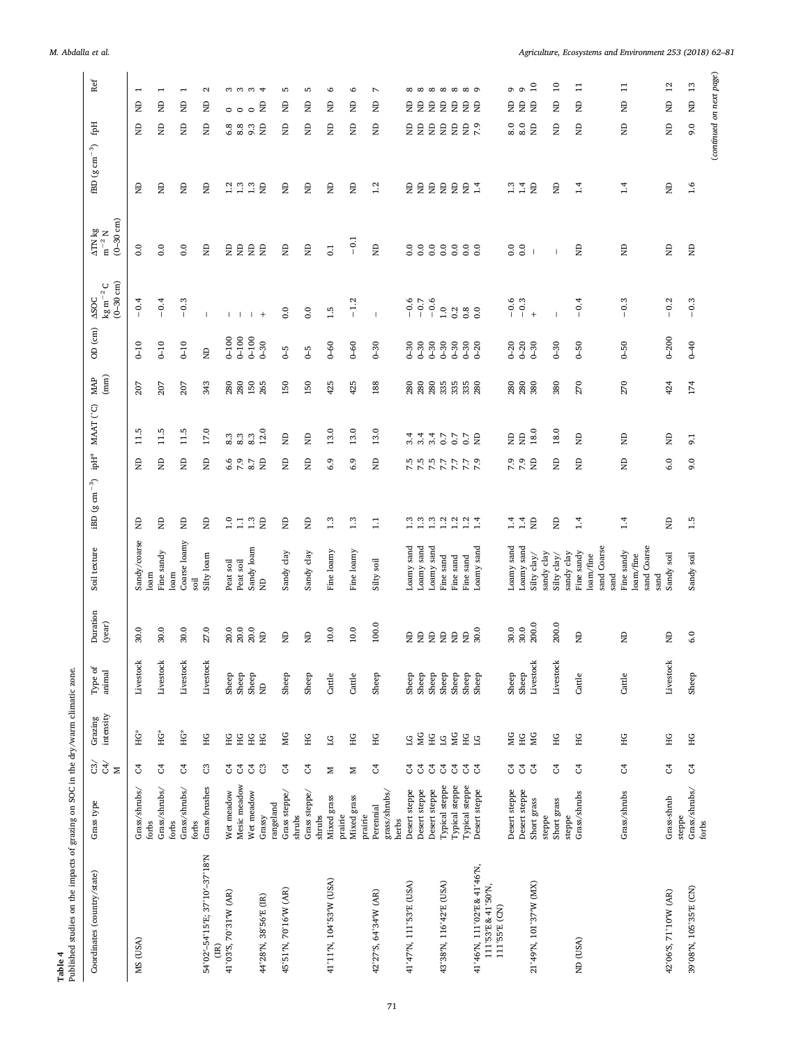| Published studies on the impacts of grazing on SOC in the dry/warm climatic zone.<br>Table 4 |                                                     |                                                                                              |                          |                         |                         |                                         |                                                    |                               |                                                                      |                                                          |                       |                                                      |                                                        |                                                |                            |                                |
|----------------------------------------------------------------------------------------------|-----------------------------------------------------|----------------------------------------------------------------------------------------------|--------------------------|-------------------------|-------------------------|-----------------------------------------|----------------------------------------------------|-------------------------------|----------------------------------------------------------------------|----------------------------------------------------------|-----------------------|------------------------------------------------------|--------------------------------------------------------|------------------------------------------------|----------------------------|--------------------------------|
| Coordinates (country/state)                                                                  | Grass type                                          | ੌਰੇ ਹੋ<br>$\geq$                                                                             | Grazing<br>intensity     | ${\bf Type\ of\ anima}$ | Duration<br>(year)      | Soil texture                            | iBD (g cm $^{-3}$ )                                | $\mbox{ipH}^{\mbox{\tiny a}}$ | MAAT (°C)                                                            | $\begin{array}{c} \text{MAP} \\ \text{(mm)} \end{array}$ | OD (cm)               | $(0 - 30$ cm)<br>$kg m^{-2} C$<br>$\Delta\text{SOC}$ | $(0 - 30$ cm)<br>$\Delta \text{TN}$ kg m $^{-2}$ N     | $\times$ Cg cm $^{-3})$                        | Ęф                         | Ref                            |
| MS (USA)                                                                                     | Grass/shrubs/<br>forbs                              | ै                                                                                            | ̰                        | Livestock               | 30.0                    | Sandy/coarse<br>loam                    | g                                                  | $\epsilon$                    | 11.5                                                                 | 207                                                      | $0-10$                | $-0.4$                                               | $\overline{0}$ .                                       | $\epsilon$                                     | $\epsilon$                 | $\overline{ }$<br>$\epsilon$   |
|                                                                                              | Grass/shrubs/<br>forbs                              | $\mathfrak{S}$                                                                               | ÎG*                      | Livestock               | 30.0                    | Fine sandy<br>loam                      | Ê                                                  | Ê                             | 11.5                                                                 | 207                                                      | $0 - 10$              | $-0.4$                                               | 0.0                                                    | Ê                                              | Ê                          | $\overline{ }$<br>Ê            |
|                                                                                              | Grass/shrubs/                                       | S,                                                                                           | Ϋ́                       | Livestock               | 30.0                    | Coarse loamy                            | Ê                                                  | Ê                             | 11.5                                                                 | 207                                                      | $0-10$                | $-0.3$                                               | $\rm ^{0.0}$                                           | Ê                                              | Ê                          | $\overline{\phantom{0}}$<br>Ê  |
| 54°02'-54°15'E; 37°10'-37°18'N                                                               | Grass/brushes<br>forbs                              | <b>U</b>                                                                                     | ЭH                       | Livestock               | 27.0                    | Silty loam<br>soil                      | Ê                                                  | Ê                             | 17.0                                                                 | 343                                                      | $\Xi$                 | $\overline{\phantom{a}}$                             | $\Xi$                                                  | Ê                                              | Ê                          | $\mathbf{c}$<br>Ê              |
| 41°03'S, 70°31'W (AR)<br>$\widetilde{\Xi}$                                                   | Wet meadow                                          | S,                                                                                           | НG                       |                         | 20.0                    | Peat soil                               |                                                    |                               |                                                                      |                                                          | $0 - 100$             | $\mathbf{L}$                                         |                                                        |                                                | 6.8                        | $\circ$                        |
|                                                                                              | Mesic meadow                                        | S4                                                                                           | HG                       | Sheep<br>Sheep          | 20.0                    | Peat soil                               | $\begin{smallmatrix} 1.0 \\ 1.1 \end{smallmatrix}$ | $6.9$ $7.8$                   | $\begin{array}{ccc} 0.2 & 0.2 \\ 0.2 & 0.2 \\ 0.2 & 0.2 \end{array}$ | <b>280</b><br>280                                        | $0 - 100$             | $\overline{1}$                                       |                                                        | $\begin{array}{cc} 2 & 3 \\ 1 & 3 \end{array}$ | 8.8                        | ო ო ო<br>$\circ$               |
| 44°28'N, 38°56'E (IR)                                                                        | Wet meadow<br>Grassy                                | $\mathfrak{S}$<br>ප                                                                          | НG<br>НG                 | Sheep<br>$\Xi$          | 20.0<br>$\overline{a}$  | Sandy loam<br>$\Xi$                     | $1.3\,$<br>$\epsilon$                              | $\Xi$                         | 12.0                                                                 | 150<br>265                                               | $0 - 100$<br>$0 - 30$ | $^{+}$<br>$\overline{\phantom{a}}$                   | 皇皇皇皇                                                   | $\Xi$                                          | 9.3<br>$\Xi$               | $\overline{4}$<br>g<br>$\circ$ |
|                                                                                              | rangeland                                           |                                                                                              |                          |                         |                         |                                         |                                                    |                               |                                                                      |                                                          |                       |                                                      |                                                        |                                                |                            |                                |
| 45°51'N, 70°16'W (AR)                                                                        | Grass steppe/<br>shrubs                             | $\mathfrak{S}$                                                                               | МG                       | Sheep                   | $\Xi$                   | Sandy clay                              | $\Xi$                                              | Ê                             | $\Xi$                                                                | 150                                                      | $6 - 5$               | 0.0                                                  | $\Xi$                                                  | $\mathsf{B}$                                   | Ê                          | Б<br>Ê                         |
|                                                                                              | Grass steppe/<br>shrubs                             | ै                                                                                            | НG                       | Sheep                   | $\Xi$                   | Sandy clay                              | Ê                                                  | Ê                             | $\Xi$                                                                | 150                                                      | $6 - 5$               | $\rm ^{0.0}$                                         | Ê                                                      | Ê                                              | ę                          | ъ<br>Ê                         |
| 41°11'N, 104°53'W (USA)                                                                      | Mixed grass                                         | z                                                                                            | $\overline{C}$           | Cattle                  | 10.0                    | Fine loamy                              | 1.3                                                | 6.9                           | 13.0                                                                 | 425                                                      | $0-60$                | 1.5                                                  | 0.1                                                    | Ê                                              | Ê                          | $\circ$<br>Ê                   |
|                                                                                              | Mixed grass<br>prairie                              | Z                                                                                            | НG                       | Cattle                  | $10.0\,$                | Fine loamy                              | 1.3                                                | $6.9$                         | 13.0                                                                 | 425                                                      | $0-60$                | $-1.2$                                               | $-5-$                                                  | Ê                                              | Ê                          | $\circ$<br>Ê                   |
| 42°27'S, 64°34'W (AR)                                                                        | Perennial<br>prairie                                | S,                                                                                           | ЭH                       | Sheep                   | 100.0                   | Silty soil                              | Ξ                                                  | Ê                             | 13.0                                                                 | 188                                                      | $0-30$                | $\mathbf{I}$                                         | Ê                                                      | 1.2                                            | Ê                          | Z<br>Ê                         |
|                                                                                              | grass/shrubs/<br>herbs                              |                                                                                              |                          |                         |                         |                                         |                                                    |                               |                                                                      |                                                          |                       |                                                      |                                                        |                                                |                            |                                |
| 41°47'N, 111°53'E (USA)                                                                      | Desert steppe                                       | <sup>전</sup> 간                                                                               | <b>SA</b>                |                         |                         | Loamy sand                              |                                                    |                               | 3.4                                                                  |                                                          | $0-30$                | $-0.6$                                               | 0.0000                                                 |                                                | Ê                          |                                |
|                                                                                              | Desert steppe                                       |                                                                                              |                          | Sheep<br>Sheep          |                         | Loany sand                              |                                                    |                               | 3.4                                                                  | <b>280</b><br>280                                        | $0 - 30$              | $-0.7$<br>$-0.6$                                     |                                                        |                                                | $\epsilon$                 | .<br>日                         |
|                                                                                              | Desert steppe                                       | $\rm G$                                                                                      | $\rm{H}$                 | Sheep                   |                         | Loamy sand                              |                                                    |                               | 3.4                                                                  | <b>280</b><br>335                                        | $0 - 30$              |                                                      | $_{\rm 0.0}$                                           |                                                | $\Xi$                      | $\epsilon$                     |
| 43°38'N, 116°42'E (USA)                                                                      | Typical steppe                                      | $\rm G$                                                                                      | $\overline{\mathcal{L}}$ | Sheep                   |                         | Fine sand                               |                                                    |                               | $\overline{0.7}$                                                     |                                                          | $0 - 30$              | 1.0                                                  | $_{\rm 0.0}$                                           |                                                | $\epsilon$                 | 自                              |
|                                                                                              | Typical steppe<br>Typical steppe                    | $\rm G$                                                                                      | МG                       | Sheep<br>Sheep          | 22222                   | Fine sand<br>Fine sand                  |                                                    |                               | 0.7                                                                  | 335<br>335                                               | $0 - 30$<br>$0 - 30$  |                                                      | $_{\rm 0.0}$                                           |                                                | $\epsilon$<br>$\mathsf{B}$ |                                |
| 41°46'N, 111°02'E & 41°46'N,<br>111°53'E & 41°50'N,<br>111°55'E (CN)                         | Desert steppe                                       | 34                                                                                           | SТ В                     | Sheep                   | 30.0                    | Loamy sand                              | nnnnnnn                                            | 5.5.5.7.7.9.7.7.7.7           | 0.7                                                                  | 280                                                      | $0 - 20$              |                                                      | $\begin{smallmatrix} 0 & 0 \\ 0 & 0 \end{smallmatrix}$ | 自自自自自言                                         | 7.9                        | $\infty$<br>自                  |
|                                                                                              | Desert steppe                                       | ु                                                                                            | ЙG                       | Sheep                   | 30.0                    | Loamy sand                              | $\ddot{ }$                                         |                               | $\Xi$                                                                | 280                                                      | $0 - 20$              |                                                      | $\overline{0}$ .                                       |                                                | 8.0                        | G<br>Ê                         |
|                                                                                              | Desert steppe                                       | $\mathfrak{S}$                                                                               | $\Xi$                    | Sheep                   | 30.0                    | Loamy sand                              | 1.4                                                | $7.9$<br>$7.9$                | $\Xi$                                                                | <b>280</b><br>380                                        | $0 - 20$              | $-0.6$<br>$-0.3$                                     | 0.0                                                    | $1.3$<br>$1.4$                                 | 8.0                        | $\sigma$<br>$\mathsf{B}$       |
| 21°49'N, 101°37'W (MX)                                                                       | Short grass                                         | $\mathcal{C}^4$                                                                              | ЙG                       | Livestock               | 200.0                   | Silty clay/                             | $\epsilon$                                         |                               | 18.0                                                                 |                                                          | $0 - 30$              | $+$                                                  | $\overline{\phantom{a}}$                               | $\epsilon$                                     | $\epsilon$                 | $\overline{10}$<br>$\epsilon$  |
|                                                                                              | Short grass<br>steppe<br>steppe                     | $\mathfrak{S}$                                                                               | НG                       | Livestock               | 200.0                   | sandy clay<br>sandy clay<br>Silty clay/ | Ê                                                  | Ê                             | 18.0                                                                 | 380                                                      | $0 - 30$              |                                                      | $\overline{1}$                                         | Ê                                              | Ê                          | $\overline{10}$<br>Ê           |
| ND (USA)                                                                                     | Grass/shrubs                                        | 3                                                                                            | ΗG                       | Cattle                  | $\overline{\mathbf{z}}$ | Fine sandy                              | 1.4                                                | Ê                             | Ê                                                                    | 270                                                      | $0-50$                | $-0.4$                                               | Ê                                                      | 1.4                                            | Ê                          | Ξ<br>Ê                         |
|                                                                                              |                                                     |                                                                                              |                          |                         |                         | sand Coarse<br>loam/fine<br>sand        |                                                    |                               |                                                                      |                                                          |                       |                                                      |                                                        |                                                |                            |                                |
|                                                                                              | Grass/shrubs                                        | $\mathfrak{S}% _{A}^{\ast}(\mathfrak{S}_{A})\simeq\mathfrak{S}_{A}^{\ast}(\mathfrak{S}_{A})$ | ЭH                       | Cattle                  | $\overline{\mathbf{z}}$ | Fine sandy                              | 1.4                                                | Ê                             | $\Xi$                                                                | 270                                                      | $0-50$                | 0.3<br>$\mathbf{I}$                                  | Ê                                                      | 1.4                                            | Ê                          | $\Xi$<br>$\Xi$                 |
|                                                                                              |                                                     |                                                                                              |                          |                         |                         | sand Coarse<br>loam/fine<br>sand        |                                                    |                               |                                                                      |                                                          |                       |                                                      |                                                        |                                                |                            |                                |
| 42°06'S, 71°10'W (AR)                                                                        | Grass-shrub                                         | $\mathfrak{S}$                                                                               | НG                       | Livestock               | $\Xi$                   | Sandy soil                              | Ê                                                  | 6.0                           | $\Xi$                                                                | 424                                                      | $0 - 200$             | $-0.2$                                               | Ê                                                      | Ê                                              | Ê                          | 12<br>Ê                        |
| 39°08'N, 105°35'E (CN)                                                                       | $\mbox{Grass}/\mbox{shrubs}/\mbox{forbs}$<br>steppe | $\mathcal{C}^4$                                                                              | ΗG                       | Sheep                   | 6.0                     | Sandy soil                              | 1.5                                                | 9.0                           | 9.1                                                                  | 174                                                      | $0-40$                | $-0.3$                                               | $\mathsf{B}$                                           | 1.6                                            | 9.0                        | 13<br>$\infty$                 |
|                                                                                              |                                                     |                                                                                              |                          |                         |                         |                                         |                                                    |                               |                                                                      |                                                          |                       |                                                      |                                                        |                                                |                            | (continued on next page)       |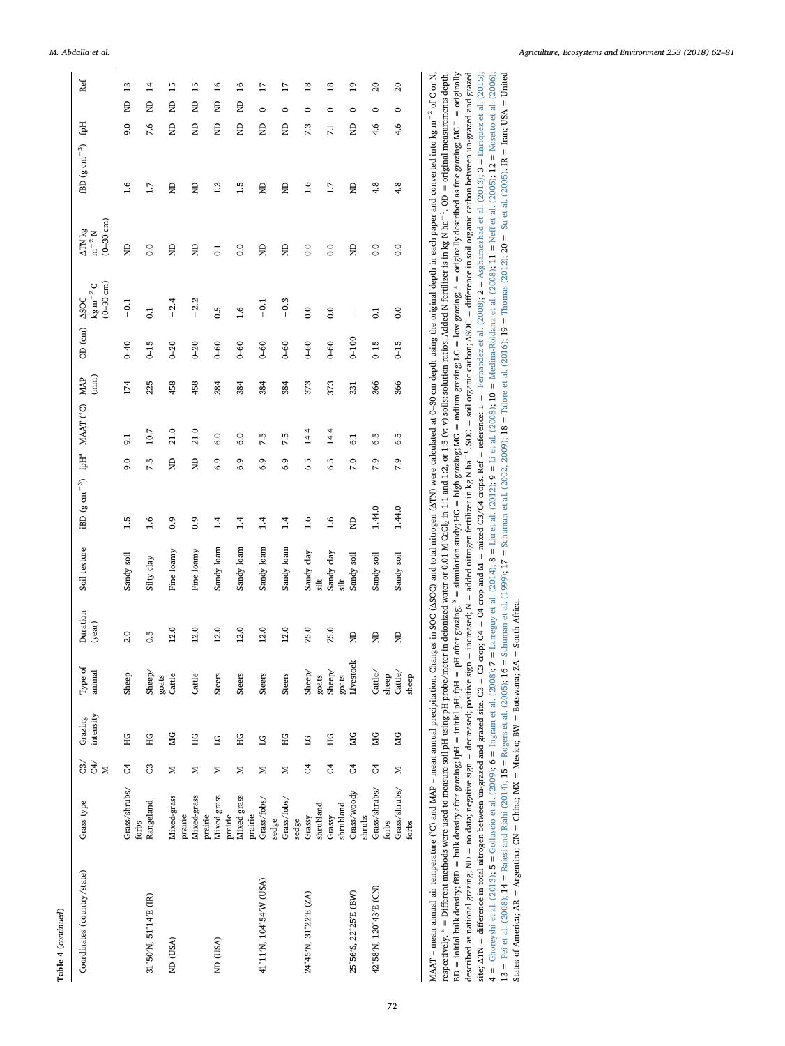| ٦ |
|---|
|   |

| Ref                                                          | 13                     | $\overline{1}$        | 15                     | 15                     | 16               | 16                     | $\overline{17}$         | $\overline{17}$      | 18                           | $^{18}$                     | $^{9}$                | $\overline{20}$         | 20                             |       |
|--------------------------------------------------------------|------------------------|-----------------------|------------------------|------------------------|------------------|------------------------|-------------------------|----------------------|------------------------------|-----------------------------|-----------------------|-------------------------|--------------------------------|-------|
| Hql                                                          | g<br>0.6               | $\overline{z}$<br>7.6 | $\Xi$<br>Ê             | Ê<br>Ê                 | Ê<br>Ê           | Ê<br>Ê                 | $\circ$<br>Ê            | $\circ$<br>g         | 0<br>7.3                     | $\circ$<br>7.1              | 0<br>g                | 0<br>4.6                | $\circ$<br>4.6                 |       |
|                                                              |                        |                       |                        |                        |                  |                        |                         |                      |                              |                             |                       |                         |                                |       |
|                                                              | 1.6                    | 1.7                   |                        |                        | 1.3              | 1.5                    |                         |                      | 1.6                          | 1.7                         |                       | 4.8                     |                                |       |
|                                                              |                        |                       | Ê                      | Ê                      |                  |                        | Ê                       | Ê                    |                              |                             | Ê                     |                         | 4.8                            |       |
| $(0 - 30$ cm)<br>$\Delta \text{TN}$ kg<br>$\rm m^{-2}\rm\,N$ | Ê                      | 0.0                   | Ê                      | Ê                      | $\overline{0.1}$ | 0.0                    | Ê                       | Ê                    | 0.0                          | 0.0                         | Ê                     | 0.0                     | 0.0                            |       |
| $(0 - 30$ cm)<br>$\rm kg\,m^{-2}\,C$<br><b>ASOC</b>          | $-0.1$                 | $\overline{0}$        | $-2.4$                 | $-2.2$                 | 0.5              | 1.6                    | $-0.1$                  | $-0.3$               | 0.0                          | $\overline{0}$ .            | I                     | $\overline{0}$          | 0.0                            |       |
| OD (cm)                                                      | $0 - 40$               | $61-0$                | $0 - 20$               | $0 - 20$               | $0 - 60$         | $0 - 60$               | $0 - 60$                | $0 - 60$             | $0-60$                       | $0 - 60$                    | $001-0$               | $0 - 15$                | $0 - 15$                       |       |
| (mm)<br><b>MAP</b>                                           | 174                    | 225                   | 458                    | 458                    | 384              | 384                    | 384                     | 384                  | 373                          | 373                         | 331                   | 366                     | 366                            |       |
| ipH <sup>a</sup> MAAT (°C)                                   | $\overline{9}$ .       | 10.7                  | 21.0                   | 21.0                   | 6.0              | 6.0                    | 7.5                     | 7.5                  | 14.4                         | 14.4                        | $\overline{61}$       | 6.5                     | 6.5                            |       |
|                                                              | 9.0                    | 7.5                   | Ê                      | Ê                      | 6.9              | 6.9                    | 6.9                     | 6.9                  | 6.5                          | 6.5                         | 7.0                   | 7.9                     | 7.9                            |       |
| iBD (g $\rm cm^{-3})$                                        | 1.5                    | 1.6                   | 0.9                    | 0.9                    | 1.4              | 1.4                    | 1.4                     | 1.4                  | 1.6                          | 1.6                         | Ê                     | 1.44.0                  | 1.44.0                         |       |
| Soil texture                                                 | Sandy soil             | Silty clay            | Fine loamy             | Fine loamy             | Sandy loam       | Sandy loam             | Sandy loam              | Sandy loam           | Sandy clay<br>$s$ ilt        | Sandy clay<br>$\ddot{a}$    | Sandy soil            | Sandy soil              | Sandy soil                     |       |
| Duration<br>(year)                                           | 2.0                    | 0.5                   | 12.0                   | 12.0                   | 12.0             | 12.0                   | 12.0                    | 12.0                 | 75.0                         | 75.0                        | $\Xi$                 | $\Xi$                   | $\Xi$                          |       |
| Type of<br>animal                                            | Sheep                  | Sheep/                | goats<br>Cartle        | Cattle                 | <b>Steers</b>    | <b>Steers</b>          | <b>Steers</b>           | Steers               | Sheep/                       | $_{\rm Sheep/}^{\rm{gots}}$ | Livestock<br>goats    | Cattle/                 | $\mbox{Cattle}\slash$<br>sheep | sheep |
| intensity<br>Grazing                                         | ΗG                     | HG                    | МG                     | ΗG                     | $\overline{1}G$  | ЭH                     | $\overline{C}$          | ΗG                   | $\overline{1}G$              | ЭH                          | ЙG                    | МG                      | MG                             |       |
| C4/<br>$\widetilde{\mathrm{c}}$<br>$\geq$                    | $\mathfrak{S}$         | 3                     | Z                      | z                      | z                | z                      | z                       | z                    | F                            | უ<br>ე                      | S,                    | S,                      | Σ                              |       |
| Grass type                                                   | Grass/shrubs/<br>forbs | Rangeland             | Mixed-grass<br>prairie | Mixed-grass<br>prairie | Mixed grass      | Mixed grass<br>prairie | prairie<br>Grass/fobs/  | Grass/fobs/<br>sedge | shrubland<br>Grassy<br>sedge | shrubland<br>Grassy         | Grass/woody           | Grass/shrubs/<br>shrubs | Grass/shrubs/<br>forbs         | forbs |
| Coordinates (country/state)                                  |                        | 31°50'N, 51°14'E (IR) | ND (USA)               |                        | ND (USA)         |                        | 41°11'N, 104°54'W (USA) |                      | 24°45'N, 31°22'E (ZA)        |                             | 25°56'S, 22°25'E (BW) | 42°58'N, 120°43'E (CN)  |                                |       |

MAAT – mean amual air temperature (°C) and MAP – mean amual precipitation. Changes in SOC (ASOC) and total nitrogen (ATN) were calculated at 0–30 cm depth using the original depth in each paper and converted into kg m<sup>-2</sup>  $BD = initial bulk density; BD = bulk density; after grazing: pH = initial pit; pH = plate grating; s = simulation study; HG = high grains; MG = radius; G = low grazing; * = originally described as free grains; MG<sup>+</sup> = originally.$ site; ATN = difference in total nitrogen between un-grazed and grazed cite. C3 = C3 crop;  $O4 = CO$  and M = mixed C3/ $O4$  crops. Ref = reference: 1 = Fernandez et al. (2008); 2 = Asgharnezhad et al. (2013); 3 = Emiquez et al described as national grazing; ND = no data; negative sign = decreased; positive sign = increased; N = added nitrogen fertilizer in kg N ha<sup>-1</sup>. SOC = soil organic carbon; ASOC = difference in soil organic carbon between u MAAT - mean annual air temperature ('C) and MAP - mean annual precipitation. Changes in SOC (ASOC) and total nitrogen (ATN) were calculated at 0-30 cm depth using the original depth in each paper and converted into kg m<sup>-2</sup> respectively. <sup>a</sup> = Different methods were used to measure soil pH using pH probe/meter in deionized water or 0.01 M GaCl<sub>2</sub> in 1:1 and 1:2, or 1:5 (v: v) solis: solution ratios. Added N fertilizer is in kg N ha<sup>-1</sup>. OD = BD = initial bulk density, BD = bulk density after grazing; ipH = initial pH; fpH = pH after grazing; <sup>\$</sup> = simulation study; HG = high grazing; RG = mdium grazing; LG = low grazing; \* = originally described as free grazin described as national grazing; ND = no data; negative sign = decreased; positive sign = increased; N = added nitrogen fertilizer in kg N ha<sup>-1</sup>. SOC = soil organic carbon; ASOC = difference in soil organic carbon between u site; ATN = difference in total nitrogen between un-grazed and grazed and grazed site. C3 = C4 = C4 = c4 crop and M = mixed C3/C4 crops. Ref = reference: 1 = Femandez et al. (2003); 2 = Asgharmezhad et al. (2013); 3 = Eur 4 = [Ghoreyshi](#page-17-38) et al. (2013), 5 = [Golluscio](#page-17-39) et al. (2009); 6 = [Ingram](#page-17-40) et al. (2008); 7 = [Larreguy](#page-18-36) et al. (2004); 8 = Liu et al. (2003); 9 = Liu et al. (2009); 6 = Medina-Roldana et al. [\(2008\);](#page-18-38) 11 = Neff et al. [\(2005\);](#page-18-40) 12 =  $13 =$  Pei et al. (2008);  $14 =$  Raiesi and Riahi (2014);  $15 =$  Rogers et al. (2005);  $16 =$  Schuman et al. (1999);  $17 =$  Schuman et al. (2002, 2009);  $18 =$  Talore et al. (2016);  $19 =$  Thomas (2012);  $20 =$  Su et al. (2005). 13 = Pei et al. [\(2008\)](#page-18-42); 14 = Raiesi and Riahi [\(2014\)](#page-18-24); 15 = Rogers et al. [\(2005\)](#page-18-43); 16 = [Schuman](#page-18-45) et al. (1999); 17 = Schuman et al. (2002, 2009); 18 = Talore et al. [\(2016\);](#page-19-13) 19 = Thomas [\(2012\);](#page-19-14) 20 = Su et al. [\(2005\).](#page-18-46) IR = Iran States of America;  $AR = Argentina$ ;  $CN = China$ ;  $MX = Mexico$ ;  $BW = Botswana$ ;  $ZA = South Africa$ . States of America; AR = Argentina; CN = China; MX = Mexico; BW = Botswana; ZA = South Africa.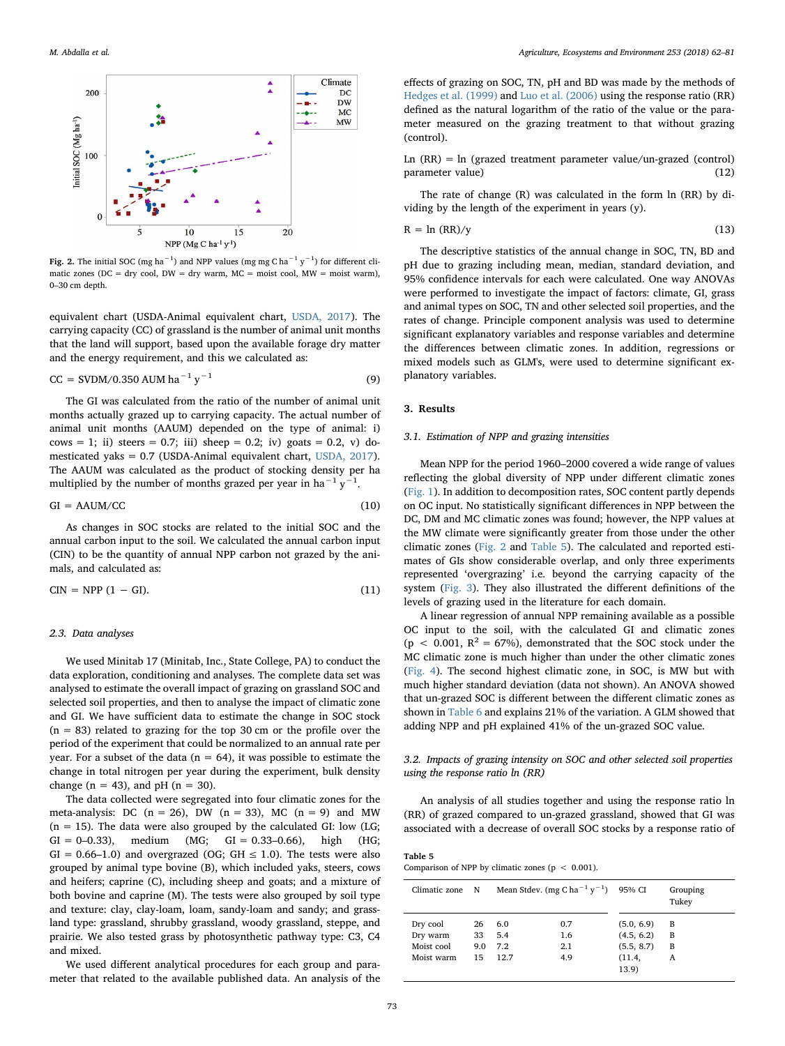<span id="page-11-0"></span>

Fig. 2. The initial SOC (mg ha<sup>-1</sup>) and NPP values (mg mg C ha<sup>-1</sup> y<sup>-1</sup>) for different climatic zones (DC = dry cool, DW = dry warm, MC = moist cool, MW = moist warm), 0–30 cm depth.

equivalent chart (USDA-Animal equivalent chart, [USDA, 2017](#page-19-15)). The carrying capacity (CC) of grassland is the number of animal unit months that the land will support, based upon the available forage dry matter and the energy requirement, and this we calculated as:

$$
CC = SVDM/0.350 AUM ha^{-1} y^{-1}
$$
 (9)

The GI was calculated from the ratio of the number of animal unit months actually grazed up to carrying capacity. The actual number of animal unit months (AAUM) depended on the type of animal: i) cows = 1; ii) steers = 0.7; iii) sheep = 0.2; iv) goats = 0.2, v) domesticated yaks = 0.7 (USDA-Animal equivalent chart, [USDA, 2017](#page-19-15)). The AAUM was calculated as the product of stocking density per ha multiplied by the number of months grazed per year in ha<sup>-1</sup> y<sup>-1</sup>.

$$
GI = A A U M / C C \tag{10}
$$

As changes in SOC stocks are related to the initial SOC and the annual carbon input to the soil. We calculated the annual carbon input (CIN) to be the quantity of annual NPP carbon not grazed by the animals, and calculated as:

$$
CIN = NPP (1 - GI). \tag{11}
$$

### 2.3. Data analyses

We used Minitab 17 (Minitab, Inc., State College, PA) to conduct the data exploration, conditioning and analyses. The complete data set was analysed to estimate the overall impact of grazing on grassland SOC and selected soil properties, and then to analyse the impact of climatic zone and GI. We have sufficient data to estimate the change in SOC stock  $(n = 83)$  related to grazing for the top 30 cm or the profile over the period of the experiment that could be normalized to an annual rate per year. For a subset of the data ( $n = 64$ ), it was possible to estimate the change in total nitrogen per year during the experiment, bulk density change ( $n = 43$ ), and  $pH (n = 30)$ .

The data collected were segregated into four climatic zones for the meta-analysis: DC  $(n = 26)$ , DW  $(n = 33)$ , MC  $(n = 9)$  and MW  $(n = 15)$ . The data were also grouped by the calculated GI: low (LG;  $GI = 0-0.33$ ), medium (MG;  $GI = 0.33-0.66$ ), high (HG;  $GI = 0.66-1.0$ ) and overgrazed (OG; GH  $\leq 1.0$ ). The tests were also grouped by animal type bovine (B), which included yaks, steers, cows and heifers; caprine (C), including sheep and goats; and a mixture of both bovine and caprine (M). The tests were also grouped by soil type and texture: clay, clay-loam, loam, sandy-loam and sandy; and grassland type: grassland, shrubby grassland, woody grassland, steppe, and prairie. We also tested grass by photosynthetic pathway type: C3, C4 and mixed.

We used different analytical procedures for each group and parameter that related to the available published data. An analysis of the

effects of grazing on SOC, TN, pH and BD was made by the methods of [Hedges et al. \(1999\)](#page-17-41) and [Luo et al. \(2006\)](#page-18-47) using the response ratio (RR) defined as the natural logarithm of the ratio of the value or the parameter measured on the grazing treatment to that without grazing (control).

Ln  $(RR)$  = ln (grazed treatment parameter value/un-grazed (control) parameter value) (12)

The rate of change (R) was calculated in the form ln (RR) by dividing by the length of the experiment in years (y).

$$
R = \ln (RR)/y \tag{13}
$$

The descriptive statistics of the annual change in SOC, TN, BD and pH due to grazing including mean, median, standard deviation, and 95% confidence intervals for each were calculated. One way ANOVAs were performed to investigate the impact of factors: climate, GI, grass and animal types on SOC, TN and other selected soil properties, and the rates of change. Principle component analysis was used to determine significant explanatory variables and response variables and determine the differences between climatic zones. In addition, regressions or mixed models such as GLM's, were used to determine significant explanatory variables.

## 3. Results

## 3.1. Estimation of NPP and grazing intensities

Mean NPP for the period 1960–2000 covered a wide range of values reflecting the global diversity of NPP under different climatic zones ([Fig. 1](#page-1-0)). In addition to decomposition rates, SOC content partly depends on OC input. No statistically significant differences in NPP between the DC, DM and MC climatic zones was found; however, the NPP values at the MW climate were significantly greater from those under the other climatic zones [\(Fig. 2](#page-11-0) and [Table 5](#page-11-1)). The calculated and reported estimates of GIs show considerable overlap, and only three experiments represented 'overgrazing' i.e. beyond the carrying capacity of the system [\(Fig. 3\)](#page-12-0). They also illustrated the different definitions of the levels of grazing used in the literature for each domain.

A linear regression of annual NPP remaining available as a possible OC input to the soil, with the calculated GI and climatic zones (p < 0.001,  $R^2 = 67\%$ ), demonstrated that the SOC stock under the MC climatic zone is much higher than under the other climatic zones ([Fig. 4\)](#page-12-1). The second highest climatic zone, in SOC, is MW but with much higher standard deviation (data not shown). An ANOVA showed that un-grazed SOC is different between the different climatic zones as shown in [Table 6](#page-12-2) and explains 21% of the variation. A GLM showed that adding NPP and pH explained 41% of the un-grazed SOC value.

## 3.2. Impacts of grazing intensity on SOC and other selected soil properties using the response ratio ln (RR)

An analysis of all studies together and using the response ratio ln (RR) of grazed compared to un-grazed grassland, showed that GI was associated with a decrease of overall SOC stocks by a response ratio of

<span id="page-11-1"></span>Table 5 Comparison of NPP by climatic zones ( $p < 0.001$ ).

| Climatic zone | N   |      | Mean Stdev. (mg C ha <sup>-1</sup> y <sup>-1</sup> ) | 95% CI          | Grouping<br>Tukey |
|---------------|-----|------|------------------------------------------------------|-----------------|-------------------|
| Dry cool      | 26  | 6.0  | 0.7                                                  | (5.0, 6.9)      | в                 |
| Dry warm      | 33  | 5.4  | 1.6                                                  | (4.5, 6.2)      | в                 |
| Moist cool    | 9.0 | 7.2  | 2.1                                                  | (5.5, 8.7)      | в                 |
| Moist warm    | 15  | 12.7 | 4.9                                                  | (11.4,<br>13.9) | A                 |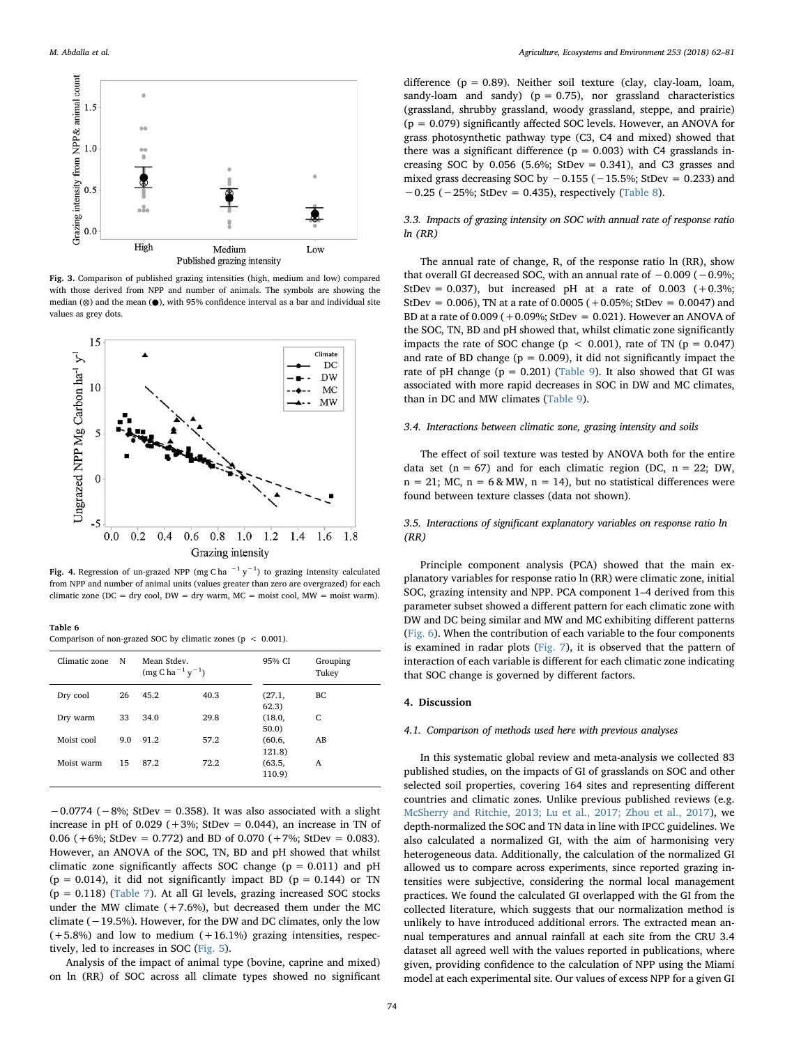<span id="page-12-0"></span>

Fig. 3. Comparison of published grazing intensities (high, medium and low) compared with those derived from NPP and number of animals. The symbols are showing the median (⊗) and the mean (●), with 95% confidence interval as a bar and individual site values as grey dots.

<span id="page-12-1"></span>

Fig. 4. Regression of un-grazed NPP (mg C ha  $^{-1}$  y $^{-1}$ ) to grazing intensity calculated from NPP and number of animal units (values greater than zero are overgrazed) for each climatic zone (DC = dry cool, DW = dry warm,  $MC = \text{moist cool}, MW = \text{moist warm}$ ).

<span id="page-12-2"></span>Table 6

Comparison of non-grazed SOC by climatic zones (p < 0.001).

| Climatic zone | N   | Mean Stdev.<br>$(mg C ha^{-1} y^{-1})$ |      | 95% CI           | Grouping<br>Tukey |
|---------------|-----|----------------------------------------|------|------------------|-------------------|
| Dry cool      | 26  | 45.2                                   | 40.3 | (27.1,<br>62.3)  | BС                |
| Dry warm      | 33  | 34.0                                   | 29.8 | (18.0,<br>50.0   | C                 |
| Moist cool    | 9.0 | 91.2                                   | 57.2 | (60.6,<br>121.8) | AB                |
| Moist warm    | 15  | 87.2                                   | 72.2 | (63.5,<br>110.9) | A                 |

 $-0.0774$  ( $-8\%$ ; StDev = 0.358). It was also associated with a slight increase in pH of  $0.029$  ( $+3\%$ ; StDev = 0.044), an increase in TN of 0.06 ( $+6\%$ ; StDev = 0.772) and BD of 0.070 ( $+7\%$ ; StDev = 0.083). However, an ANOVA of the SOC, TN, BD and pH showed that whilst climatic zone significantly affects SOC change ( $p = 0.011$ ) and  $pH$  $(p = 0.014)$ , it did not significantly impact BD  $(p = 0.144)$  or TN  $(p = 0.118)$  ([Table 7\)](#page-13-0). At all GI levels, grazing increased SOC stocks under the MW climate  $(+7.6%)$ , but decreased them under the MC climate (−19.5%). However, for the DW and DC climates, only the low  $(+5.8%)$  and low to medium  $(+16.1%)$  grazing intensities, respectively, led to increases in SOC [\(Fig. 5\)](#page-13-1).

Analysis of the impact of animal type (bovine, caprine and mixed) on ln (RR) of SOC across all climate types showed no significant

difference ( $p = 0.89$ ). Neither soil texture (clay, clay-loam, loam, sandy-loam and sandy) ( $p = 0.75$ ), nor grassland characteristics (grassland, shrubby grassland, woody grassland, steppe, and prairie) (p = 0.079) significantly affected SOC levels. However, an ANOVA for grass photosynthetic pathway type (C3, C4 and mixed) showed that there was a significant difference ( $p = 0.003$ ) with C4 grasslands increasing SOC by  $0.056$  (5.6%; StDev = 0.341), and C3 grasses and mixed grass decreasing SOC by  $-0.155$  ( $-15.5%$ ; StDev = 0.233) and −0.25 (−25%; StDev = 0.435), respectively ([Table 8\)](#page-13-2).

3.3. Impacts of grazing intensity on SOC with annual rate of response ratio  $ln (RR)$ 

The annual rate of change, R, of the response ratio ln (RR), show that overall GI decreased SOC, with an annual rate of  $-0.009$  ( $-0.9%$ ; StDev = 0.037), but increased pH at a rate of 0.003  $(+0.3\%;$ StDev = 0.006), TN at a rate of  $0.0005 (+0.05\%;$  StDev = 0.0047) and BD at a rate of  $0.009 (+0.09\%; \text{StDev} = 0.021)$ . However an ANOVA of the SOC, TN, BD and pH showed that, whilst climatic zone significantly impacts the rate of SOC change ( $p < 0.001$ ), rate of TN ( $p = 0.047$ ) and rate of BD change ( $p = 0.009$ ), it did not significantly impact the rate of pH change ( $p = 0.201$ ) [\(Table 9\)](#page-14-0). It also showed that GI was associated with more rapid decreases in SOC in DW and MC climates, than in DC and MW climates [\(Table 9](#page-14-0)).

#### 3.4. Interactions between climatic zone, grazing intensity and soils

The effect of soil texture was tested by ANOVA both for the entire data set ( $n = 67$ ) and for each climatic region (DC,  $n = 22$ ; DW,  $n = 21$ ; MC,  $n = 6$  & MW,  $n = 14$ ), but no statistical differences were found between texture classes (data not shown).

## 3.5. Interactions of significant explanatory variables on response ratio ln (RR)

Principle component analysis (PCA) showed that the main explanatory variables for response ratio ln (RR) were climatic zone, initial SOC, grazing intensity and NPP. PCA component 1–4 derived from this parameter subset showed a different pattern for each climatic zone with DW and DC being similar and MW and MC exhibiting different patterns ([Fig. 6](#page-14-1)). When the contribution of each variable to the four components is examined in radar plots ([Fig. 7\)](#page-15-0), it is observed that the pattern of interaction of each variable is different for each climatic zone indicating that SOC change is governed by different factors.

#### 4. Discussion

#### 4.1. Comparison of methods used here with previous analyses

In this systematic global review and meta-analysis we collected 83 published studies, on the impacts of GI of grasslands on SOC and other selected soil properties, covering 164 sites and representing different countries and climatic zones. Unlike previous published reviews (e.g. [McSherry and Ritchie, 2013; Lu et al., 2017; Zhou et al., 2017\)](#page-18-4), we depth-normalized the SOC and TN data in line with IPCC guidelines. We also calculated a normalized GI, with the aim of harmonising very heterogeneous data. Additionally, the calculation of the normalized GI allowed us to compare across experiments, since reported grazing intensities were subjective, considering the normal local management practices. We found the calculated GI overlapped with the GI from the collected literature, which suggests that our normalization method is unlikely to have introduced additional errors. The extracted mean annual temperatures and annual rainfall at each site from the CRU 3.4 dataset all agreed well with the values reported in publications, where given, providing confidence to the calculation of NPP using the Miami model at each experimental site. Our values of excess NPP for a given GI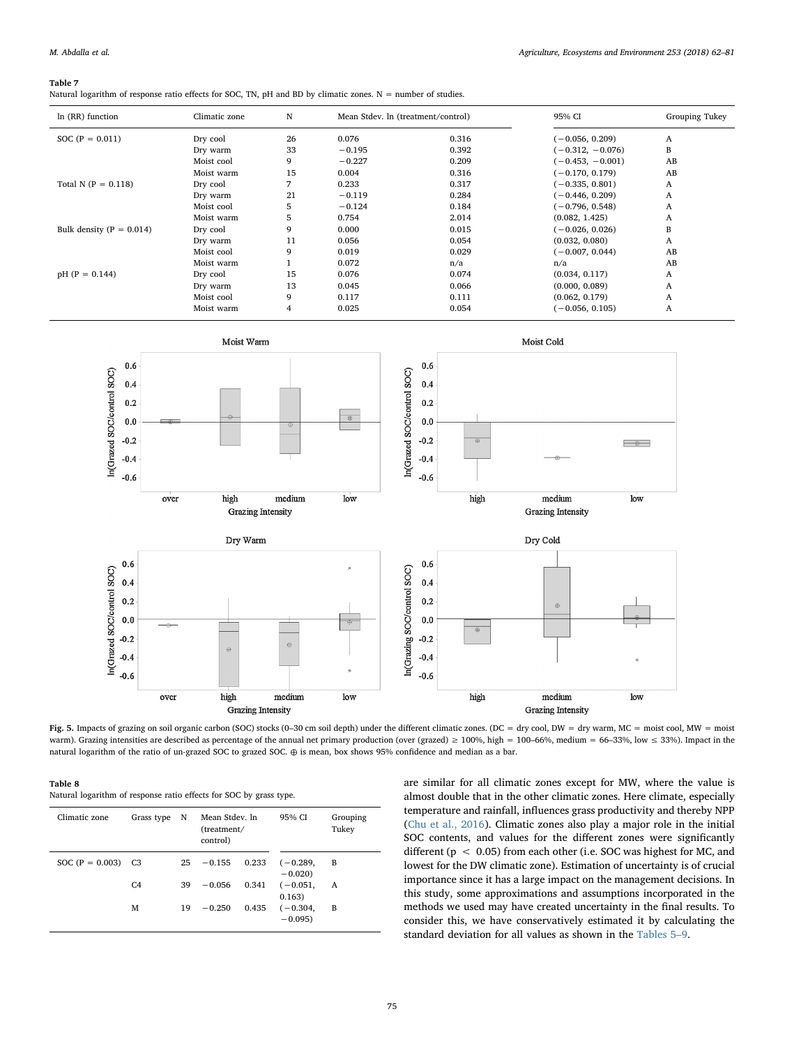#### <span id="page-13-0"></span>Table 7

Natural logarithm of response ratio effects for SOC, TN, pH and BD by climatic zones. N = number of studies.

| In (RR) function             | Climatic zone | N  | Mean Stdev. In (treatment/control) |       | 95% CI             | Grouping Tukey |
|------------------------------|---------------|----|------------------------------------|-------|--------------------|----------------|
| SOC $(P = 0.011)$            | Dry cool      | 26 | 0.076                              | 0.316 | $(-0.056, 0.209)$  | A              |
|                              | Dry warm      | 33 | $-0.195$                           | 0.392 | $(-0.312, -0.076)$ | B              |
|                              | Moist cool    | 9  | $-0.227$                           | 0.209 | $(-0.453, -0.001)$ | AB             |
|                              | Moist warm    | 15 | 0.004                              | 0.316 | $(-0.170, 0.179)$  | AB             |
| Total N ( $P = 0.118$ )      | Dry cool      | 7  | 0.233                              | 0.317 | $(-0.335, 0.801)$  | A              |
|                              | Dry warm      | 21 | $-0.119$                           | 0.284 | $(-0.446, 0.209)$  | A              |
|                              | Moist cool    | 5  | $-0.124$                           | 0.184 | $(-0.796, 0.548)$  | A              |
|                              | Moist warm    | 5  | 0.754                              | 2.014 | (0.082, 1.425)     | A              |
| Bulk density ( $P = 0.014$ ) | Dry cool      | 9  | 0.000                              | 0.015 | $(-0.026, 0.026)$  | в              |
|                              | Dry warm      | 11 | 0.056                              | 0.054 | (0.032, 0.080)     | A              |
|                              | Moist cool    | 9  | 0.019                              | 0.029 | $(-0.007, 0.044)$  | AB             |
|                              | Moist warm    |    | 0.072                              | n/a   | n/a                | AB             |
| $pH$ (P = 0.144)             | Dry cool      | 15 | 0.076                              | 0.074 | (0.034, 0.117)     | A              |
|                              | Dry warm      | 13 | 0.045                              | 0.066 | (0.000, 0.089)     | A              |
|                              | Moist cool    | 9  | 0.117                              | 0.111 | (0.062, 0.179)     | A              |
|                              | Moist warm    |    | 0.025                              | 0.054 | $(-0.056, 0.105)$  | A              |

<span id="page-13-1"></span>

Fig. 5. Impacts of grazing on soil organic carbon (SOC) stocks (0–30 cm soil depth) under the different climatic zones. (DC = dry cool, DW = dry warm, MC = moist cool, MW = moist warm). Grazing intensities are described as percentage of the annual net primary production (over (grazed) ≥ 100%, high = 100–66%, medium = 66–33%, low ≤ 33%). Impact in the natural logarithm of the ratio of un-grazed SOC to grazed SOC. ⊕ is mean, box shows 95% confidence and median as a bar.

<span id="page-13-2"></span>

| ľable |  |
|-------|--|
|-------|--|

Table 8 Natural logarithm of response ratio effects for SOC by grass type.

| Climatic zone     | Grass type     | N  | Mean Stdey, In<br>(treatment/<br>control) |       | 95% CI                 | Grouping<br>Tukey |
|-------------------|----------------|----|-------------------------------------------|-------|------------------------|-------------------|
| SOC $(P = 0.003)$ | C3             | 25 | $-0.155$                                  | 0.233 | $(-0.289,$<br>$-0.020$ | B                 |
|                   | C <sub>4</sub> | 39 | $-0.056$                                  | 0.341 | $(-0.051,$<br>0.163)   | A                 |
|                   | М              | 19 | $-0.250$                                  | 0.435 | $(-0.304,$<br>$-0.095$ | B                 |

are similar for all climatic zones except for MW, where the value is almost double that in the other climatic zones. Here climate, especially temperature and rainfall, influences grass productivity and thereby NPP ([Chu et al., 2016\)](#page-17-42). Climatic zones also play a major role in the initial SOC contents, and values for the different zones were significantly different (p < 0.05) from each other (i.e. SOC was highest for MC, and lowest for the DW climatic zone). Estimation of uncertainty is of crucial importance since it has a large impact on the management decisions. In this study, some approximations and assumptions incorporated in the methods we used may have created uncertainty in the final results. To consider this, we have conservatively estimated it by calculating the standard deviation for all values as shown in the [Tables 5](#page-11-1)–9.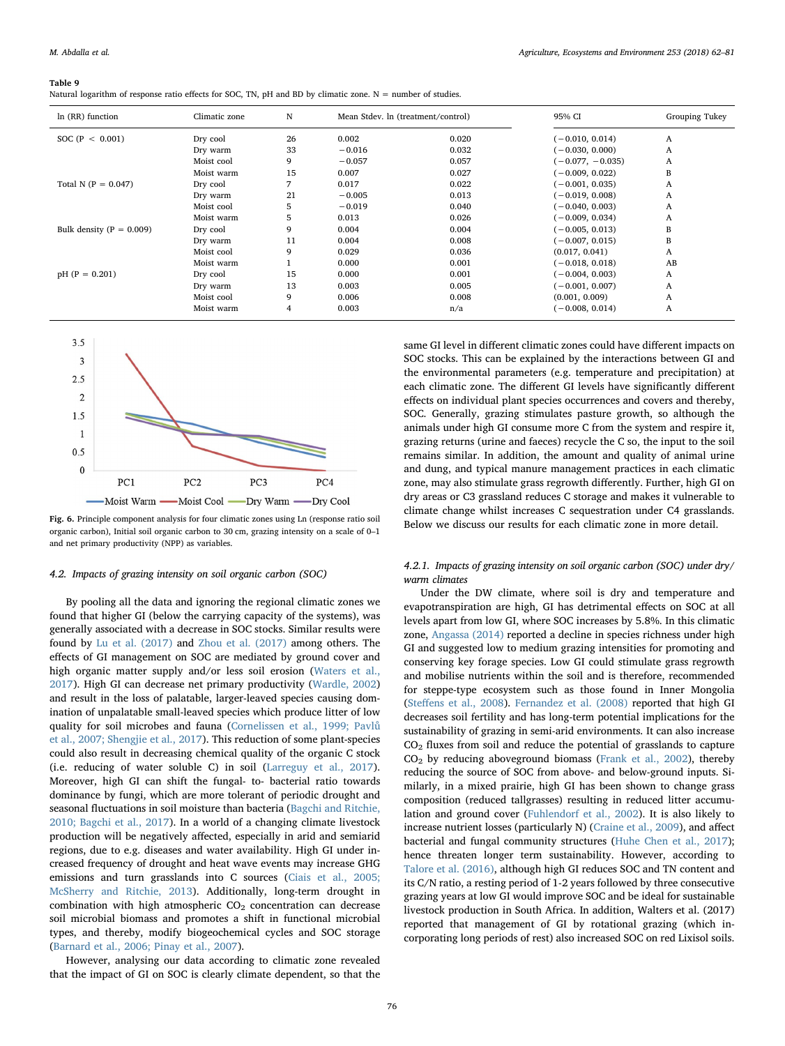#### <span id="page-14-0"></span>Table 9

| Natural logarithm of response ratio effects for SOC, TN, pH and BD by climatic zone. $N =$ number of studies. |
|---------------------------------------------------------------------------------------------------------------|
|---------------------------------------------------------------------------------------------------------------|

| In (RR) function             | Climatic zone | N  | Mean Stdev. In (treatment/control) |       | 95% CI             | Grouping Tukey |
|------------------------------|---------------|----|------------------------------------|-------|--------------------|----------------|
| SOC ( $P < 0.001$ )          | Dry cool      | 26 | 0.002                              | 0.020 | $(-0.010, 0.014)$  | A              |
|                              | Dry warm      | 33 | $-0.016$                           | 0.032 | $(-0.030, 0.000)$  | A              |
|                              | Moist cool    | 9  | $-0.057$                           | 0.057 | $(-0.077, -0.035)$ | A              |
|                              | Moist warm    | 15 | 0.007                              | 0.027 | $(-0.009, 0.022)$  | В              |
| Total N ( $P = 0.047$ )      | Dry cool      |    | 0.017                              | 0.022 | $(-0.001, 0.035)$  | A              |
|                              | Dry warm      | 21 | $-0.005$                           | 0.013 | $(-0.019, 0.008)$  | A              |
|                              | Moist cool    | 5  | $-0.019$                           | 0.040 | $(-0.040, 0.003)$  | A              |
|                              | Moist warm    | 5  | 0.013                              | 0.026 | $(-0.009, 0.034)$  | A              |
| Bulk density ( $P = 0.009$ ) | Dry cool      | 9  | 0.004                              | 0.004 | $(-0.005, 0.013)$  | В              |
|                              | Dry warm      | 11 | 0.004                              | 0.008 | $(-0.007, 0.015)$  | B              |
|                              | Moist cool    | 9  | 0.029                              | 0.036 | (0.017, 0.041)     | A              |
|                              | Moist warm    |    | 0.000                              | 0.001 | $(-0.018, 0.018)$  | AB             |
| $pH$ (P = 0.201)             | Dry cool      | 15 | 0.000                              | 0.001 | $(-0.004, 0.003)$  | A              |
|                              | Dry warm      | 13 | 0.003                              | 0.005 | $(-0.001, 0.007)$  | A              |
|                              | Moist cool    | 9  | 0.006                              | 0.008 | (0.001, 0.009)     | A              |
|                              | Moist warm    | 4  | 0.003                              | n/a   | $(-0.008, 0.014)$  | A              |

<span id="page-14-1"></span>

Fig. 6. Principle component analysis for four climatic zones using Ln (response ratio soil organic carbon), Initial soil organic carbon to 30 cm, grazing intensity on a scale of 0–1 and net primary productivity (NPP) as variables.

### 4.2. Impacts of grazing intensity on soil organic carbon (SOC)

By pooling all the data and ignoring the regional climatic zones we found that higher GI (below the carrying capacity of the systems), was generally associated with a decrease in SOC stocks. Similar results were found by [Lu et al. \(2017\)](#page-18-9) and [Zhou et al. \(2017\)](#page-19-4) among others. The effects of GI management on SOC are mediated by ground cover and high organic matter supply and/or less soil erosion [\(Waters et al.,](#page-19-16) [2017\)](#page-19-16). High GI can decrease net primary productivity [\(Wardle, 2002\)](#page-19-17) and result in the loss of palatable, larger-leaved species causing domination of unpalatable small-leaved species which produce litter of low quality for soil microbes and fauna [\(Cornelissen et al., 1999; Pavl](#page-17-43)ů [et al., 2007; Shengjie et al., 2017\)](#page-17-43). This reduction of some plant-species could also result in decreasing chemical quality of the organic C stock (i.e. reducing of water soluble C) in soil [\(Larreguy et al., 2017](#page-18-48)). Moreover, high GI can shift the fungal- to- bacterial ratio towards dominance by fungi, which are more tolerant of periodic drought and seasonal fluctuations in soil moisture than bacteria ([Bagchi and Ritchie,](#page-17-44) [2010; Bagchi et al., 2017\)](#page-17-44). In a world of a changing climate livestock production will be negatively affected, especially in arid and semiarid regions, due to e.g. diseases and water availability. High GI under increased frequency of drought and heat wave events may increase GHG emissions and turn grasslands into C sources ([Ciais et al., 2005;](#page-17-45) [McSherry and Ritchie, 2013](#page-17-45)). Additionally, long-term drought in combination with high atmospheric  $CO<sub>2</sub>$  concentration can decrease soil microbial biomass and promotes a shift in functional microbial types, and thereby, modify biogeochemical cycles and SOC storage ([Barnard et al., 2006; Pinay et al., 2007](#page-17-46)).

However, analysing our data according to climatic zone revealed that the impact of GI on SOC is clearly climate dependent, so that the same GI level in different climatic zones could have different impacts on SOC stocks. This can be explained by the interactions between GI and the environmental parameters (e.g. temperature and precipitation) at each climatic zone. The different GI levels have significantly different effects on individual plant species occurrences and covers and thereby, SOC. Generally, grazing stimulates pasture growth, so although the animals under high GI consume more C from the system and respire it, grazing returns (urine and faeces) recycle the C so, the input to the soil remains similar. In addition, the amount and quality of animal urine and dung, and typical manure management practices in each climatic zone, may also stimulate grass regrowth differently. Further, high GI on dry areas or C3 grassland reduces C storage and makes it vulnerable to climate change whilst increases C sequestration under C4 grasslands. Below we discuss our results for each climatic zone in more detail.

## 4.2.1. Impacts of grazing intensity on soil organic carbon (SOC) under dry/ warm climates

Under the DW climate, where soil is dry and temperature and evapotranspiration are high, GI has detrimental effects on SOC at all levels apart from low GI, where SOC increases by 5.8%. In this climatic zone, [Angassa \(2014\)](#page-17-47) reported a decline in species richness under high GI and suggested low to medium grazing intensities for promoting and conserving key forage species. Low GI could stimulate grass regrowth and mobilise nutrients within the soil and is therefore, recommended for steppe-type ecosystem such as those found in Inner Mongolia (Steff[ens et al., 2008](#page-18-35)). [Fernandez et al. \(2008\)](#page-17-36) reported that high GI decreases soil fertility and has long-term potential implications for the sustainability of grazing in semi-arid environments. It can also increase  $CO<sub>2</sub>$  fluxes from soil and reduce the potential of grasslands to capture  $CO<sub>2</sub>$  by reducing aboveground biomass ([Frank et al., 2002](#page-17-9)), thereby reducing the source of SOC from above- and below-ground inputs. Similarly, in a mixed prairie, high GI has been shown to change grass composition (reduced tallgrasses) resulting in reduced litter accumulation and ground cover ([Fuhlendorf et al., 2002\)](#page-17-26). It is also likely to increase nutrient losses (particularly N) [\(Craine et al., 2009](#page-17-48)), and affect bacterial and fungal community structures ([Huhe Chen et al., 2017](#page-17-49)); hence threaten longer term sustainability. However, according to [Talore et al. \(2016\)](#page-19-13), although high GI reduces SOC and TN content and its C/N ratio, a resting period of 1-2 years followed by three consecutive grazing years at low GI would improve SOC and be ideal for sustainable livestock production in South Africa. In addition, Walters et al. (2017) reported that management of GI by rotational grazing (which incorporating long periods of rest) also increased SOC on red Lixisol soils.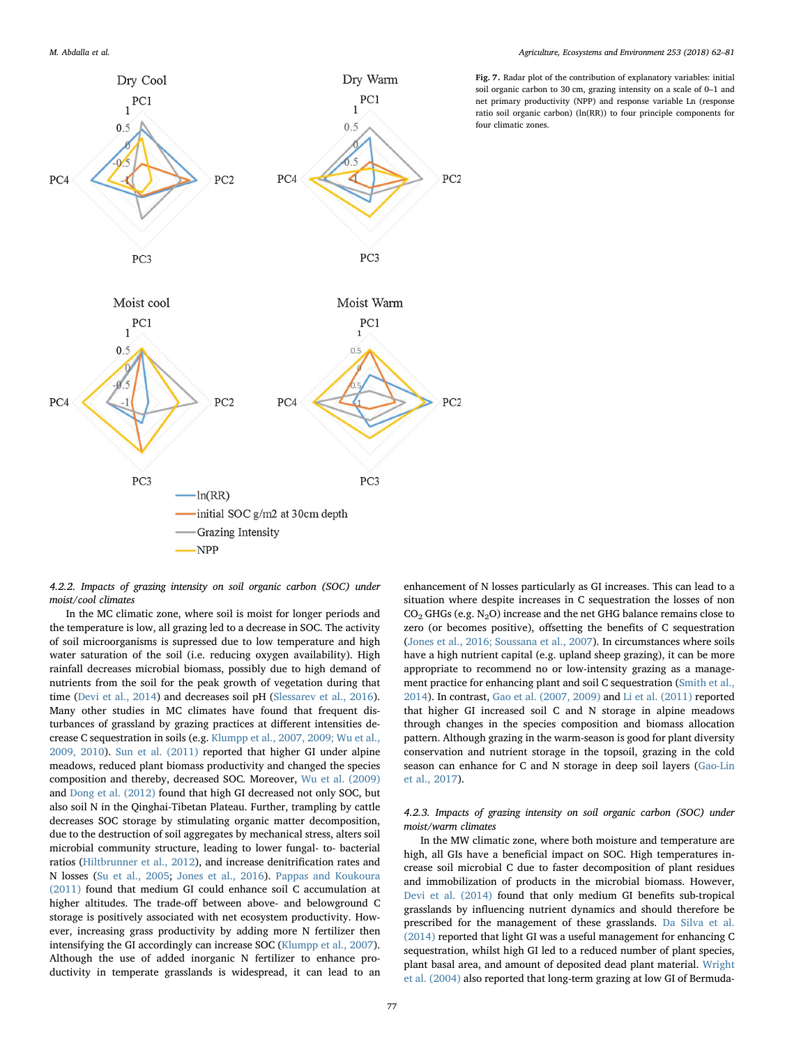<span id="page-15-0"></span>

4.2.2. Impacts of grazing intensity on soil organic carbon (SOC) under moist/cool climates

In the MC climatic zone, where soil is moist for longer periods and the temperature is low, all grazing led to a decrease in SOC. The activity of soil microorganisms is supressed due to low temperature and high water saturation of the soil (i.e. reducing oxygen availability). High rainfall decreases microbial biomass, possibly due to high demand of nutrients from the soil for the peak growth of vegetation during that time [\(Devi et al., 2014\)](#page-17-18) and decreases soil pH ([Slessarev et al., 2016](#page-18-49)). Many other studies in MC climates have found that frequent disturbances of grassland by grazing practices at different intensities decrease C sequestration in soils (e.g. [Klumpp et al., 2007, 2009; Wu et al.,](#page-17-15) [2009, 2010](#page-17-15)). [Sun et al. \(2011\)](#page-19-18) reported that higher GI under alpine meadows, reduced plant biomass productivity and changed the species composition and thereby, decreased SOC. Moreover, [Wu et al. \(2009\)](#page-19-19) and [Dong et al. \(2012\)](#page-17-12) found that high GI decreased not only SOC, but also soil N in the Qinghai-Tibetan Plateau. Further, trampling by cattle decreases SOC storage by stimulating organic matter decomposition, due to the destruction of soil aggregates by mechanical stress, alters soil microbial community structure, leading to lower fungal- to- bacterial ratios [\(Hiltbrunner et al., 2012\)](#page-17-14), and increase denitrification rates and N losses ([Su et al., 2005;](#page-18-46) [Jones et al., 2016\)](#page-17-50). [Pappas and Koukoura](#page-18-20) [\(2011\)](#page-18-20) found that medium GI could enhance soil C accumulation at higher altitudes. The trade-off between above- and belowground C storage is positively associated with net ecosystem productivity. However, increasing grass productivity by adding more N fertilizer then intensifying the GI accordingly can increase SOC ([Klumpp et al., 2007](#page-17-15)). Although the use of added inorganic N fertilizer to enhance productivity in temperate grasslands is widespread, it can lead to an

enhancement of N losses particularly as GI increases. This can lead to a situation where despite increases in C sequestration the losses of non  $CO<sub>2</sub>$  GHGs (e.g. N<sub>2</sub>O) increase and the net GHG balance remains close to zero (or becomes positive), offsetting the benefits of C sequestration ([Jones et al., 2016; Soussana et al., 2007\)](#page-17-50). In circumstances where soils have a high nutrient capital (e.g. upland sheep grazing), it can be more appropriate to recommend no or low-intensity grazing as a management practice for enhancing plant and soil C sequestration ([Smith et al.,](#page-18-21) [2014\)](#page-18-21). In contrast, [Gao et al. \(2007, 2009\)](#page-17-13) and [Li et al. \(2011\)](#page-18-15) reported that higher GI increased soil C and N storage in alpine meadows through changes in the species composition and biomass allocation pattern. Although grazing in the warm-season is good for plant diversity conservation and nutrient storage in the topsoil, grazing in the cold season can enhance for C and N storage in deep soil layers ([Gao-Lin](#page-17-51) [et al., 2017](#page-17-51)).

## 4.2.3. Impacts of grazing intensity on soil organic carbon (SOC) under moist/warm climates

In the MW climatic zone, where both moisture and temperature are high, all GIs have a beneficial impact on SOC. High temperatures increase soil microbial C due to faster decomposition of plant residues and immobilization of products in the microbial biomass. However, [Devi et al. \(2014\)](#page-17-18) found that only medium GI benefits sub-tropical grasslands by influencing nutrient dynamics and should therefore be prescribed for the management of these grasslands. [Da Silva et al.](#page-17-17) [\(2014\)](#page-17-17) reported that light GI was a useful management for enhancing C sequestration, whilst high GI led to a reduced number of plant species, plant basal area, and amount of deposited dead plant material. [Wright](#page-19-7) [et al. \(2004\)](#page-19-7) also reported that long-term grazing at low GI of Bermuda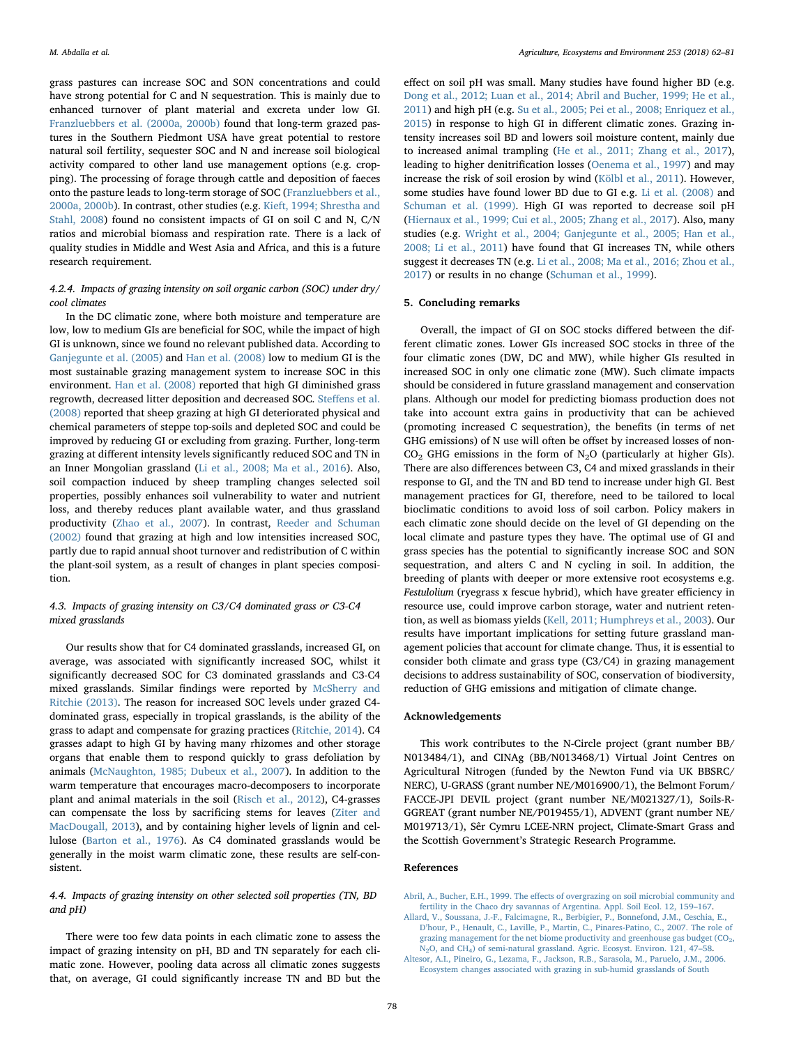grass pastures can increase SOC and SON concentrations and could have strong potential for C and N sequestration. This is mainly due to enhanced turnover of plant material and excreta under low GI. [Franzluebbers et al. \(2000a, 2000b\)](#page-17-24) found that long-term grazed pastures in the Southern Piedmont USA have great potential to restore natural soil fertility, sequester SOC and N and increase soil biological activity compared to other land use management options (e.g. cropping). The processing of forage through cattle and deposition of faeces onto the pasture leads to long-term storage of SOC ([Franzluebbers et al.,](#page-17-24) [2000a, 2000b](#page-17-24)). In contrast, other studies (e.g. [Kieft, 1994; Shrestha and](#page-17-52) [Stahl, 2008\)](#page-17-52) found no consistent impacts of GI on soil C and N, C/N ratios and microbial biomass and respiration rate. There is a lack of quality studies in Middle and West Asia and Africa, and this is a future research requirement.

## 4.2.4. Impacts of grazing intensity on soil organic carbon (SOC) under dry/ cool climates

In the DC climatic zone, where both moisture and temperature are low, low to medium GIs are beneficial for SOC, while the impact of high GI is unknown, since we found no relevant published data. According to [Ganjegunte et al. \(2005\)](#page-17-32) and [Han et al. \(2008\)](#page-17-33) low to medium GI is the most sustainable grazing management system to increase SOC in this environment. [Han et al. \(2008\)](#page-17-33) reported that high GI diminished grass regrowth, decreased litter deposition and decreased SOC. Steff[ens et al.](#page-18-35) [\(2008\)](#page-18-35) reported that sheep grazing at high GI deteriorated physical and chemical parameters of steppe top-soils and depleted SOC and could be improved by reducing GI or excluding from grazing. Further, long-term grazing at different intensity levels significantly reduced SOC and TN in an Inner Mongolian grassland ([Li et al., 2008; Ma et al., 2016\)](#page-18-38). Also, soil compaction induced by sheep trampling changes selected soil properties, possibly enhances soil vulnerability to water and nutrient loss, and thereby reduces plant available water, and thus grassland productivity [\(Zhao et al., 2007](#page-19-12)). In contrast, [Reeder and Schuman](#page-18-8) [\(2002\)](#page-18-8) found that grazing at high and low intensities increased SOC, partly due to rapid annual shoot turnover and redistribution of C within the plant-soil system, as a result of changes in plant species composition.

## 4.3. Impacts of grazing intensity on C3/C4 dominated grass or C3-C4 mixed grasslands

Our results show that for C4 dominated grasslands, increased GI, on average, was associated with significantly increased SOC, whilst it significantly decreased SOC for C3 dominated grasslands and C3-C4 mixed grasslands. Similar findings were reported by [McSherry and](#page-18-4) [Ritchie \(2013\)](#page-18-4). The reason for increased SOC levels under grazed C4 dominated grass, especially in tropical grasslands, is the ability of the grass to adapt and compensate for grazing practices ([Ritchie, 2014\)](#page-18-25). C4 grasses adapt to high GI by having many rhizomes and other storage organs that enable them to respond quickly to grass defoliation by animals [\(McNaughton, 1985; Dubeux et al., 2007](#page-18-50)). In addition to the warm temperature that encourages macro-decomposers to incorporate plant and animal materials in the soil [\(Risch et al., 2012\)](#page-18-51), C4-grasses can compensate the loss by sacrificing stems for leaves [\(Ziter and](#page-19-20) [MacDougall, 2013\)](#page-19-20), and by containing higher levels of lignin and cellulose [\(Barton et al., 1976\)](#page-17-53). As C4 dominated grasslands would be generally in the moist warm climatic zone, these results are self-consistent.

## 4.4. Impacts of grazing intensity on other selected soil properties (TN, BD and pH)

There were too few data points in each climatic zone to assess the impact of grazing intensity on pH, BD and TN separately for each climatic zone. However, pooling data across all climatic zones suggests that, on average, GI could significantly increase TN and BD but the

effect on soil pH was small. Many studies have found higher BD (e.g. [Dong et al., 2012; Luan et al., 2014; Abril and Bucher, 1999; He et al.,](#page-17-12) [2011\)](#page-17-12) and high pH (e.g. [Su et al., 2005; Pei et al., 2008; Enriquez et al.,](#page-18-46) [2015\)](#page-18-46) in response to high GI in different climatic zones. Grazing intensity increases soil BD and lowers soil moisture content, mainly due to increased animal trampling ([He et al., 2011; Zhang et al., 2017](#page-17-34)), leading to higher denitrification losses ([Oenema et al., 1997](#page-18-52)) and may increase the risk of soil erosion by wind [\(Kölbl et al., 2011](#page-17-35)). However, some studies have found lower BD due to GI e.g. [Li et al. \(2008\)](#page-18-38) and [Schuman et al. \(1999\)](#page-18-44). High GI was reported to decrease soil pH ([Hiernaux et al., 1999; Cui et al., 2005; Zhang et al., 2017\)](#page-17-29). Also, many studies (e.g. [Wright et al., 2004; Ganjegunte et al., 2005; Han et al.,](#page-19-7) [2008; Li et al., 2011](#page-19-7)) have found that GI increases TN, while others suggest it decreases TN (e.g. [Li et al., 2008; Ma et al., 2016; Zhou et al.,](#page-18-38) [2017\)](#page-18-38) or results in no change ([Schuman et al., 1999](#page-18-44)).

## 5. Concluding remarks

Overall, the impact of GI on SOC stocks differed between the different climatic zones. Lower GIs increased SOC stocks in three of the four climatic zones (DW, DC and MW), while higher GIs resulted in increased SOC in only one climatic zone (MW). Such climate impacts should be considered in future grassland management and conservation plans. Although our model for predicting biomass production does not take into account extra gains in productivity that can be achieved (promoting increased C sequestration), the benefits (in terms of net GHG emissions) of N use will often be offset by increased losses of non- $CO<sub>2</sub>$  GHG emissions in the form of N<sub>2</sub>O (particularly at higher GIs). There are also differences between C3, C4 and mixed grasslands in their response to GI, and the TN and BD tend to increase under high GI. Best management practices for GI, therefore, need to be tailored to local bioclimatic conditions to avoid loss of soil carbon. Policy makers in each climatic zone should decide on the level of GI depending on the local climate and pasture types they have. The optimal use of GI and grass species has the potential to significantly increase SOC and SON sequestration, and alters C and N cycling in soil. In addition, the breeding of plants with deeper or more extensive root ecosystems e.g. Festulolium (ryegrass x fescue hybrid), which have greater efficiency in resource use, could improve carbon storage, water and nutrient retention, as well as biomass yields [\(Kell, 2011; Humphreys et al., 2003](#page-17-54)). Our results have important implications for setting future grassland management policies that account for climate change. Thus, it is essential to consider both climate and grass type (C3/C4) in grazing management decisions to address sustainability of SOC, conservation of biodiversity, reduction of GHG emissions and mitigation of climate change.

#### Acknowledgements

This work contributes to the N-Circle project (grant number BB/ N013484/1), and CINAg (BB/N013468/1) Virtual Joint Centres on Agricultural Nitrogen (funded by the Newton Fund via UK BBSRC/ NERC), U-GRASS (grant number NE/M016900/1), the Belmont Forum/ FACCE-JPI DEVIL project (grant number NE/M021327/1), Soils-R-GGREAT (grant number NE/P019455/1), ADVENT (grant number NE/ M019713/1), Sêr Cymru LCEE-NRN project, Climate-Smart Grass and the Scottish Government's Strategic Research Programme.

## References

<span id="page-16-1"></span>Abril, A., Bucher, E.H., 1999. The eff[ects of overgrazing on soil microbial community and](http://refhub.elsevier.com/S0167-8809(17)30469-3/sbref0005) [fertility in the Chaco dry savannas of Argentina. Appl. Soil Ecol. 12, 159](http://refhub.elsevier.com/S0167-8809(17)30469-3/sbref0005)–167.

<span id="page-16-0"></span>[Allard, V., Soussana, J.-F., Falcimagne, R., Berbigier, P., Bonnefond, J.M., Ceschia, E.,](http://refhub.elsevier.com/S0167-8809(17)30469-3/sbref0010) D'[hour, P., Henault, C., Laville, P., Martin, C., Pinares-Patino, C., 2007. The role of](http://refhub.elsevier.com/S0167-8809(17)30469-3/sbref0010) grazing management for the net biome productivity and greenhouse gas budget  $(CO<sub>2</sub>)$ N<sub>2</sub>O, and CH<sub>4</sub>) of semi-natural grassland. Agric. Ecosyst. Environ. 121, 47–58.

<span id="page-16-2"></span>[Altesor, A.I., Pineiro, G., Lezama, F., Jackson, R.B., Sarasola, M., Paruelo, J.M., 2006.](http://refhub.elsevier.com/S0167-8809(17)30469-3/sbref0015) [Ecosystem changes associated with grazing in sub-humid grasslands of South](http://refhub.elsevier.com/S0167-8809(17)30469-3/sbref0015)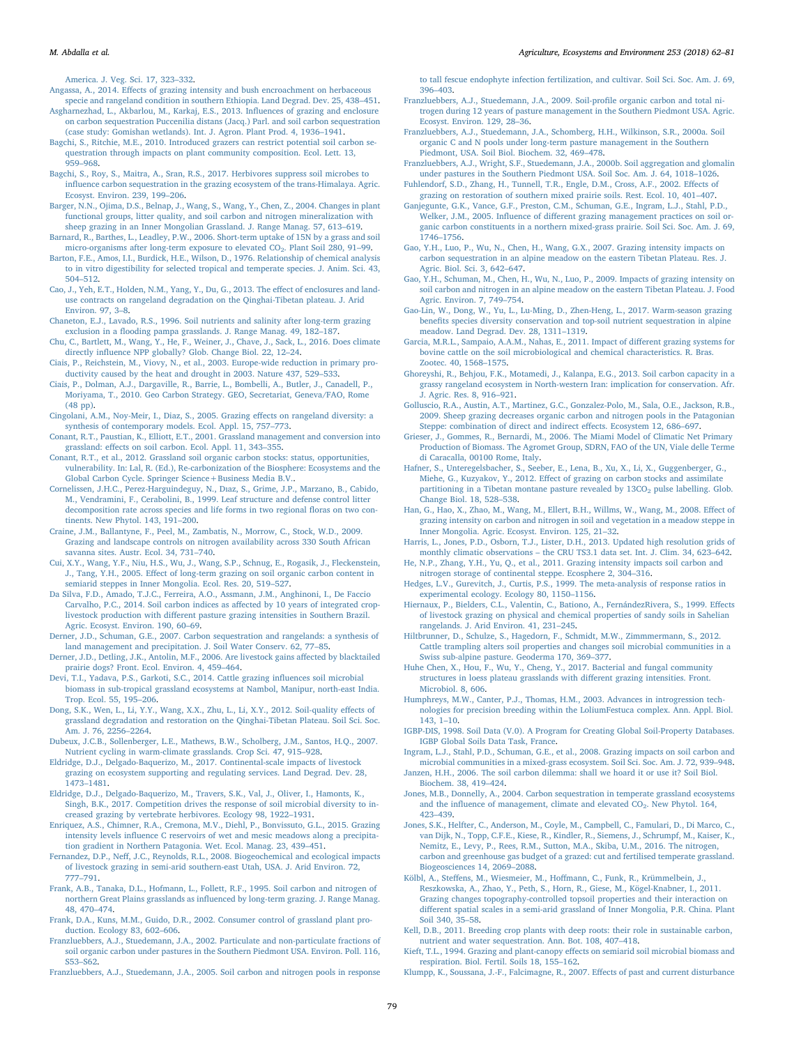[America. J. Veg. Sci. 17, 323](http://refhub.elsevier.com/S0167-8809(17)30469-3/sbref0015)–332.

<span id="page-17-47"></span>Angassa, A., 2014. Eff[ects of grazing intensity and bush encroachment on herbaceous](http://refhub.elsevier.com/S0167-8809(17)30469-3/sbref0020) [specie and rangeland condition in southern Ethiopia. Land Degrad. Dev. 25, 438](http://refhub.elsevier.com/S0167-8809(17)30469-3/sbref0020)–451.

- <span id="page-17-37"></span>[Asgharnezhad, L., Akbarlou, M., Karkaj, E.S., 2013. In](http://refhub.elsevier.com/S0167-8809(17)30469-3/sbref0025)fluences of grazing and enclosure [on carbon sequestration Puccenilia distans \(Jacq.\) Parl. and soil carbon sequestration](http://refhub.elsevier.com/S0167-8809(17)30469-3/sbref0025)
- <span id="page-17-44"></span>[\(case study: Gomishan wetlands\). Int. J. Agron. Plant Prod. 4, 1936](http://refhub.elsevier.com/S0167-8809(17)30469-3/sbref0025)–1941. [Bagchi, S., Ritchie, M.E., 2010. Introduced grazers can restrict potential soil carbon se](http://refhub.elsevier.com/S0167-8809(17)30469-3/sbref0030)[questration through impacts on plant community composition. Ecol. Lett. 13,](http://refhub.elsevier.com/S0167-8809(17)30469-3/sbref0030) 959–[968](http://refhub.elsevier.com/S0167-8809(17)30469-3/sbref0030).
- [Bagchi, S., Roy, S., Maitra, A., Sran, R.S., 2017. Herbivores suppress soil microbes to](http://refhub.elsevier.com/S0167-8809(17)30469-3/sbref0035) infl[uence carbon sequestration in the grazing ecosystem of the trans-Himalaya. Agric.](http://refhub.elsevier.com/S0167-8809(17)30469-3/sbref0035) [Ecosyst. Environ. 239, 199](http://refhub.elsevier.com/S0167-8809(17)30469-3/sbref0035)–206.
- <span id="page-17-30"></span>[Barger, N.N., Ojima, D.S., Belnap, J., Wang, S., Wang, Y., Chen, Z., 2004. Changes in plant](http://refhub.elsevier.com/S0167-8809(17)30469-3/sbref0040) [functional groups, litter quality, and soil carbon and nitrogen mineralization with](http://refhub.elsevier.com/S0167-8809(17)30469-3/sbref0040) [sheep grazing in an Inner Mongolian Grassland. J. Range Manag. 57, 613](http://refhub.elsevier.com/S0167-8809(17)30469-3/sbref0040)–619.
- <span id="page-17-46"></span>[Barnard, R., Barthes, L., Leadley, P.W., 2006. Short-term uptake of 15N by a grass and soil](http://refhub.elsevier.com/S0167-8809(17)30469-3/sbref0045) micro-organisms after long-term exposure to elevated CO<sub>2</sub>. Plant Soil 280, 91-99.
- <span id="page-17-53"></span>[Barton, F.E., Amos, I.I., Burdick, H.E., Wilson, D., 1976. Relationship of chemical analysis](http://refhub.elsevier.com/S0167-8809(17)30469-3/sbref0050) [to in vitro digestibility for selected tropical and temperate species. J. Anim. Sci. 43,](http://refhub.elsevier.com/S0167-8809(17)30469-3/sbref0050) 504–[512](http://refhub.elsevier.com/S0167-8809(17)30469-3/sbref0050).
- <span id="page-17-31"></span>[Cao, J., Yeh, E.T., Holden, N.M., Yang, Y., Du, G., 2013. The e](http://refhub.elsevier.com/S0167-8809(17)30469-3/sbref0055)ffect of enclosures and land[use contracts on rangeland degradation on the Qinghai-Tibetan plateau. J. Arid](http://refhub.elsevier.com/S0167-8809(17)30469-3/sbref0055) [Environ. 97, 3](http://refhub.elsevier.com/S0167-8809(17)30469-3/sbref0055)–8.
- <span id="page-17-16"></span>[Chaneton, E.J., Lavado, R.S., 1996. Soil nutrients and salinity after long-term grazing](http://refhub.elsevier.com/S0167-8809(17)30469-3/sbref0060)
- <span id="page-17-42"></span>exclusion in a fl[ooding pampa grasslands. J. Range Manag. 49, 182](http://refhub.elsevier.com/S0167-8809(17)30469-3/sbref0060)–187. [Chu, C., Bartlett, M., Wang, Y., He, F., Weiner, J., Chave, J., Sack, L., 2016. Does climate](http://refhub.elsevier.com/S0167-8809(17)30469-3/sbref0065) directly infl[uence NPP globally? Glob. Change Biol. 22, 12](http://refhub.elsevier.com/S0167-8809(17)30469-3/sbref0065)–24.
- <span id="page-17-45"></span>[Ciais, P., Reichstein, M., Viovy, N., et al., 2003. Europe-wide reduction in primary pro](http://refhub.elsevier.com/S0167-8809(17)30469-3/sbref0070)[ductivity caused by the heat and drought in 2003. Nature 437, 529](http://refhub.elsevier.com/S0167-8809(17)30469-3/sbref0070)–533.
- [Ciais, P., Dolman, A.J., Dargaville, R., Barrie, L., Bombelli, A., Butler, J., Canadell, P.,](http://refhub.elsevier.com/S0167-8809(17)30469-3/sbref0075) [Moriyama, T., 2010. Geo Carbon Strategy. GEO, Secretariat, Geneva/FAO, Rome](http://refhub.elsevier.com/S0167-8809(17)30469-3/sbref0075) [\(48 pp\).](http://refhub.elsevier.com/S0167-8809(17)30469-3/sbref0075)
- <span id="page-17-4"></span>[Cingolani, A.M., Noy-Meir, I., Diaz, S., 2005. Grazing e](http://refhub.elsevier.com/S0167-8809(17)30469-3/sbref0080)ffects on rangeland diversity: a [synthesis of contemporary models. Ecol. Appl. 15, 757](http://refhub.elsevier.com/S0167-8809(17)30469-3/sbref0080)–773.
- <span id="page-17-1"></span>[Conant, R.T., Paustian, K., Elliott, E.T., 2001. Grassland management and conversion into](http://refhub.elsevier.com/S0167-8809(17)30469-3/sbref0085) grassland: eff[ects on soil carbon. Ecol. Appl. 11, 343](http://refhub.elsevier.com/S0167-8809(17)30469-3/sbref0085)–355.
- <span id="page-17-0"></span>[Conant, R.T., et al., 2012. Grassland soil organic carbon stocks: status, opportunities,](http://refhub.elsevier.com/S0167-8809(17)30469-3/sbref0090) [vulnerability. In: Lal, R. \(Ed.\), Re-carbonization of the Biosphere: Ecosystems and the](http://refhub.elsevier.com/S0167-8809(17)30469-3/sbref0090) [Global Carbon Cycle. Springer Science+Business Media B.V..](http://refhub.elsevier.com/S0167-8809(17)30469-3/sbref0090)
- <span id="page-17-43"></span>[Cornelissen, J.H.C., Perez-Harguindeguy, N., D](http://refhub.elsevier.com/S0167-8809(17)30469-3/sbref0095)ıaz, S., Grime, J.P., Marzano, B., Cabido, [M., Vendramini, F., Cerabolini, B., 1999. Leaf structure and defense control litter](http://refhub.elsevier.com/S0167-8809(17)30469-3/sbref0095) [decomposition rate across species and life forms in two regional](http://refhub.elsevier.com/S0167-8809(17)30469-3/sbref0095) floras on two con[tinents. New Phytol. 143, 191](http://refhub.elsevier.com/S0167-8809(17)30469-3/sbref0095)–200.
- <span id="page-17-48"></span>[Craine, J.M., Ballantyne, F., Peel, M., Zambatis, N., Morrow, C., Stock, W.D., 2009.](http://refhub.elsevier.com/S0167-8809(17)30469-3/sbref0100) [Grazing and landscape controls on nitrogen availability across 330 South African](http://refhub.elsevier.com/S0167-8809(17)30469-3/sbref0100) [savanna sites. Austr. Ecol. 34, 731](http://refhub.elsevier.com/S0167-8809(17)30469-3/sbref0100)–740.
- <span id="page-17-3"></span>[Cui, X.Y., Wang, Y.F., Niu, H.S., Wu, J., Wang, S.P., Schnug, E., Rogasik, J., Fleckenstein,](http://refhub.elsevier.com/S0167-8809(17)30469-3/sbref0105) J., Tang, Y.H., 2005. Eff[ect of long-term grazing on soil organic carbon content in](http://refhub.elsevier.com/S0167-8809(17)30469-3/sbref0105) [semiarid steppes in Inner Mongolia. Ecol. Res. 20, 519](http://refhub.elsevier.com/S0167-8809(17)30469-3/sbref0105)–527.
- <span id="page-17-17"></span>[Da Silva, F.D., Amado, T.J.C., Ferreira, A.O., Assmann, J.M., Anghinoni, I., De Faccio](http://refhub.elsevier.com/S0167-8809(17)30469-3/sbref0110) [Carvalho, P.C., 2014. Soil carbon indices as a](http://refhub.elsevier.com/S0167-8809(17)30469-3/sbref0110)ffected by 10 years of integrated croplivestock production with diff[erent pasture grazing intensities in Southern Brazil.](http://refhub.elsevier.com/S0167-8809(17)30469-3/sbref0110) [Agric. Ecosyst. Environ. 190, 60](http://refhub.elsevier.com/S0167-8809(17)30469-3/sbref0110)–69.
- <span id="page-17-5"></span>[Derner, J.D., Schuman, G.E., 2007. Carbon sequestration and rangelands: a synthesis of](http://refhub.elsevier.com/S0167-8809(17)30469-3/sbref0115) [land management and precipitation. J. Soil Water Conserv. 62, 77](http://refhub.elsevier.com/S0167-8809(17)30469-3/sbref0115)–85.
- <span id="page-17-8"></span>[Derner, J.D., Detling, J.K., Antolin, M.F., 2006. Are livestock gains a](http://refhub.elsevier.com/S0167-8809(17)30469-3/sbref0120)ffected by blacktailed prairie [dogs? Front. Ecol. Environ. 4, 459](http://refhub.elsevier.com/S0167-8809(17)30469-3/sbref0120)–464.
- <span id="page-17-18"></span>[Devi, T.I., Yadava, P.S., Garkoti, S.C., 2014. Cattle grazing in](http://refhub.elsevier.com/S0167-8809(17)30469-3/sbref0125)fluences soil microbial [biomass in sub-tropical grassland ecosystems at Nambol, Manipur, north-east India.](http://refhub.elsevier.com/S0167-8809(17)30469-3/sbref0125) [Trop. Ecol. 55, 195](http://refhub.elsevier.com/S0167-8809(17)30469-3/sbref0125)–206.
- <span id="page-17-12"></span>[Dong, S.K., Wen, L., Li, Y.Y., Wang, X.X., Zhu, L., Li, X.Y., 2012. Soil-quality e](http://refhub.elsevier.com/S0167-8809(17)30469-3/sbref0130)ffects of [grassland degradation and restoration on the Qinghai-Tibetan Plateau. Soil Sci. Soc.](http://refhub.elsevier.com/S0167-8809(17)30469-3/sbref0130) [Am. J. 76, 2256](http://refhub.elsevier.com/S0167-8809(17)30469-3/sbref0130)–2264.
- [Dubeux, J.C.B., Sollenberger, L.E., Mathews, B.W., Scholberg, J.M., Santos, H.Q., 2007.](http://refhub.elsevier.com/S0167-8809(17)30469-3/sbref0135) [Nutrient cycling in warm-climate grasslands. Crop Sci. 47, 915](http://refhub.elsevier.com/S0167-8809(17)30469-3/sbref0135)–928.
- <span id="page-17-7"></span>[Eldridge, D.J., Delgado-Baquerizo, M., 2017. Continental-scale impacts of livestock](http://refhub.elsevier.com/S0167-8809(17)30469-3/sbref0140) [grazing on ecosystem supporting and regulating services. Land Degrad. Dev. 28,](http://refhub.elsevier.com/S0167-8809(17)30469-3/sbref0140) [1473](http://refhub.elsevier.com/S0167-8809(17)30469-3/sbref0140)–1481.
- <span id="page-17-6"></span>[Eldridge, D.J., Delgado-Baquerizo, M., Travers, S.K., Val, J., Oliver, I., Hamonts, K.,](http://refhub.elsevier.com/S0167-8809(17)30469-3/sbref0145) [Singh, B.K., 2017. Competition drives the response of soil microbial diversity to in](http://refhub.elsevier.com/S0167-8809(17)30469-3/sbref0145)[creased grazing by vertebrate herbivores. Ecology 98, 1922](http://refhub.elsevier.com/S0167-8809(17)30469-3/sbref0145)–1931.
- <span id="page-17-19"></span>[Enriquez, A.S., Chimner, R.A., Cremona, M.V., Diehl, P., Bonvissuto, G.L., 2015. Grazing](http://refhub.elsevier.com/S0167-8809(17)30469-3/sbref0150) intensity levels infl[uence C reservoirs of wet and mesic meadows along a precipita](http://refhub.elsevier.com/S0167-8809(17)30469-3/sbref0150)[tion gradient in Northern Patagonia. Wet. Ecol. Manag. 23, 439](http://refhub.elsevier.com/S0167-8809(17)30469-3/sbref0150)–451.
- <span id="page-17-36"></span>Fernandez, D.P., Neff[, J.C., Reynolds, R.L., 2008. Biogeochemical and ecological impacts](http://refhub.elsevier.com/S0167-8809(17)30469-3/sbref0155) [of livestock grazing in semi-arid southern-east Utah, USA. J. Arid Environ. 72,](http://refhub.elsevier.com/S0167-8809(17)30469-3/sbref0155) 777–[791](http://refhub.elsevier.com/S0167-8809(17)30469-3/sbref0155).
- <span id="page-17-20"></span>[Frank, A.B., Tanaka, D.L., Hofmann, L., Follett, R.F., 1995. Soil carbon and nitrogen of](http://refhub.elsevier.com/S0167-8809(17)30469-3/sbref0160) northern Great Plains grasslands as infl[uenced by long-term grazing. J. Range Manag.](http://refhub.elsevier.com/S0167-8809(17)30469-3/sbref0160) [48, 470](http://refhub.elsevier.com/S0167-8809(17)30469-3/sbref0160)–474.
- <span id="page-17-9"></span>[Frank, D.A., Kuns, M.M., Guido, D.R., 2002. Consumer control of grassland plant pro](http://refhub.elsevier.com/S0167-8809(17)30469-3/sbref0165)[duction. Ecology 83, 602](http://refhub.elsevier.com/S0167-8809(17)30469-3/sbref0165)–606.
- <span id="page-17-21"></span>[Franzluebbers, A.J., Stuedemann, J.A., 2002. Particulate and non-particulate fractions of](http://refhub.elsevier.com/S0167-8809(17)30469-3/sbref0170) [soil organic carbon under pastures in the Southern Piedmont USA. Environ. Poll. 116,](http://refhub.elsevier.com/S0167-8809(17)30469-3/sbref0170) S53–[S62.](http://refhub.elsevier.com/S0167-8809(17)30469-3/sbref0170)
- <span id="page-17-22"></span>[Franzluebbers, A.J., Stuedemann, J.A., 2005. Soil carbon and nitrogen pools in response](http://refhub.elsevier.com/S0167-8809(17)30469-3/sbref0175)

[to tall fescue endophyte infection fertilization, and cultivar. Soil Sci. Soc. Am. J. 69,](http://refhub.elsevier.com/S0167-8809(17)30469-3/sbref0175) 396–[403](http://refhub.elsevier.com/S0167-8809(17)30469-3/sbref0175).

- <span id="page-17-23"></span>[Franzluebbers, A.J., Stuedemann, J.A., 2009. Soil-pro](http://refhub.elsevier.com/S0167-8809(17)30469-3/sbref0180)file organic carbon and total ni[trogen during 12 years of pasture management in the Southern Piedmont USA. Agric.](http://refhub.elsevier.com/S0167-8809(17)30469-3/sbref0180) [Ecosyst. Environ. 129, 28](http://refhub.elsevier.com/S0167-8809(17)30469-3/sbref0180)–36.
- <span id="page-17-24"></span>[Franzluebbers, A.J., Stuedemann, J.A., Schomberg, H.H., Wilkinson, S.R., 2000a. Soil](http://refhub.elsevier.com/S0167-8809(17)30469-3/sbref0185) [organic C and N pools under long-term pasture management in the Southern](http://refhub.elsevier.com/S0167-8809(17)30469-3/sbref0185) [Piedmont, USA. Soil Biol. Biochem. 32, 469](http://refhub.elsevier.com/S0167-8809(17)30469-3/sbref0185)–478.
- <span id="page-17-25"></span>[Franzluebbers, A.J., Wright, S.F., Stuedemann, J.A., 2000b. Soil aggregation and glomalin](http://refhub.elsevier.com/S0167-8809(17)30469-3/sbref0190) [under pastures in the Southern Piedmont USA. Soil Soc. Am. J. 64, 1018](http://refhub.elsevier.com/S0167-8809(17)30469-3/sbref0190)–1026.
- <span id="page-17-26"></span>[Fuhlendorf, S.D., Zhang, H., Tunnell, T.R., Engle, D.M., Cross, A.F., 2002. E](http://refhub.elsevier.com/S0167-8809(17)30469-3/sbref0195)ffects of [grazing on restoration of southern mixed prairie soils. Rest. Ecol. 10, 401](http://refhub.elsevier.com/S0167-8809(17)30469-3/sbref0195)–407.
- <span id="page-17-32"></span>Ganjegunte, [G.K., Vance, G.F., Preston, C.M., Schuman, G.E., Ingram, L.J., Stahl, P.D.,](http://refhub.elsevier.com/S0167-8809(17)30469-3/sbref0200) Welker, J.M., 2005. Influence of diff[erent grazing management practices on soil or](http://refhub.elsevier.com/S0167-8809(17)30469-3/sbref0200)[ganic carbon constituents in a northern mixed-grass prairie. Soil Sci. Soc. Am. J. 69,](http://refhub.elsevier.com/S0167-8809(17)30469-3/sbref0200) 1746–[1756](http://refhub.elsevier.com/S0167-8809(17)30469-3/sbref0200).
- <span id="page-17-13"></span>[Gao, Y.H., Luo, P., Wu, N., Chen, H., Wang, G.X., 2007. Grazing intensity impacts on](http://refhub.elsevier.com/S0167-8809(17)30469-3/sbref0205) [carbon sequestration in an alpine meadow on the eastern Tibetan Plateau. Res. J.](http://refhub.elsevier.com/S0167-8809(17)30469-3/sbref0205) [Agric. Biol. Sci. 3, 642](http://refhub.elsevier.com/S0167-8809(17)30469-3/sbref0205)–647.
- [Gao, Y.H., Schuman, M., Chen, H., Wu, N., Luo, P., 2009. Impacts of grazing intensity on](http://refhub.elsevier.com/S0167-8809(17)30469-3/sbref0210) [soil carbon and nitrogen in an alpine meadow on the eastern Tibetan Plateau. J. Food](http://refhub.elsevier.com/S0167-8809(17)30469-3/sbref0210) [Agric. Environ. 7, 749](http://refhub.elsevier.com/S0167-8809(17)30469-3/sbref0210)–754.
- <span id="page-17-51"></span>[Gao-Lin, W., Dong, W., Yu, L., Lu-Ming, D., Zhen-Heng, L., 2017. Warm-season grazing](http://refhub.elsevier.com/S0167-8809(17)30469-3/sbref0215) benefi[ts species diversity conservation and top-soil nutrient sequestration in alpine](http://refhub.elsevier.com/S0167-8809(17)30469-3/sbref0215) [meadow. Land Degrad. Dev. 28, 1311](http://refhub.elsevier.com/S0167-8809(17)30469-3/sbref0215)–1319.
- <span id="page-17-27"></span>[Garcia, M.R.L., Sampaio, A.A.M., Nahas, E., 2011. Impact of di](http://refhub.elsevier.com/S0167-8809(17)30469-3/sbref0220)fferent grazing systems for [bovine cattle on the soil microbiological and chemical characteristics. R. Bras.](http://refhub.elsevier.com/S0167-8809(17)30469-3/sbref0220) [Zootec. 40, 1568](http://refhub.elsevier.com/S0167-8809(17)30469-3/sbref0220)–1575.
- <span id="page-17-38"></span>[Ghoreyshi, R., Behjou, F.K., Motamedi, J., Kalanpa, E.G., 2013. Soil carbon capacity in a](http://refhub.elsevier.com/S0167-8809(17)30469-3/sbref0225) [grassy rangeland ecosystem in North-western Iran: implication for conservation. Afr.](http://refhub.elsevier.com/S0167-8809(17)30469-3/sbref0225) [J. Agric. Res. 8, 916](http://refhub.elsevier.com/S0167-8809(17)30469-3/sbref0225)–921.
- <span id="page-17-39"></span>[Golluscio, R.A., Austin, A.T., Martinez, G.C., Gonzalez-Polo, M., Sala, O.E., Jackson, R.B.,](http://refhub.elsevier.com/S0167-8809(17)30469-3/sbref0230) [2009. Sheep grazing decreases organic carbon and nitrogen pools in the Patagonian](http://refhub.elsevier.com/S0167-8809(17)30469-3/sbref0230) [Steppe: combination of direct and indirect e](http://refhub.elsevier.com/S0167-8809(17)30469-3/sbref0230)ffects. Ecosystem 12, 686–697.
- [Grieser, J., Gommes, R., Bernardi, M., 2006. The Miami Model of Climatic Net Primary](http://refhub.elsevier.com/S0167-8809(17)30469-3/sbref0235) [Production of Biomass. The Agromet Group, SDRN, FAO of the UN, Viale delle Terme](http://refhub.elsevier.com/S0167-8809(17)30469-3/sbref0235) [di Caracalla, 00100 Rome, Italy](http://refhub.elsevier.com/S0167-8809(17)30469-3/sbref0235).
- <span id="page-17-28"></span>[Hafner, S., Unteregelsbacher, S., Seeber, E., Lena, B., Xu, X., Li, X., Guggenberger, G.,](http://refhub.elsevier.com/S0167-8809(17)30469-3/sbref0240) Miehe, G., Kuzyakov, Y., 2012. Eff[ect of grazing on carbon stocks and assimilate](http://refhub.elsevier.com/S0167-8809(17)30469-3/sbref0240) partitioning in a Tibetan montane pasture revealed by  $13CO<sub>2</sub>$  pulse labelling. Glob. [Change Biol. 18, 528](http://refhub.elsevier.com/S0167-8809(17)30469-3/sbref0240)–538.
- <span id="page-17-33"></span>[Han, G., Hao, X., Zhao, M., Wang, M., Ellert, B.H., Willms, W., Wang, M., 2008. E](http://refhub.elsevier.com/S0167-8809(17)30469-3/sbref0245)ffect of [grazing intensity on carbon and nitrogen in soil and vegetation in a meadow steppe in](http://refhub.elsevier.com/S0167-8809(17)30469-3/sbref0245) [Inner Mongolia. Agric. Ecosyst. Environ. 125, 21](http://refhub.elsevier.com/S0167-8809(17)30469-3/sbref0245)–32.
- <span id="page-17-11"></span>[Harris, L., Jones, P.D., Osborn, T.J., Lister, D.H., 2013. Updated high resolution grids of](http://refhub.elsevier.com/S0167-8809(17)30469-3/sbref0250) monthly climatic observations – [the CRU TS3.1 data set. Int. J. Clim. 34, 623](http://refhub.elsevier.com/S0167-8809(17)30469-3/sbref0250)–642.
- <span id="page-17-34"></span>[He, N.P., Zhang, Y.H., Yu, Q., et al., 2011. Grazing intensity impacts soil carbon and](http://refhub.elsevier.com/S0167-8809(17)30469-3/sbref0255) [nitrogen storage of continental steppe. Ecosphere 2, 304](http://refhub.elsevier.com/S0167-8809(17)30469-3/sbref0255)–316.
- <span id="page-17-41"></span>[Hedges, L.V., Gurevitch, J., Curtis, P.S., 1999. The meta-analysis of response ratios in](http://refhub.elsevier.com/S0167-8809(17)30469-3/sbref0260) [experimental ecology. Ecology 80, 1150](http://refhub.elsevier.com/S0167-8809(17)30469-3/sbref0260)–1156.
- <span id="page-17-29"></span>[Hiernaux, P., Bielders, C.L., Valentin, C., Bationo, A., FernándezRivera, S., 1999. E](http://refhub.elsevier.com/S0167-8809(17)30469-3/sbref0265)ffects [of livestock grazing on physical and chemical properties of sandy soils in Sahelian](http://refhub.elsevier.com/S0167-8809(17)30469-3/sbref0265) [rangelands. J. Arid Environ. 41, 231](http://refhub.elsevier.com/S0167-8809(17)30469-3/sbref0265)–245.
- <span id="page-17-14"></span>[Hiltbrunner, D., Schulze, S., Hagedorn, F., Schmidt, M.W., Zimmmermann, S., 2012.](http://refhub.elsevier.com/S0167-8809(17)30469-3/sbref0270) [Cattle trampling alters soil properties and changes soil microbial communities in a](http://refhub.elsevier.com/S0167-8809(17)30469-3/sbref0270) [Swiss sub-alpine pasture. Geoderma 170, 369](http://refhub.elsevier.com/S0167-8809(17)30469-3/sbref0270)–377.
- <span id="page-17-49"></span>[Huhe Chen, X., Hou, F., Wu, Y., Cheng, Y., 2017. Bacterial and fungal community](http://refhub.elsevier.com/S0167-8809(17)30469-3/sbref0275) [structures in loess plateau grasslands with di](http://refhub.elsevier.com/S0167-8809(17)30469-3/sbref0275)fferent grazing intensities. Front. [Microbiol. 8, 606.](http://refhub.elsevier.com/S0167-8809(17)30469-3/sbref0275)
- [Humphreys, M.W., Canter, P.J., Thomas, H.M., 2003. Advances in introgression tech](http://refhub.elsevier.com/S0167-8809(17)30469-3/sbref0280)[nologies for precision breeding within the LoliumFestuca complex. Ann. Appl. Biol.](http://refhub.elsevier.com/S0167-8809(17)30469-3/sbref0280) [143, 1](http://refhub.elsevier.com/S0167-8809(17)30469-3/sbref0280)–10.
- <span id="page-17-10"></span>[IGBP-DIS, 1998. Soil Data \(V.0\). A Program for Creating Global Soil-Property Databases.](http://refhub.elsevier.com/S0167-8809(17)30469-3/sbref0285) [IGBP Global Soils Data Task, France.](http://refhub.elsevier.com/S0167-8809(17)30469-3/sbref0285)
- <span id="page-17-40"></span>[Ingram, L.J., Stahl, P.D., Schuman, G.E., et al., 2008. Grazing impacts on soil carbon and](http://refhub.elsevier.com/S0167-8809(17)30469-3/sbref0290) [microbial communities in a mixed-grass ecosystem. Soil Sci. Soc. Am. J. 72, 939](http://refhub.elsevier.com/S0167-8809(17)30469-3/sbref0290)–948.
- <span id="page-17-2"></span>[Janzen, H.H., 2006. The soil carbon dilemma: shall we hoard it or use it? Soil Biol.](http://refhub.elsevier.com/S0167-8809(17)30469-3/sbref0295) [Biochem. 38, 419](http://refhub.elsevier.com/S0167-8809(17)30469-3/sbref0295)–424.
- [Jones, M.B., Donnelly, A., 2004. Carbon sequestration in temperate grassland ecosystems](http://refhub.elsevier.com/S0167-8809(17)30469-3/sbref0300) and the influence of management, climate and elevated  $CO<sub>2</sub>$ . New Phytol. 164, 423–[439](http://refhub.elsevier.com/S0167-8809(17)30469-3/sbref0300).
- <span id="page-17-50"></span>[Jones, S.K., Helfter, C., Anderson, M., Coyle, M., Campbell, C., Famulari, D., Di Marco, C.,](http://refhub.elsevier.com/S0167-8809(17)30469-3/sbref0305) [van Dijk, N., Topp, C.F.E., Kiese, R., Kindler, R., Siemens, J., Schrumpf, M., Kaiser, K.,](http://refhub.elsevier.com/S0167-8809(17)30469-3/sbref0305) [Nemitz, E., Levy, P., Rees, R.M., Sutton, M.A., Skiba, U.M., 2016. The nitrogen,](http://refhub.elsevier.com/S0167-8809(17)30469-3/sbref0305) [carbon and greenhouse gas budget of a grazed: cut and fertilised temperate grassland.](http://refhub.elsevier.com/S0167-8809(17)30469-3/sbref0305) [Biogeosciences 14, 2069](http://refhub.elsevier.com/S0167-8809(17)30469-3/sbref0305)–2088.
- <span id="page-17-35"></span>Kölbl, A., Steffens, M., Wiesmeier, M., Hoff[mann, C., Funk, R., Krümmelbein, J.,](http://refhub.elsevier.com/S0167-8809(17)30469-3/sbref0310) [Reszkowska, A., Zhao, Y., Peth, S., Horn, R., Giese, M., Kögel-Knabner, I., 2011.](http://refhub.elsevier.com/S0167-8809(17)30469-3/sbref0310) [Grazing changes topography-controlled topsoil properties and their interaction on](http://refhub.elsevier.com/S0167-8809(17)30469-3/sbref0310) diff[erent spatial scales in a semi-arid grassland of Inner Mongolia, P.R. China. Plant](http://refhub.elsevier.com/S0167-8809(17)30469-3/sbref0310) [Soil 340, 35](http://refhub.elsevier.com/S0167-8809(17)30469-3/sbref0310)–58.
- <span id="page-17-54"></span>[Kell, D.B., 2011. Breeding crop plants with deep roots: their role in sustainable carbon,](http://refhub.elsevier.com/S0167-8809(17)30469-3/sbref0315) [nutrient and water sequestration. Ann. Bot. 108, 407](http://refhub.elsevier.com/S0167-8809(17)30469-3/sbref0315)–418.
- <span id="page-17-52"></span>[Kieft, T.L., 1994. Grazing and plant-canopy e](http://refhub.elsevier.com/S0167-8809(17)30469-3/sbref0320)ffects on semiarid soil microbial biomass and [respiration. Biol. Fertil. Soils 18, 155](http://refhub.elsevier.com/S0167-8809(17)30469-3/sbref0320)–162.
- <span id="page-17-15"></span>[Klumpp, K., Soussana, J.-F., Falcimagne, R., 2007. E](http://refhub.elsevier.com/S0167-8809(17)30469-3/sbref0325)ffects of past and current disturbance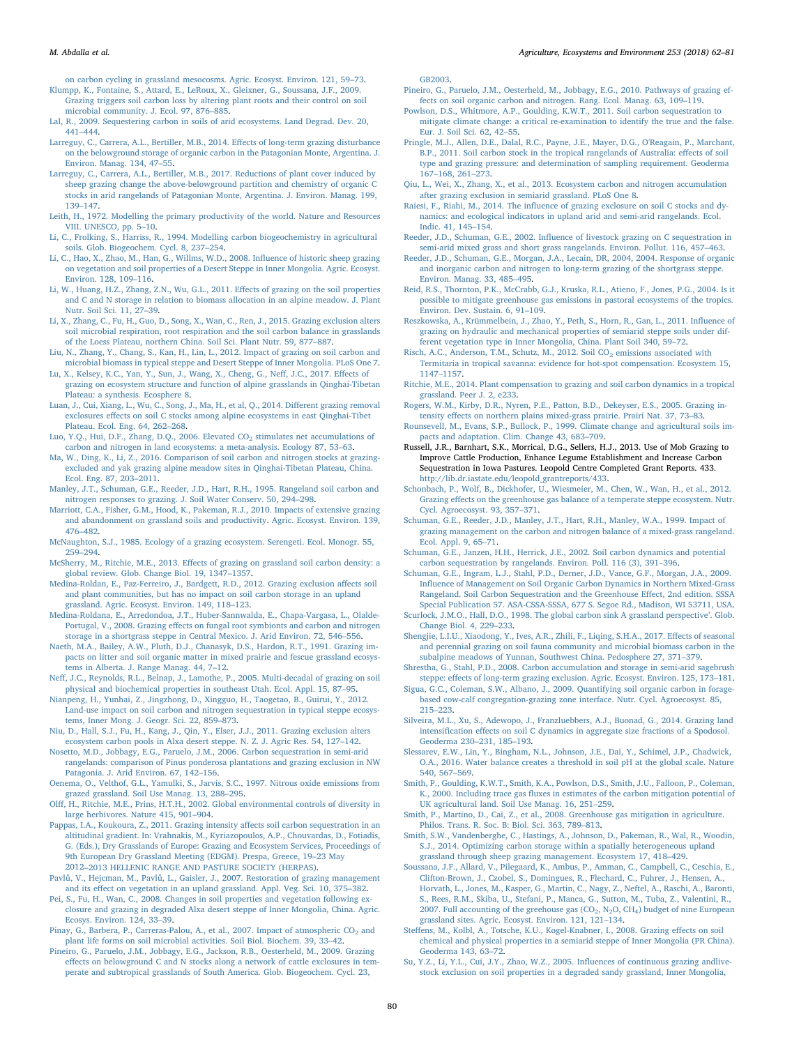[on carbon cycling in grassland mesocosms. Agric. Ecosyst. Environ. 121, 59](http://refhub.elsevier.com/S0167-8809(17)30469-3/sbref0325)–73.

<span id="page-18-14"></span>[Klumpp, K., Fontaine, S., Attard, E., LeRoux, X., Gleixner, G., Soussana, J.F., 2009.](http://refhub.elsevier.com/S0167-8809(17)30469-3/sbref0330) [Grazing triggers soil carbon loss by altering plant roots and their control on soil](http://refhub.elsevier.com/S0167-8809(17)30469-3/sbref0330) [microbial community. J. Ecol. 97, 876](http://refhub.elsevier.com/S0167-8809(17)30469-3/sbref0330)–885.

<span id="page-18-3"></span>[Lal, R., 2009. Sequestering carbon in soils of arid ecosystems. Land Degrad. Dev. 20,](http://refhub.elsevier.com/S0167-8809(17)30469-3/sbref0335) 441–[444](http://refhub.elsevier.com/S0167-8809(17)30469-3/sbref0335).

<span id="page-18-36"></span>[Larreguy, C., Carrera, A.L., Bertiller, M.B., 2014. E](http://refhub.elsevier.com/S0167-8809(17)30469-3/sbref0340)ffects of long-term grazing disturbance [on the belowground storage of organic carbon in the Patagonian Monte, Argentina. J.](http://refhub.elsevier.com/S0167-8809(17)30469-3/sbref0340) [Environ. Manag. 134, 47](http://refhub.elsevier.com/S0167-8809(17)30469-3/sbref0340)–55.

<span id="page-18-48"></span>[Larreguy, C., Carrera, A.L., Bertiller, M.B., 2017. Reductions of plant cover induced by](http://refhub.elsevier.com/S0167-8809(17)30469-3/sbref0345) [sheep grazing change the above-belowground partition and chemistry of organic C](http://refhub.elsevier.com/S0167-8809(17)30469-3/sbref0345) [stocks in arid rangelands of Patagonian Monte, Argentina. J. Environ. Manag. 199,](http://refhub.elsevier.com/S0167-8809(17)30469-3/sbref0345) 139–[147](http://refhub.elsevier.com/S0167-8809(17)30469-3/sbref0345).

<span id="page-18-12"></span>[Leith, H., 1972. Modelling the primary productivity of the world. Nature and Resources](http://refhub.elsevier.com/S0167-8809(17)30469-3/sbref0350) [VIII. UNESCO, pp. 5](http://refhub.elsevier.com/S0167-8809(17)30469-3/sbref0350)–10.

<span id="page-18-13"></span>[Li, C., Frolking, S., Harriss, R., 1994. Modelling carbon biogeochemistry in agricultural](http://refhub.elsevier.com/S0167-8809(17)30469-3/sbref0355) [soils. Glob. Biogeochem. Cycl. 8, 237](http://refhub.elsevier.com/S0167-8809(17)30469-3/sbref0355)–254.

<span id="page-18-38"></span>[Li, C., Hao, X., Zhao, M., Han, G., Willms, W.D., 2008. In](http://refhub.elsevier.com/S0167-8809(17)30469-3/sbref0360)fluence of historic sheep grazing [on vegetation and soil properties of a Desert Steppe in Inner Mongolia. Agric. Ecosyst.](http://refhub.elsevier.com/S0167-8809(17)30469-3/sbref0360) [Environ. 128, 109](http://refhub.elsevier.com/S0167-8809(17)30469-3/sbref0360)–116.

<span id="page-18-15"></span>[Li, W., Huang, H.Z., Zhang, Z.N., Wu, G.L., 2011. E](http://refhub.elsevier.com/S0167-8809(17)30469-3/sbref0365)ffects of grazing on the soil properties [and C and N storage in relation to biomass allocation in an alpine meadow. J. Plant](http://refhub.elsevier.com/S0167-8809(17)30469-3/sbref0365) [Nutr. Soil Sci. 11, 27](http://refhub.elsevier.com/S0167-8809(17)30469-3/sbref0365)–39.

<span id="page-18-28"></span>[Li, X., Zhang, C., Fu, H., Guo, D., Song, X., Wan, C., Ren, J., 2015. Grazing exclusion alters](http://refhub.elsevier.com/S0167-8809(17)30469-3/sbref0370) [soil microbial respiration, root respiration and the soil carbon balance in grasslands](http://refhub.elsevier.com/S0167-8809(17)30469-3/sbref0370) [of the Loess Plateau, northern China. Soil Sci. Plant Nutr. 59, 877](http://refhub.elsevier.com/S0167-8809(17)30469-3/sbref0370)–887.

<span id="page-18-37"></span>[Liu, N., Zhang, Y., Chang, S., Kan, H., Lin, L., 2012. Impact of grazing on soil carbon and](http://refhub.elsevier.com/S0167-8809(17)30469-3/sbref0375) [microbial biomass in typical steppe and Desert Steppe of Inner Mongolia. PLoS One 7.](http://refhub.elsevier.com/S0167-8809(17)30469-3/sbref0375)

<span id="page-18-9"></span>[Lu, X., Kelsey, K.C., Yan, Y., Sun, J., Wang, X., Cheng, G., Ne](http://refhub.elsevier.com/S0167-8809(17)30469-3/sbref0380)ff, J.C., 2017. Effects of [grazing on ecosystem structure and function of alpine grasslands in Qinghai-Tibetan](http://refhub.elsevier.com/S0167-8809(17)30469-3/sbref0380) [Plateau: a synthesis. Ecosphere 8.](http://refhub.elsevier.com/S0167-8809(17)30469-3/sbref0380)

<span id="page-18-16"></span>[Luan, J., Cui, Xiang, L., Wu, C., Song, J., Ma, H., et al, Q., 2014. Di](http://refhub.elsevier.com/S0167-8809(17)30469-3/sbref0385)fferent grazing removal exclosures eff[ects on soil C stocks among alpine ecosystems in east Qinghai-Tibet](http://refhub.elsevier.com/S0167-8809(17)30469-3/sbref0385) [Plateau. Ecol. Eng. 64, 262](http://refhub.elsevier.com/S0167-8809(17)30469-3/sbref0385)–268.

<span id="page-18-47"></span>Luo, Y.Q., Hui, D.F., Zhang, D.Q., 2006. Elevated  $CO_2$  stimulates net accumulations of [carbon and nitrogen in land ecosystems: a meta-analysis. Ecology 87, 53](http://refhub.elsevier.com/S0167-8809(17)30469-3/sbref0390)–63.

<span id="page-18-17"></span>[Ma, W., Ding, K., Li, Z., 2016. Comparison of soil carbon and nitrogen stocks at grazing](http://refhub.elsevier.com/S0167-8809(17)30469-3/sbref0395)[excluded and yak grazing alpine meadow sites in Qinghai-Tibetan Plateau, China.](http://refhub.elsevier.com/S0167-8809(17)30469-3/sbref0395) [Ecol. Eng. 87, 203](http://refhub.elsevier.com/S0167-8809(17)30469-3/sbref0395)–2011.

<span id="page-18-6"></span>[Manley, J.T., Schuman, G.E., Reeder, J.D., Hart, R.H., 1995. Rangeland soil carbon and](http://refhub.elsevier.com/S0167-8809(17)30469-3/sbref0400) [nitrogen responses to grazing. J. Soil Water Conserv. 50, 294](http://refhub.elsevier.com/S0167-8809(17)30469-3/sbref0400)–298.

<span id="page-18-18"></span>[Marriott, C.A., Fisher, G.M., Hood, K., Pakeman, R.J., 2010. Impacts of extensive grazing](http://refhub.elsevier.com/S0167-8809(17)30469-3/sbref0405) [and abandonment on grassland soils and productivity. Agric. Ecosyst. Environ. 139,](http://refhub.elsevier.com/S0167-8809(17)30469-3/sbref0405) 476–[482](http://refhub.elsevier.com/S0167-8809(17)30469-3/sbref0405).

<span id="page-18-50"></span>[McNaughton, S.J., 1985. Ecology of a grazing ecosystem. Serengeti. Ecol. Monogr. 55,](http://refhub.elsevier.com/S0167-8809(17)30469-3/sbref0410) 259–[294](http://refhub.elsevier.com/S0167-8809(17)30469-3/sbref0410).

<span id="page-18-4"></span>McSherry, M., Ritchie, M.E., 2013. Eff[ects of grazing on grassland soil carbon density: a](http://refhub.elsevier.com/S0167-8809(17)30469-3/sbref0415) [global review. Glob. Change Biol. 19, 1347](http://refhub.elsevier.com/S0167-8809(17)30469-3/sbref0415)–1357.

<span id="page-18-19"></span>[Medina-Roldan, E., Paz-Ferreiro, J., Bardgett, R.D., 2012. Grazing exclusion a](http://refhub.elsevier.com/S0167-8809(17)30469-3/sbref0420)ffects soil [and plant communities, but has no impact on soil carbon storage in an upland](http://refhub.elsevier.com/S0167-8809(17)30469-3/sbref0420) [grassland. Agric. Ecosyst. Environ. 149, 118](http://refhub.elsevier.com/S0167-8809(17)30469-3/sbref0420)–123.

<span id="page-18-39"></span>[Medina-Roldana, E., Arredondoa, J.T., Huber-Sannwalda, E., Chapa-Vargasa, L., Olalde-](http://refhub.elsevier.com/S0167-8809(17)30469-3/sbref0425)Portugal, V., 2008. Grazing eff[ects on fungal root symbionts and carbon and nitrogen](http://refhub.elsevier.com/S0167-8809(17)30469-3/sbref0425) [storage in a shortgrass steppe in Central Mexico. J. Arid Environ. 72, 546](http://refhub.elsevier.com/S0167-8809(17)30469-3/sbref0425)–556.

<span id="page-18-29"></span>[Naeth, M.A., Bailey, A.W., Pluth, D.J., Chanasyk, D.S., Hardon, R.T., 1991. Grazing im](http://refhub.elsevier.com/S0167-8809(17)30469-3/sbref0430)[pacts on litter and soil organic matter in mixed prairie and fescue grassland ecosys](http://refhub.elsevier.com/S0167-8809(17)30469-3/sbref0430)[tems in Alberta. J. Range Manag. 44, 7](http://refhub.elsevier.com/S0167-8809(17)30469-3/sbref0430)–12.

<span id="page-18-40"></span>Neff[, J.C., Reynolds, R.L., Belnap, J., Lamothe, P., 2005. Multi-decadal of grazing on soil](http://refhub.elsevier.com/S0167-8809(17)30469-3/sbref0435) [physical and biochemical properties in southeast Utah. Ecol. Appl. 15, 87](http://refhub.elsevier.com/S0167-8809(17)30469-3/sbref0435)–95.

<span id="page-18-30"></span>[Nianpeng, H., Yunhai, Z., Jingzhong, D., Xingguo, H., Taogetao, B., Guirui, Y., 2012.](http://refhub.elsevier.com/S0167-8809(17)30469-3/sbref0440) [Land-use impact on soil carbon and nitrogen sequestration in typical steppe ecosys](http://refhub.elsevier.com/S0167-8809(17)30469-3/sbref0440)[tems, Inner Mong. J. Geogr. Sci. 22, 859](http://refhub.elsevier.com/S0167-8809(17)30469-3/sbref0440)–873.

<span id="page-18-31"></span>[Niu, D., Hall, S.J., Fu, H., Kang, J., Qin, Y., Elser, J.J., 2011. Grazing exclusion alters](http://refhub.elsevier.com/S0167-8809(17)30469-3/sbref0445) [ecosystem carbon pools in Alxa desert steppe. N. Z. J. Agric Res. 54, 127](http://refhub.elsevier.com/S0167-8809(17)30469-3/sbref0445)–142.

<span id="page-18-41"></span>[Nosetto, M.D., Jobbagy, E.G., Paruelo, J.M., 2006. Carbon sequestration in semi-arid](http://refhub.elsevier.com/S0167-8809(17)30469-3/sbref0450) [rangelands: comparison of Pinus ponderosa plantations and grazing exclusion in NW](http://refhub.elsevier.com/S0167-8809(17)30469-3/sbref0450) [Patagonia. J. Arid Environ. 67, 142](http://refhub.elsevier.com/S0167-8809(17)30469-3/sbref0450)–156.

<span id="page-18-52"></span>[Oenema, O., Velthof, G.L., Yamulki, S., Jarvis, S.C., 1997. Nitrous oxide emissions from](http://refhub.elsevier.com/S0167-8809(17)30469-3/sbref0455) [grazed grassland. Soil Use Manag. 13, 288](http://refhub.elsevier.com/S0167-8809(17)30469-3/sbref0455)–295.

Olff[, H., Ritchie, M.E., Prins, H.T.H., 2002. Global environmental controls of diversity in](http://refhub.elsevier.com/S0167-8809(17)30469-3/sbref0460) [large herbivores. Nature 415, 901](http://refhub.elsevier.com/S0167-8809(17)30469-3/sbref0460)–904.

<span id="page-18-20"></span>[Pappas, I.A., Koukoura, Z., 2011. Grazing intensity a](http://refhub.elsevier.com/S0167-8809(17)30469-3/sbref0465)ffects soil carbon sequestration in an [altitudinal gradient. In: Vrahnakis, M., Kyriazopoulos, A.P., Chouvardas, D., Fotiadis,](http://refhub.elsevier.com/S0167-8809(17)30469-3/sbref0465) [G. \(Eds.\), Dry Grasslands of Europe: Grazing and Ecosystem Services, Proceedings of](http://refhub.elsevier.com/S0167-8809(17)30469-3/sbref0465) [9th European Dry Grassland Meeting \(EDGM\). Prespa, Greece, 19](http://refhub.elsevier.com/S0167-8809(17)30469-3/sbref0465)–23 May 2012–2013 [HELLENIC RANGE AND PASTURE SOCIETY \(HERPAS\)](http://refhub.elsevier.com/S0167-8809(17)30469-3/sbref0465).

Pavlů, V., Hejcman, M., Pavlů[, L., Gaisler, J., 2007. Restoration of grazing management](http://refhub.elsevier.com/S0167-8809(17)30469-3/sbref0470) and its eff[ect on vegetation in an upland grassland. Appl. Veg. Sci. 10, 375](http://refhub.elsevier.com/S0167-8809(17)30469-3/sbref0470)–382.

<span id="page-18-42"></span>[Pei, S., Fu, H., Wan, C., 2008. Changes in soil properties and vegetation following ex](http://refhub.elsevier.com/S0167-8809(17)30469-3/sbref0475)[closure and grazing in degraded Alxa desert steppe of Inner Mongolia, China. Agric.](http://refhub.elsevier.com/S0167-8809(17)30469-3/sbref0475) [Ecosys. Environ. 124, 33](http://refhub.elsevier.com/S0167-8809(17)30469-3/sbref0475)–39.

Pinay, G., Barbera, P., Carreras-Palou, A., et al., 2007. Impact of atmospheric CO<sub>2</sub> and [plant life forms on soil microbial activities. Soil Biol. Biochem. 39, 33](http://refhub.elsevier.com/S0167-8809(17)30469-3/sbref0480)–42.

<span id="page-18-22"></span>[Pineiro, G., Paruelo, J.M., Jobbagy, E.G., Jackson, R.B., Oesterheld, M., 2009. Grazing](http://refhub.elsevier.com/S0167-8809(17)30469-3/sbref0485) eff[ects on belowground C and N stocks along a network of cattle exclosures in tem](http://refhub.elsevier.com/S0167-8809(17)30469-3/sbref0485)[perate and subtropical grasslands of South America. Glob. Biogeochem. Cycl. 23,](http://refhub.elsevier.com/S0167-8809(17)30469-3/sbref0485)

M. Abdalla et al. *Agriculture, Ecosystems and Environment 253 (2018) 62–81*

[GB2003](http://refhub.elsevier.com/S0167-8809(17)30469-3/sbref0485).

<span id="page-18-5"></span>[Pineiro, G., Paruelo, J.M., Oesterheld, M., Jobbagy, E.G., 2010. Pathways of grazing ef](http://refhub.elsevier.com/S0167-8809(17)30469-3/sbref0490)[fects on soil organic carbon and nitrogen. Rang. Ecol. Manag. 63, 109](http://refhub.elsevier.com/S0167-8809(17)30469-3/sbref0490)–119.

[Powlson, D.S., Whitmore, A.P., Goulding, K.W.T., 2011. Soil carbon sequestration to](http://refhub.elsevier.com/S0167-8809(17)30469-3/sbref0495) [mitigate climate change: a critical re-examination to identify the true and the false.](http://refhub.elsevier.com/S0167-8809(17)30469-3/sbref0495) [Eur. J. Soil Sci. 62, 42](http://refhub.elsevier.com/S0167-8809(17)30469-3/sbref0495)–55.

<span id="page-18-23"></span>[Pringle, M.J., Allen, D.E., Dalal, R.C., Payne, J.E., Mayer, D.G., O'Reagain, P., Marchant,](http://refhub.elsevier.com/S0167-8809(17)30469-3/sbref0500) [B.P., 2011. Soil carbon stock in the tropical rangelands of Australia: e](http://refhub.elsevier.com/S0167-8809(17)30469-3/sbref0500)ffects of soil [type and grazing pressure: and determination of sampling requirement. Geoderma](http://refhub.elsevier.com/S0167-8809(17)30469-3/sbref0500) 167–[168, 261](http://refhub.elsevier.com/S0167-8809(17)30469-3/sbref0500)–273.

<span id="page-18-32"></span>[Qiu, L., Wei, X., Zhang, X., et al., 2013. Ecosystem carbon and nitrogen accumulation](http://refhub.elsevier.com/S0167-8809(17)30469-3/sbref0505) [after grazing exclusion in semiarid grassland. PLoS One 8.](http://refhub.elsevier.com/S0167-8809(17)30469-3/sbref0505)

<span id="page-18-24"></span>Raiesi, F., Riahi, M., 2014. The infl[uence of grazing exclosure on soil C stocks and dy](http://refhub.elsevier.com/S0167-8809(17)30469-3/sbref0510)[namics: and ecological indicators in upland arid and semi-arid rangelands. Ecol.](http://refhub.elsevier.com/S0167-8809(17)30469-3/sbref0510) [Indic. 41, 145](http://refhub.elsevier.com/S0167-8809(17)30469-3/sbref0510)–154.

<span id="page-18-8"></span>Reeder, J.D., Schuman, G.E., 2002. Infl[uence of livestock grazing on C sequestration in](http://refhub.elsevier.com/S0167-8809(17)30469-3/sbref0515) [semi-arid mixed grass and short grass rangelands. Environ. Pollut. 116, 457](http://refhub.elsevier.com/S0167-8809(17)30469-3/sbref0515)–463.

<span id="page-18-33"></span>[Reeder, J.D., Schuman, G.E., Morgan, J.A., Lecain, DR, 2004, 2004. Response of organic](http://refhub.elsevier.com/S0167-8809(17)30469-3/sbref0520) [and inorganic carbon and nitrogen to long-term grazing of the shortgrass steppe.](http://refhub.elsevier.com/S0167-8809(17)30469-3/sbref0520) [Environ. Manag. 33, 485](http://refhub.elsevier.com/S0167-8809(17)30469-3/sbref0520)–495.

<span id="page-18-1"></span>[Reid, R.S., Thornton, P.K., McCrabb, G.J., Kruska, R.L., Atieno, F., Jones, P.G., 2004. Is it](http://refhub.elsevier.com/S0167-8809(17)30469-3/sbref0525) [possible to mitigate greenhouse gas emissions in pastoral ecosystems of the tropics.](http://refhub.elsevier.com/S0167-8809(17)30469-3/sbref0525) [Environ. Dev. Sustain. 6, 91](http://refhub.elsevier.com/S0167-8809(17)30469-3/sbref0525)–109.

[Reszkowska, A., Krümmelbein, J., Zhao, Y., Peth, S., Horn, R., Gan, L., 2011. In](http://refhub.elsevier.com/S0167-8809(17)30469-3/sbref0530)fluence of [grazing on hydraulic and mechanical properties of semiarid steppe soils under dif](http://refhub.elsevier.com/S0167-8809(17)30469-3/sbref0530)[ferent vegetation type in Inner Mongolia, China. Plant Soil 340, 59](http://refhub.elsevier.com/S0167-8809(17)30469-3/sbref0530)–72.

<span id="page-18-51"></span>Risch, A.C., Anderson, T.M., Schutz, M., 2012. Soil  $CO<sub>2</sub>$  emissions associated with [Termitaria in tropical savanna: evidence for hot-spot compensation. Ecosystem 15,](http://refhub.elsevier.com/S0167-8809(17)30469-3/sbref0535) 1147–[1157](http://refhub.elsevier.com/S0167-8809(17)30469-3/sbref0535).

<span id="page-18-25"></span>[Ritchie, M.E., 2014. Plant compensation to grazing and soil carbon dynamics in a tropical](http://refhub.elsevier.com/S0167-8809(17)30469-3/sbref0540) [grassland. Peer J. 2, e233.](http://refhub.elsevier.com/S0167-8809(17)30469-3/sbref0540)

<span id="page-18-43"></span>[Rogers, W.M., Kirby, D.R., Nyren, P.E., Patton, B.D., Dekeyser, E.S., 2005. Grazing in](http://refhub.elsevier.com/S0167-8809(17)30469-3/sbref0545)tensity eff[ects on northern plains mixed-grass prairie. Prairi Nat. 37, 73](http://refhub.elsevier.com/S0167-8809(17)30469-3/sbref0545)–83.

<span id="page-18-2"></span>[Rounsevell, M., Evans, S.P., Bullock, P., 1999. Climate change and agricultural soils im](http://refhub.elsevier.com/S0167-8809(17)30469-3/sbref0550)[pacts and adaptation. Clim. Change 43, 683](http://refhub.elsevier.com/S0167-8809(17)30469-3/sbref0550)–709.

<span id="page-18-7"></span>Russell, J.R., Barnhart, S.K., Morrical, D.G., Sellers, H.J., 2013. Use of Mob Grazing to Improve Cattle Production, Enhance Legume Establishment and Increase Carbon Sequestration in Iowa Pastures. Leopold Centre Completed Grant Reports. 433. [http://lib.dr.iastate.edu/leopold\\_grantreports/433.](http://lib.dr.iastate.edu/leopold_grantreports/433)

<span id="page-18-34"></span>[Schonbach, P., Wolf, B., Dickhofer, U., Wiesmeier, M., Chen, W., Wan, H., et al., 2012.](http://refhub.elsevier.com/S0167-8809(17)30469-3/sbref0560) Grazing eff[ects on the greenhouse gas balance of a temperate steppe ecosystem. Nutr.](http://refhub.elsevier.com/S0167-8809(17)30469-3/sbref0560) [Cycl. Agroecosyst. 93, 357](http://refhub.elsevier.com/S0167-8809(17)30469-3/sbref0560)–371.

<span id="page-18-44"></span>[Schuman, G.E., Reeder, J.D., Manley, J.T., Hart, R.H., Manley, W.A., 1999. Impact of](http://refhub.elsevier.com/S0167-8809(17)30469-3/sbref0565) [grazing management on the carbon and nitrogen balance of a mixed-grass rangeland.](http://refhub.elsevier.com/S0167-8809(17)30469-3/sbref0565) [Ecol. Appl. 9, 65](http://refhub.elsevier.com/S0167-8809(17)30469-3/sbref0565)–71.

<span id="page-18-45"></span>[Schuman, G.E., Janzen, H.H., Herrick, J.E., 2002. Soil carbon dynamics and potential](http://refhub.elsevier.com/S0167-8809(17)30469-3/sbref0570) [carbon sequestration by rangelands. Environ. Poll. 116 \(3\), 391](http://refhub.elsevier.com/S0167-8809(17)30469-3/sbref0570)–396.

[Schuman, G.E., Ingram, L.J., Stahl, P.D., Derner, J.D., Vance, G.F., Morgan, J.A., 2009.](http://refhub.elsevier.com/S0167-8809(17)30469-3/sbref0575) Infl[uence of Management on Soil Organic Carbon Dynamics in Northern Mixed-Grass](http://refhub.elsevier.com/S0167-8809(17)30469-3/sbref0575) [Rangeland. Soil Carbon Sequestration and the Greenhouse E](http://refhub.elsevier.com/S0167-8809(17)30469-3/sbref0575)ffect, 2nd edition. SSSA [Special Publication 57. ASA-CSSA-SSSA, 677 S. Segoe Rd., Madison, WI 53711, USA.](http://refhub.elsevier.com/S0167-8809(17)30469-3/sbref0575)

<span id="page-18-0"></span>[Scurlock, J.M.O., Hall, D.O., 1998. The global carbon sink A grassland perspective](http://refhub.elsevier.com/S0167-8809(17)30469-3/sbref0580)'. Glob. [Change Biol. 4, 229](http://refhub.elsevier.com/S0167-8809(17)30469-3/sbref0580)–233.

[Shengjie, L.I.U., Xiaodong, Y., Ives, A.R., Zhili, F., Liqing, S.H.A., 2017. E](http://refhub.elsevier.com/S0167-8809(17)30469-3/sbref0585)ffects of seasonal [and perennial grazing on soil fauna community and microbial biomass carbon in the](http://refhub.elsevier.com/S0167-8809(17)30469-3/sbref0585) [subalpine meadows of Yunnan, Southwest China. Pedosphere 27, 371](http://refhub.elsevier.com/S0167-8809(17)30469-3/sbref0585)–379.

[Shrestha, G., Stahl, P.D., 2008. Carbon accumulation and storage in semi-arid sagebrush](http://refhub.elsevier.com/S0167-8809(17)30469-3/sbref0590) steppe: eff[ects of long-term grazing exclusion. Agric. Ecosyst. Environ. 125, 173](http://refhub.elsevier.com/S0167-8809(17)30469-3/sbref0590)–181.

<span id="page-18-26"></span>[Sigua, G.C., Coleman, S.W., Albano, J., 2009. Quantifying soil organic carbon in forage](http://refhub.elsevier.com/S0167-8809(17)30469-3/sbref0595)[based cow-calf congregation-grazing zone interface. Nutr. Cycl. Agroecosyst. 85,](http://refhub.elsevier.com/S0167-8809(17)30469-3/sbref0595) 215–[223](http://refhub.elsevier.com/S0167-8809(17)30469-3/sbref0595).

<span id="page-18-27"></span>[Silveira, M.L., Xu, S., Adewopo, J., Franzluebbers, A.J., Buonad, G., 2014. Grazing land](http://refhub.elsevier.com/S0167-8809(17)30469-3/sbref0600) intensification eff[ects on soil C dynamics in aggregate size fractions of a Spodosol.](http://refhub.elsevier.com/S0167-8809(17)30469-3/sbref0600) [Geoderma 230](http://refhub.elsevier.com/S0167-8809(17)30469-3/sbref0600)–231, 185–193.

<span id="page-18-49"></span>[Slessarev, E.W., Lin, Y., Bingham, N.L., Johnson, J.E., Dai, Y., Schimel, J.P., Chadwick,](http://refhub.elsevier.com/S0167-8809(17)30469-3/sbref0605) [O.A., 2016. Water balance creates a threshold in soil pH at the global scale. Nature](http://refhub.elsevier.com/S0167-8809(17)30469-3/sbref0605) [540, 567](http://refhub.elsevier.com/S0167-8809(17)30469-3/sbref0605)–569.

<span id="page-18-10"></span>[Smith, P., Goulding, K.W.T., Smith, K.A., Powlson, D.S., Smith, J.U., Falloon, P., Coleman,](http://refhub.elsevier.com/S0167-8809(17)30469-3/sbref0610) K., 2000. Including trace gas fluxes [in estimates of the carbon mitigation potential of](http://refhub.elsevier.com/S0167-8809(17)30469-3/sbref0610) [UK agricultural land. Soil Use Manag. 16, 251](http://refhub.elsevier.com/S0167-8809(17)30469-3/sbref0610)–259.

<span id="page-18-11"></span>[Smith, P., Martino, D., Cai, Z., et al., 2008. Greenhouse gas mitigation in agriculture.](http://refhub.elsevier.com/S0167-8809(17)30469-3/sbref0615) [Philos. Trans. R. Soc. B: Biol. Sci. 363, 789](http://refhub.elsevier.com/S0167-8809(17)30469-3/sbref0615)–813.

<span id="page-18-21"></span>[Smith, S.W., Vandenberghe, C., Hastings, A., Johnson, D., Pakeman, R., Wal, R., Woodin,](http://refhub.elsevier.com/S0167-8809(17)30469-3/sbref0620) [S.J., 2014. Optimizing carbon storage within a spatially heterogeneous upland](http://refhub.elsevier.com/S0167-8809(17)30469-3/sbref0620) [grassland through sheep grazing management. Ecosystem 17, 418](http://refhub.elsevier.com/S0167-8809(17)30469-3/sbref0620)–429.

[Soussana, J.F., Allard, V., Pilegaard, K., Ambus, P., Amman, C., Campbell, C., Ceschia, E.,](http://refhub.elsevier.com/S0167-8809(17)30469-3/sbref0625) [Clifton-Brown, J., Czobel, S., Domingues, R., Flechard, C., Fuhrer, J., Hensen, A.,](http://refhub.elsevier.com/S0167-8809(17)30469-3/sbref0625) [Horvath, L., Jones, M., Kasper, G., Martin, C., Nagy, Z., Neftel, A., Raschi, A., Baronti,](http://refhub.elsevier.com/S0167-8809(17)30469-3/sbref0625) [S., Rees, R.M., Skiba, U., Stefani, P., Manca, G., Sutton, M., Tuba, Z., Valentini, R.,](http://refhub.elsevier.com/S0167-8809(17)30469-3/sbref0625) 2007. Full accounting of the greehouse gas  $(CO_2, N_2O, CH_4)$  budget of nine European [grassland sites. Agric. Ecosyst. Environ. 121, 121](http://refhub.elsevier.com/S0167-8809(17)30469-3/sbref0625)–134.

<span id="page-18-35"></span>Steff[ens, M., Kolbl, A., Totsche, K.U., Kogel-Knabner, I., 2008. Grazing e](http://refhub.elsevier.com/S0167-8809(17)30469-3/sbref0630)ffects on soil [chemical and physical properties in a semiarid steppe of Inner Mongolia \(PR China\).](http://refhub.elsevier.com/S0167-8809(17)30469-3/sbref0630) [Geoderma 143, 63](http://refhub.elsevier.com/S0167-8809(17)30469-3/sbref0630)–72.

<span id="page-18-46"></span>[Su, Y.Z., Li, Y.L., Cui, J.Y., Zhao, W.Z., 2005. In](http://refhub.elsevier.com/S0167-8809(17)30469-3/sbref0635)fluences of continuous grazing andlive[stock exclusion on soil properties in a degraded sandy grassland, Inner Mongolia,](http://refhub.elsevier.com/S0167-8809(17)30469-3/sbref0635)